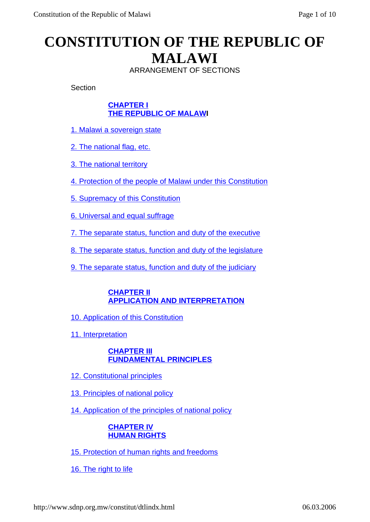# **CONSTITUTION OF THE REPUBLIC OF MALAWI**

ARRANGEMENT OF SECTIONS

Section

#### **CHAPTER I THE REPUBLIC OF MALAWI**

1. Malawi a sovereign state

2. The national flag, etc.

3. The national territory

- 4. Protection of the people of Malawi under this Constitution
- 5. Supremacy of this Constitution
- 6. Universal and equal suffrage
- 7. The separate status, function and duty of the executive
- 8. The separate status, function and duty of the legislature
- 9. The separate status, function and duty of the judiciary

### **CHAPTER II APPLICATION AND INTERPRETATION**

- 10. Application of this Constitution
- 11. Interpretation

#### **CHAPTER III FUNDAMENTAL PRINCIPLES**

- 12. Constitutional principles
- 13. Principles of national policy
- 14. Application of the principles of national policy

#### **CHAPTER IV HUMAN RIGHTS**

15. Protection of human rights and freedoms

16. The right to life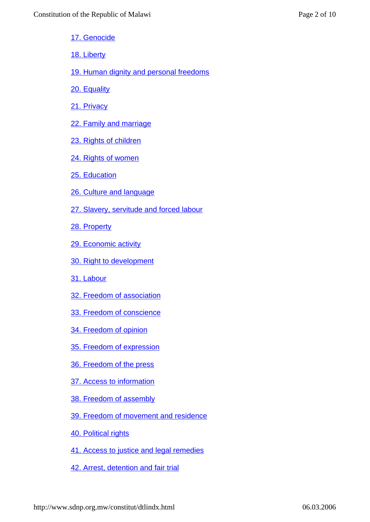- 17. Genocide
- 18. Liberty
- 19. Human dignity and personal freedoms
- 20. Equality
- 21. Privacy
- 22. Family and marriage
- 23. Rights of children
- 24. Rights of women
- 25. Education
- 26. Culture and language
- 27. Slavery, servitude and forced labour
- 28. Property
- 29. Economic activity
- 30. Right to development
- 31. Labour
- 32. Freedom of association
- 33. Freedom of conscience
- 34. Freedom of opinion
- 35. Freedom of expression
- 36. Freedom of the press
- 37. Access to information
- 38. Freedom of assembly
- 39. Freedom of movement and residence
- 40. Political rights
- 41. Access to justice and legal remedies
- 42. Arrest, detention and fair trial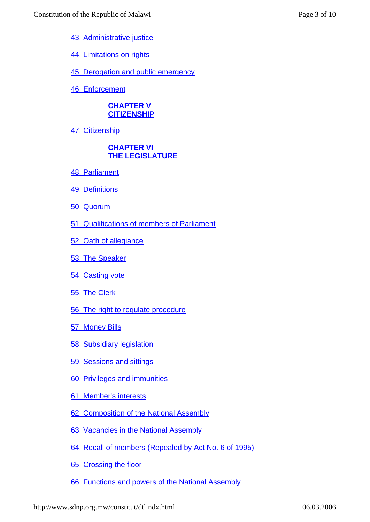- 43. Administrative justice
- 44. Limitations on rights
- 45. Derogation and public emergency
- 46. Enforcement

#### **CHAPTER V CITIZENSHIP**

47. Citizenship

#### **CHAPTER VI THE LEGISLATURE**

- 48. Parliament
- 49. Definitions
- 50. Quorum
- 51. Qualifications of members of Parliament
- 52. Oath of allegiance
- 53. The Speaker
- 54. Casting vote
- 55. The Clerk
- 56. The right to regulate procedure
- 57. Money Bills
- 58. Subsidiary legislation
- 59. Sessions and sittings
- 60. Privileges and immunities
- 61. Member's interests
- 62. Composition of the National Assembly
- 63. Vacancies in the National Assembly
- 64. Recall of members (Repealed by Act No. 6 of 1995)
- 65. Crossing the floor
- 66. Functions and powers of the National Assembly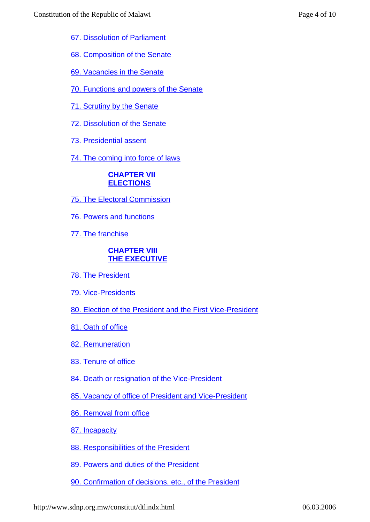- 67. Dissolution of Parliament
- 68. Composition of the Senate
- 69. Vacancies in the Senate
- 70. Functions and powers of the Senate
- 71. Scrutiny by the Senate
- 72. Dissolution of the Senate
- 73. Presidential assent
- 74. The coming into force of laws

#### **CHAPTER VII ELECTIONS**

- 75. The Electoral Commission
- 76. Powers and functions
- 77. The franchise

#### **CHAPTER VIII THE EXECUTIVE**

- 78. The President
- 79. Vice-Presidents
- 80. Election of the President and the First Vice-President
- 81. Oath of office
- 82. Remuneration
- 83. Tenure of office
- 84. Death or resignation of the Vice-President
- 85. Vacancy of office of President and Vice-President
- 86. Removal from office
- 87. Incapacity
- 88. Responsibilities of the President
- 89. Powers and duties of the President
- 90. Confirmation of decisions, etc., of the President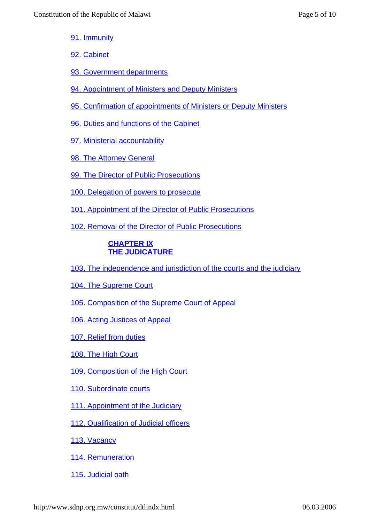- 91. Immunity
- 92. Cabinet
- 93. Government departments
- 94. Appointment of Ministers and Deputy Ministers
- 95. Confirmation of appointments of Ministers or Deputy Ministers
- 96. Duties and functions of the Cabinet
- 97. Ministerial accountability
- 98. The Attorney General
- 99. The Director of Public Prosecutions
- 100. Delegation of powers to prosecute
- 101. Appointment of the Director of Public Prosecutions
- 102. Removal of the Director of Public Prosecutions

#### **CHAPTER IX THE JUDICATURE**

- 103. The independence and jurisdiction of the courts and the judiciary
- 104. The Supreme Court
- 105. Composition of the Supreme Court of Appeal
- 106. Acting Justices of Appeal
- 107. Relief from duties
- 108. The High Court
- 109. Composition of the High Court
- 110. Subordinate courts
- 111. Appointment of the Judiciary
- 112. Qualification of Judicial officers
- 113. Vacancy
- 114. Remuneration
- 115. Judicial oath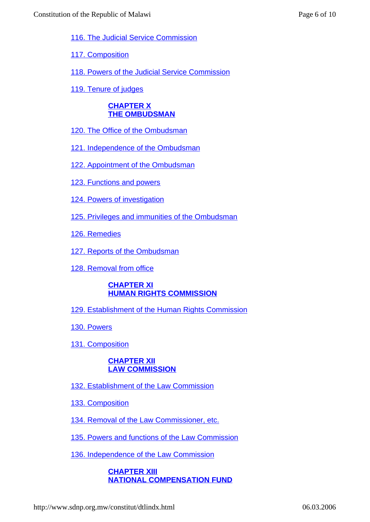- 116. The Judicial Service Commission
- 117. Composition
- 118. Powers of the Judicial Service Commission
- 119. Tenure of judges

#### **CHAPTER X THE OMBUDSMAN**

- 120. The Office of the Ombudsman
- 121. Independence of the Ombudsman
- 122. Appointment of the Ombudsman
- 123. Functions and powers
- 124. Powers of investigation
- 125. Privileges and immunities of the Ombudsman
- 126. Remedies
- 127. Reports of the Ombudsman
- 128. Removal from office

#### **CHAPTER XI HUMAN RIGHTS COMMISSION**

- 129. Establishment of the Human Rights Commission
- 130. Powers
- 131. Composition

#### **CHAPTER XII LAW COMMISSION**

- 132. Establishment of the Law Commission
- 133. Composition
- 134. Removal of the Law Commissioner, etc.
- 135. Powers and functions of the Law Commission
- 136. Independence of the Law Commission

#### **CHAPTER XIII NATIONAL COMPENSATION FUND**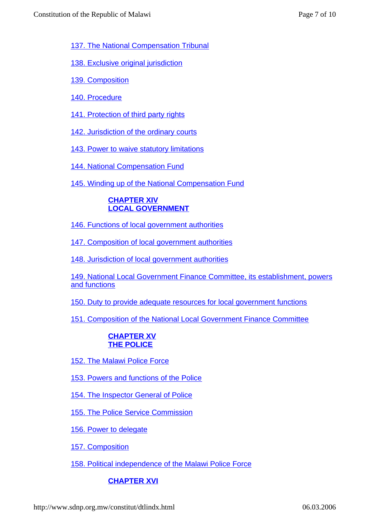- 137. The National Compensation Tribunal
- 138. Exclusive original jurisdiction
- 139. Composition
- 140. Procedure
- 141. Protection of third party rights
- 142. Jurisdiction of the ordinary courts
- 143. Power to waive statutory limitations
- 144. National Compensation Fund
- 145. Winding up of the National Compensation Fund

### **CHAPTER XIV LOCAL GOVERNMENT**

- 146. Functions of local government authorities
- 147. Composition of local government authorities
- 148. Jurisdiction of local government authorities

149. National Local Government Finance Committee, its establishment, powers and functions

150. Duty to provide adequate resources for local government functions

151. Composition of the National Local Government Finance Committee

### **CHAPTER XV THE POLICE**

- 152. The Malawi Police Force
- 153. Powers and functions of the Police
- 154. The Inspector General of Police
- 155. The Police Service Commission
- 156. Power to delegate
- 157. Composition
- 158. Political independence of the Malawi Police Force

# **CHAPTER XVI**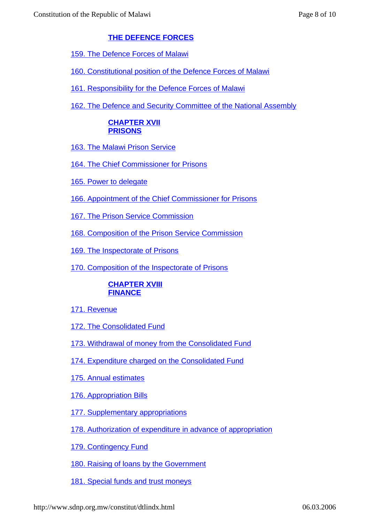# **THE DEFENCE FORCES**

159. The Defence Forces of Malawi

- 160. Constitutional position of the Defence Forces of Malawi
- 161. Responsibility for the Defence Forces of Malawi
- 162. The Defence and Security Committee of the National Assembly

#### **CHAPTER XVII PRISONS**

163. The Malawi Prison Service

- 164. The Chief Commissioner for Prisons
- 165. Power to delegate
- 166. Appointment of the Chief Commissioner for Prisons
- 167. The Prison Service Commission
- 168. Composition of the Prison Service Commission
- 169. The Inspectorate of Prisons
- 170. Composition of the Inspectorate of Prisons

#### **CHAPTER XVIII FINANCE**

- 171. Revenue
- 172. The Consolidated Fund
- 173. Withdrawal of money from the Consolidated Fund
- 174. Expenditure charged on the Consolidated Fund
- 175. Annual estimates
- 176. Appropriation Bills
- 177. Supplementary appropriations
- 178. Authorization of expenditure in advance of appropriation
- 179. Contingency Fund
- 180. Raising of loans by the Government
- 181. Special funds and trust moneys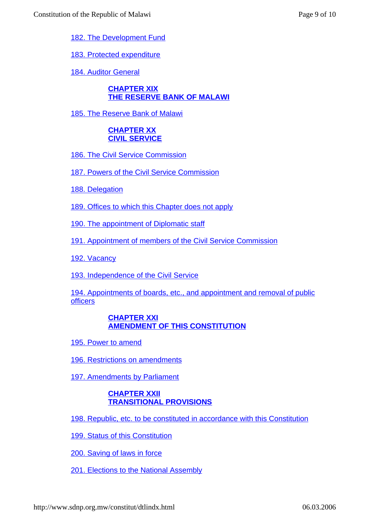182. The Development Fund

183. Protected expenditure

184. Auditor General

#### **CHAPTER XIX THE RESERVE BANK OF MALAWI**

185. The Reserve Bank of Malawi

#### **CHAPTER XX CIVIL SERVICE**

186. The Civil Service Commission

187. Powers of the Civil Service Commission

188. Delegation

189. Offices to which this Chapter does not apply

190. The appointment of Diplomatic staff

191. Appointment of members of the Civil Service Commission

192. Vacancy

193. Independence of the Civil Service

194. Appointments of boards, etc., and appointment and removal of public **officers** 

#### **CHAPTER XXI AMENDMENT OF THIS CONSTITUTION**

195. Power to amend

196. Restrictions on amendments

197. Amendments by Parliament

#### **CHAPTER XXII TRANSITIONAL PROVISIONS**

198. Republic, etc. to be constituted in accordance with this Constitution

199. Status of this Constitution

200. Saving of laws in force

201. Elections to the National Assembly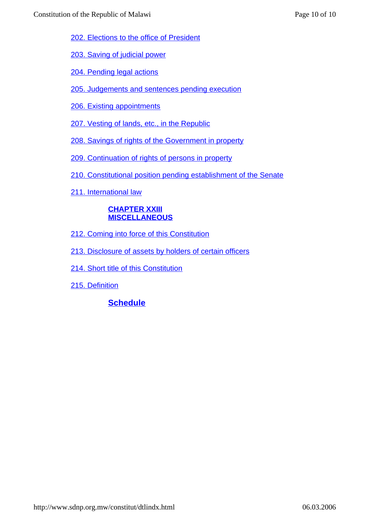- 202. Elections to the office of President
- 203. Saving of judicial power
- 204. Pending legal actions
- 205. Judgements and sentences pending execution
- 206. Existing appointments
- 207. Vesting of lands, etc., in the Republic
- 208. Savings of rights of the Government in property
- 209. Continuation of rights of persons in property
- 210. Constitutional position pending establishment of the Senate
- 211. International law

#### **CHAPTER XXIII MISCELLANEOUS**

- 212. Coming into force of this Constitution
- 213. Disclosure of assets by holders of certain officers
- 214. Short title of this Constitution
- 215. Definition

# **Schedule**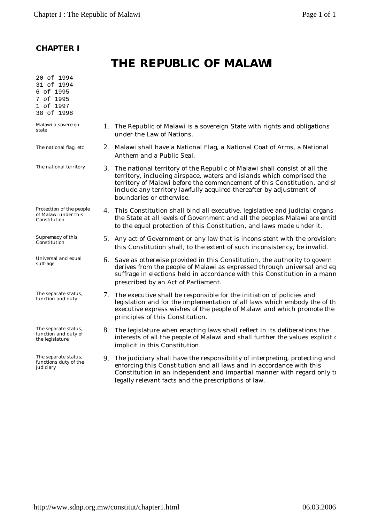## **CHAPTER I**

# **THE REPUBLIC OF MALAWI**

| 20 of 1994<br>31 of 1994<br>6 of 1995<br>7 of 1995<br>1 of 1997<br>38 of 1998 |    |                                                                                                                                                                                                                                                                                                                                      |
|-------------------------------------------------------------------------------|----|--------------------------------------------------------------------------------------------------------------------------------------------------------------------------------------------------------------------------------------------------------------------------------------------------------------------------------------|
| Malawi a sovereign<br>state                                                   |    | 1. The Republic of Malawi is a sovereign State with rights and obligations<br>under the Law of Nations.                                                                                                                                                                                                                              |
| The national flag, etc                                                        |    | 2. Malawi shall have a National Flag, a National Coat of Arms, a National<br>Anthem and a Public Seal.                                                                                                                                                                                                                               |
| The national territory                                                        |    | 3. The national territory of the Republic of Malawi shall consist of all the<br>territory, including airspace, waters and islands which comprised the<br>territory of Malawi before the commencement of this Constitution, and sh<br>include any territory lawfully acquired thereafter by adjustment of<br>boundaries or otherwise. |
| Protection of the people<br>of Malawi under this<br>Constitution              |    | 4. This Constitution shall bind all executive, legislative and judicial organs of<br>the State at all levels of Government and all the peoples Malawi are entitl<br>to the equal protection of this Constitution, and laws made under it.                                                                                            |
| Supremacy of this<br>Constitution                                             |    | 5. Any act of Government or any law that is inconsistent with the provisions<br>this Constitution shall, to the extent of such inconsistency, be invalid.                                                                                                                                                                            |
| Universal and equal<br>suffrage                                               |    | 6. Save as otherwise provided in this Constitution, the authority to govern<br>derives from the people of Malawi as expressed through universal and eq<br>suffrage in elections held in accordance with this Constitution in a mann<br>prescribed by an Act of Parliament.                                                           |
| The separate status,<br>function and duty                                     | 7. | The executive shall be responsible for the initiation of policies and<br>legislation and for the implementation of all laws which embody the of th<br>executive express wishes of the people of Malawi and which promote the<br>principles of this Constitution.                                                                     |
| The separate status,<br>function and duty of<br>the legislature               |    | 8. The legislature when enacting laws shall reflect in its deliberations the<br>interests of all the people of Malawi and shall further the values explicit of<br>implicit in this Constitution.                                                                                                                                     |
| The separate status,<br>functions duty of the<br>judiciary                    | 9. | The judiciary shall have the responsibility of interpreting, protecting and<br>enforcing this Constitution and all laws and in accordance with this<br>Constitution in an independent and impartial manner with regard only to<br>legally relevant facts and the prescriptions of law.                                               |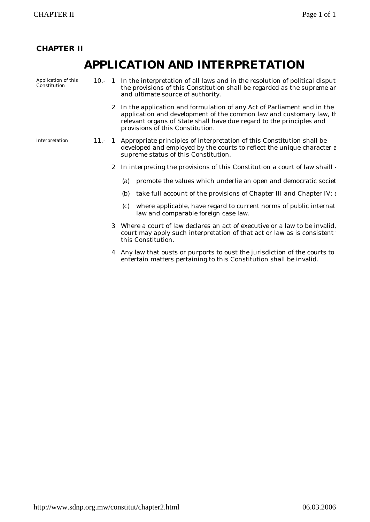#### **CHAPTER II**

# **APPLICATION AND INTERPRETATION**

| Application of this |  |
|---------------------|--|
| Constitution        |  |

- 10,- 1 In the interpretation of all laws and in the resolution of political dispute the provisions of this Constitution shall be regarded as the supreme ar and ultimate source of authority.
	- 2 In the application and formulation of any Act of Parliament and in the application and development of the common law and customary law, the relevant organs of State shall have due regard to the principles and provisions of this Constitution.
- Interpretation 11,- 1 Appropriate principles of interpretation of this Constitution shall be developed and employed by the courts to reflect the unique character and supreme status of this Constitution.
	- 2 In interpreting the provisions of this Constitution a court of law shaill
		- (a) promote the values which underlie an open and democratic societ
		- (b) take full account of the provisions of Chapter III and Chapter IV;  $\epsilon$
		- (c) where applicable, have regard to current norms of public international law and comparable foreign case law.
	- 3 Where a court of law declares an act of executive or a law to be invalid, court may apply such interpretation of that act or law as is consistent with this Constitution.
	- 4 Any law that ousts or purports to oust the jurisdiction of the courts to entertain matters pertaining to this Constitution shall be invalid.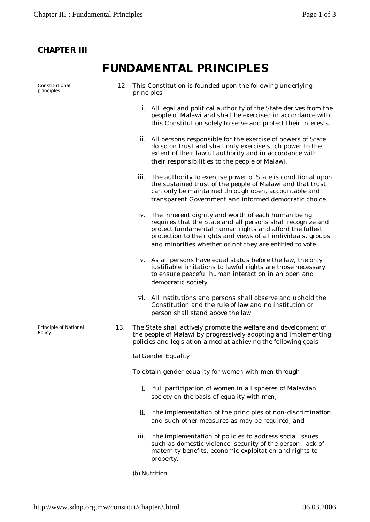#### **CHAPTER III**

# **FUNDAMENTAL PRINCIPLES**

| Constitutional<br>principles    | 12  | This Constitution is founded upon the following underlying<br>principles -                                                                                                                                                                                                                                    |
|---------------------------------|-----|---------------------------------------------------------------------------------------------------------------------------------------------------------------------------------------------------------------------------------------------------------------------------------------------------------------|
|                                 |     | i. All legal and political authority of the State derives from the<br>people of Malawi and shall be exercised in accordance with<br>this Constitution solely to serve and protect their interests.                                                                                                            |
|                                 |     | ii.<br>All persons responsible for the exercise of powers of State<br>do so on trust and shall only exercise such power to the<br>extent of their lawful authority and in accordance with<br>their responsibilities to the people of Malawi.                                                                  |
|                                 |     | The authority to exercise power of State is conditional upon<br>iii.<br>the sustained trust of the people of Malawi and that trust<br>can only be maintained through open, accountable and<br>transparent Government and informed democratic choice.                                                          |
|                                 |     | iv. The inherent dignity and worth of each human being<br>requires that the State and all persons shall recognize and<br>protect fundamental human rights and afford the fullest<br>protection to the rights and views of all individuals, groups<br>and minorities whether or not they are entitled to vote. |
|                                 |     | v. As all persons have equal status before the law, the only<br>justifiable limitations to lawful rights are those necessary<br>to ensure peaceful human interaction in an open and<br>democratic society                                                                                                     |
|                                 |     | vi. All institutions and persons shall observe and uphold the<br>Constitution and the rule of law and no institution or<br>person shall stand above the law.                                                                                                                                                  |
| Principle of National<br>Policy | 13. | The State shall actively promote the welfare and development of<br>the people of Malawi by progressively adopting and implementing<br>policies and legislation aimed at achieving the following goals -                                                                                                       |
|                                 |     | (a) Gender Equality                                                                                                                                                                                                                                                                                           |
|                                 |     | To obtain gender equality for women with men through -                                                                                                                                                                                                                                                        |
|                                 |     | i.<br>full participation of women in all spheres of Malawian<br>society on the basis of equality with men;                                                                                                                                                                                                    |
|                                 |     | ii.<br>the implementation of the principles of non-discrimination<br>and such other measures as may be required; and                                                                                                                                                                                          |
|                                 |     | iii.<br>the implementation of policies to address social issues<br>such as domestic violence, security of the person, lack of<br>maternity benefits, economic exploitation and rights to<br>property.                                                                                                         |
|                                 |     | (b) Nutrition                                                                                                                                                                                                                                                                                                 |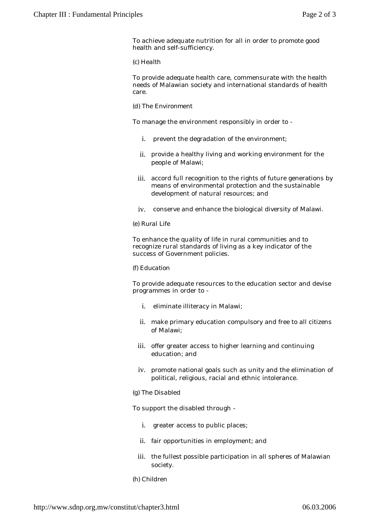To achieve adequate nutrition for all in order to promote good health and self-sufficiency.

*(c) Health*

To provide adequate health care, commensurate with the health needs of Malawian society and international standards of health care.

*(d) The Environment*

To manage the environment responsibly in order to -

- i. prevent the degradation of the environment;
- ii. provide a healthy living and working environment for the people of Malawi;
- iii. accord full recognition to the rights of future generations by means of environmental protection and the sustainable development of natural resources; and
- iv. conserve and enhance the biological diversity of Malawi.
- *(e) Rural Life*

To enhance the quality of life in rural communities and to recognize rural standards of living as a key indicator of the success of Government policies.

*(f) Education*

To provide adequate resources to the education sector and devise programmes in order to -

- i. eliminate illiteracy in Malawi;
- ii. make primary education compulsory and free to all citizens of Malawi;
- iii. offer greater access to higher learning and continuing education; and
- iv. promote national goals such as unity and the elimination of political, religious, racial and ethnic intolerance.
- *(g) The Disabled*

To support the disabled through -

- i. greater access to public places;
- ii. fair opportunities in employment; and
- iii. the fullest possible participation in all spheres of Malawian society.
- *(h) Children*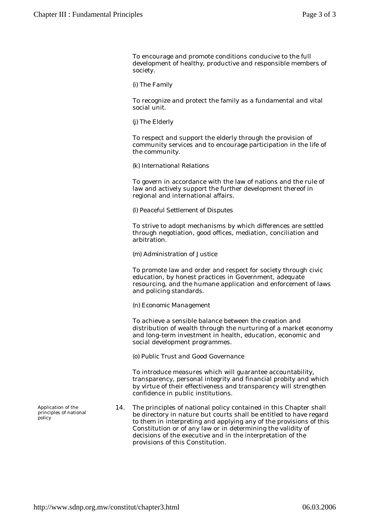To encourage and promote conditions conducive to the full development of healthy, productive and responsible members of society.

*(i) The Family*

To recognize and protect the family as a fundamental and vital social unit.

*(j) The Elderly*

To respect and support the elderly through the provision of community services and to encourage participation in the life of the community.

*(k) International Relations*

To govern in accordance with the law of nations and the rule of law and actively support the further development thereof in regional and international affairs.

*(l) Peaceful Settlement of Disputes*

To strive to adopt mechanisms by which differences are settled through negotiation, good offices, mediation, conciliation and arbitration.

*(m) Administration of Justice*

To promote law and order and respect for society through civic education, by honest practices in Government, adequate resourcing, and the humane application and enforcement of laws and policing standards.

*(n) Economic Management*

To achieve a sensible balance between the creation and distribution of wealth through the nurturing of a market economy and long-term investment in health, education, economic and social development programmes.

*(o) Public Trust and Good Governance*

To introduce measures which will guarantee accountability, transparency, personal integrity and financial probity and which by virtue of their effectiveness and transparency will strengthen confidence in public institutions.

14. The principles of national policy contained in this Chapter shall be directory in nature but courts shall be entitled to have regard to them in interpreting and applying any of the provisions of this Constitution or of any law or in determining the validity of decisions of the executive and in the interpretation of the provisions of this Constitution.

Application of the principles of national **policy**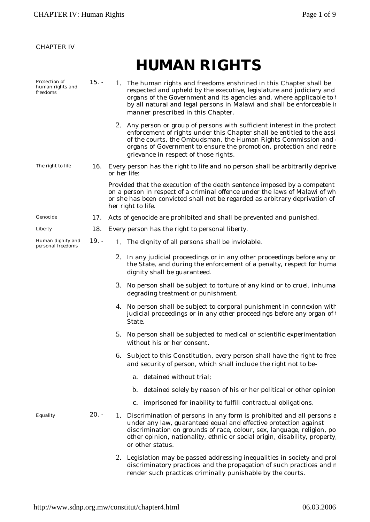#### CHAPTER IV

# **HUMAN RIGHTS**

| Protection of<br>human rights and<br>freedoms | $15. -$ |              | 1. The human rights and freedoms enshrined in this Chapter shall be<br>respected and upheld by the executive, legislature and judiciary and<br>organs of the Government and its agencies and, where applicable to t<br>by all natural and legal persons in Malawi and shall be enforceable ir<br>manner prescribed in this Chapter.      |  |  |  |
|-----------------------------------------------|---------|--------------|------------------------------------------------------------------------------------------------------------------------------------------------------------------------------------------------------------------------------------------------------------------------------------------------------------------------------------------|--|--|--|
|                                               |         |              | 2. Any person or group of persons with sufficient interest in the protect<br>enforcement of rights under this Chapter shall be entitled to the assi-<br>of the courts, the Ombudsman, the Human Rights Commission and of<br>organs of Government to ensure the promotion, protection and redre:<br>grievance in respect of those rights. |  |  |  |
| The right to life                             | 16.     | or her life: | Every person has the right to life and no person shall be arbitrarily deprive                                                                                                                                                                                                                                                            |  |  |  |
|                                               |         |              | Provided that the execution of the death sentence imposed by a competent<br>on a person in respect of a criminal offence under the laws of Malawi of wh<br>or she has been convicted shall not be regarded as arbitrary deprivation of<br>her right to life.                                                                             |  |  |  |
| Genocide                                      | 17.     |              | Acts of genocide are prohibited and shall be prevented and punished.                                                                                                                                                                                                                                                                     |  |  |  |
| Liberty                                       | 18.     |              | Every person has the right to personal liberty.                                                                                                                                                                                                                                                                                          |  |  |  |
| Human dignity and<br>personal freedoms        | $19. -$ |              | 1. The dignity of all persons shall be inviolable.                                                                                                                                                                                                                                                                                       |  |  |  |
|                                               |         |              | 2. In any judicial proceedings or in any other proceedings before any on<br>the State, and during the enforcement of a penalty, respect for huma<br>dignity shall be guaranteed.                                                                                                                                                         |  |  |  |
|                                               |         |              | 3. No person shall be subject to torture of any kind or to cruel, inhumal<br>degrading treatment or punishment.                                                                                                                                                                                                                          |  |  |  |
|                                               |         |              | 4. No person shall be subject to corporal punishment in connexion with<br>judicial proceedings or in any other proceedings before any organ of t<br>State.                                                                                                                                                                               |  |  |  |
|                                               |         |              | 5. No person shall be subjected to medical or scientific experimentation<br>without his or her consent.                                                                                                                                                                                                                                  |  |  |  |
|                                               |         |              | 6. Subject to this Constitution, every person shall have the right to free<br>and security of person, which shall include the right not to be-                                                                                                                                                                                           |  |  |  |
|                                               |         |              | detained without trial;<br>a.                                                                                                                                                                                                                                                                                                            |  |  |  |
|                                               |         |              | b. detained solely by reason of his or her political or other opinion                                                                                                                                                                                                                                                                    |  |  |  |
|                                               |         |              | c. imprisoned for inability to fulfill contractual obligations.                                                                                                                                                                                                                                                                          |  |  |  |
| Equality                                      | $20. -$ |              | 1. Discrimination of persons in any form is prohibited and all persons a<br>under any law, guaranteed equal and effective protection against<br>discrimination on grounds of race, colour, sex, language, religion, po<br>other opinion, nationality, ethnic or social origin, disability, property,<br>or other status.                 |  |  |  |
|                                               |         |              | 2. Legislation may be passed addressing inequalities in society and prol<br>discriminatory practices and the propagation of such practices and n                                                                                                                                                                                         |  |  |  |

render such practices criminally punishable by the courts.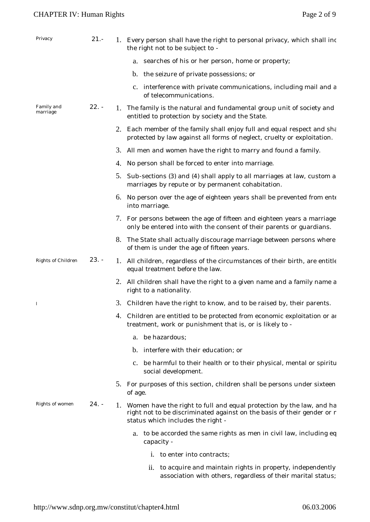# CHAPTER IV: Human Rights Page 2 of 9

| Privacy                | $21. -$ | 1. Every person shall have the right to personal privacy, which shall inc<br>the right not to be subject to -                                                                           |
|------------------------|---------|-----------------------------------------------------------------------------------------------------------------------------------------------------------------------------------------|
|                        |         | a. searches of his or her person, home or property;                                                                                                                                     |
|                        |         | b. the seizure of private possessions; or                                                                                                                                               |
|                        |         | c. interference with private communications, including mail and a<br>of telecommunications.                                                                                             |
| Family and<br>marriage | $22. -$ | 1. The family is the natural and fundamental group unit of society and<br>entitled to protection by society and the State.                                                              |
|                        |         | 2. Each member of the family shall enjoy full and equal respect and shall<br>protected by law against all forms of neglect, cruelty or exploitation.                                    |
|                        |         | 3. All men and women have the right to marry and found a family.                                                                                                                        |
|                        |         | 4. No person shall be forced to enter into marriage.                                                                                                                                    |
|                        |         | 5. Sub-sections (3) and (4) shall apply to all marriages at law, custom a<br>marriages by repute or by permanent cohabitation.                                                          |
|                        |         | 6. No person over the age of eighteen years shall be prevented from enter-<br>into marriage.                                                                                            |
|                        |         | 7. For persons between the age of fifteen and eighteen years a marriage<br>only be entered into with the consent of their parents or guardians.                                         |
|                        |         | 8. The State shall actually discourage marriage between persons where<br>of them is under the age of fifteen years.                                                                     |
| Rights of Children     | $23. -$ | 1. All children, regardless of the circumstances of their birth, are entitle<br>equal treatment before the law.                                                                         |
|                        |         | 2. All children shall have the right to a given name and a family name a<br>right to a nationality.                                                                                     |
| $\mathbf{I}$           |         | 3. Children have the right to know, and to be raised by, their parents.                                                                                                                 |
|                        |         | 4. Children are entitled to be protected from economic exploitation or are<br>treatment, work or punishment that is, or is likely to -                                                  |
|                        |         | be hazardous;<br>a.                                                                                                                                                                     |
|                        |         | b. interfere with their education; or                                                                                                                                                   |
|                        |         | c. be harmful to their health or to their physical, mental or spiritu<br>social development.                                                                                            |
|                        |         | 5. For purposes of this section, children shall be persons under sixteen<br>of age.                                                                                                     |
| Rights of women        | $24. -$ | 1. Women have the right to full and equal protection by the law, and ha<br>right not to be discriminated against on the basis of their gender or n<br>status which includes the right - |
|                        |         | a. to be accorded the same rights as men in civil law, including eq<br>capacity -                                                                                                       |
|                        |         | $i.$ to enter into contracts;                                                                                                                                                           |
|                        |         | to acquire and maintain rights in property, independently<br>11.<br>association with others, regardless of their marital status;                                                        |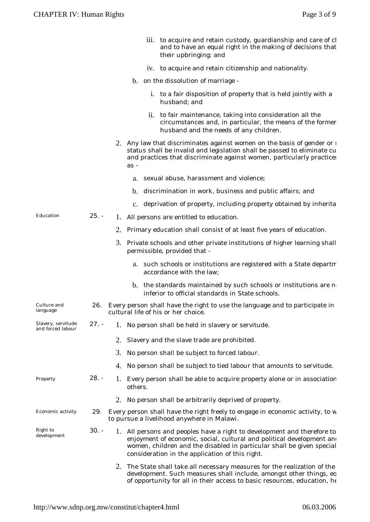|                                         |         |         | iii. to acquire and retain custody, guardianship and care of cl<br>and to have an equal right in the making of decisions that<br>their upbringing; and                                                                                                                       |
|-----------------------------------------|---------|---------|------------------------------------------------------------------------------------------------------------------------------------------------------------------------------------------------------------------------------------------------------------------------------|
|                                         |         |         | iv. to acquire and retain citizenship and nationality.                                                                                                                                                                                                                       |
|                                         |         |         | b. on the dissolution of marriage -                                                                                                                                                                                                                                          |
|                                         |         |         | i. to a fair disposition of property that is held jointly with a<br>husband; and                                                                                                                                                                                             |
|                                         |         |         | ii. to fair maintenance, taking into consideration all the<br>circumstances and, in particular, the means of the former<br>husband and the needs of any children.                                                                                                            |
|                                         |         | as -    | 2. Any law that discriminates against women on the basis of gender or a<br>status shall be invalid and legislation shall be passed to eliminate cu<br>and practices that discriminate against women, particularly practices                                                  |
|                                         |         |         | a. sexual abuse, harassment and violence;                                                                                                                                                                                                                                    |
|                                         |         |         | b. discrimination in work, business and public affairs; and                                                                                                                                                                                                                  |
|                                         |         |         | c. deprivation of property, including property obtained by inherita                                                                                                                                                                                                          |
| Education                               | $25. -$ |         | 1. All persons are entitled to education.                                                                                                                                                                                                                                    |
|                                         |         |         | 2. Primary education shall consist of at least five years of education.                                                                                                                                                                                                      |
|                                         |         |         | 3. Private schools and other private institutions of higher learning shall<br>permissible, provided that -                                                                                                                                                                   |
|                                         |         |         | a. such schools or institutions are registered with a State department<br>accordance with the law;                                                                                                                                                                           |
|                                         |         |         | b. the standards maintained by such schools or institutions are $ni$<br>inferior to official standards in State schools.                                                                                                                                                     |
| Culture and<br>language                 | 26.     |         | Every person shall have the right to use the language and to participate in<br>cultural life of his or her choice                                                                                                                                                            |
| Slavery, servitude<br>and forced labour | $27. -$ |         | 1. No person shall be held in slavery or servitude.                                                                                                                                                                                                                          |
|                                         |         |         | 2. Slavery and the slave trade are prohibited.                                                                                                                                                                                                                               |
|                                         |         |         | 3. No person shall be subject to forced labour.                                                                                                                                                                                                                              |
|                                         |         |         | 4. No person shall be subject to tied labour that amounts to servitude.                                                                                                                                                                                                      |
| Property                                | $28. -$ | others. | 1. Every person shall be able to acquire property alone or in association                                                                                                                                                                                                    |
|                                         |         |         | 2. No person shall be arbitrarily deprived of property.                                                                                                                                                                                                                      |
| Economic activity                       | 29.     |         | Every person shall have the right freely to engage in economic activity, to w<br>to pursue a livelihood anywhere in Malawi.                                                                                                                                                  |
| Right to<br>development                 | $30. -$ |         | 1. All persons and peoples have a right to development and therefore to<br>enjoyment of economic, social, cultural and political development and<br>women, children and the disabled in particular shall be given special<br>consideration in the application of this right. |
|                                         |         |         | 2. The State shall take all necessary measures for the realization of the<br>development. Such measures shall include, amongst other things, eq<br>of opportunity for all in their access to basic resources, education, he                                                  |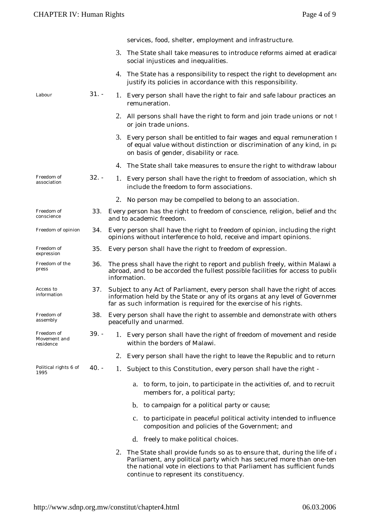|                                         |         | services, food, shelter, employment and infrastructure.                                                                                                                                                                                                                 |
|-----------------------------------------|---------|-------------------------------------------------------------------------------------------------------------------------------------------------------------------------------------------------------------------------------------------------------------------------|
|                                         |         | 3. The State shall take measures to introduce reforms aimed at eradication-<br>social injustices and inequalities.                                                                                                                                                      |
|                                         |         | 4. The State has a responsibility to respect the right to development and<br>justify its policies in accordance with this responsibility.                                                                                                                               |
| Labour                                  | $31. -$ | 1. Every person shall have the right to fair and safe labour practices an<br>remuneration.                                                                                                                                                                              |
|                                         |         | 2. All persons shall have the right to form and join trade unions or not to<br>or join trade unions.                                                                                                                                                                    |
|                                         |         | 3. Every person shall be entitled to fair wages and equal remuneration f<br>of equal value without distinction or discrimination of any kind, in pa<br>on basis of gender, disability or race.                                                                          |
|                                         |         | 4. The State shall take measures to ensure the right to withdraw labour                                                                                                                                                                                                 |
| Freedom of<br>association               | $32. -$ | 1. Every person shall have the right to freedom of association, which sh<br>include the freedom to form associations.                                                                                                                                                   |
|                                         |         | 2. No person may be compelled to belong to an association.                                                                                                                                                                                                              |
| Freedom of<br>conscience                | 33.     | Every person has the right to freedom of conscience, religion, belief and the<br>and to academic freedom.                                                                                                                                                               |
| Freedom of opinion                      | 34.     | Every person shall have the right to freedom of opinion, including the right<br>opinions without interference to hold, receive and impart opinions.                                                                                                                     |
| Freedom of<br>expression                | 35.     | Every person shall have the right to freedom of expression.                                                                                                                                                                                                             |
| Freedom of the<br>press                 | 36.     | The press shall have the right to report and publish freely, within Malawi a<br>abroad, and to be accorded the fullest possible facilities for access to public<br>information.                                                                                         |
| Access to<br>information                | 37.     | Subject to any Act of Parliament, every person shall have the right of acces:<br>information held by the State or any of its organs at any level of Governmer<br>far as such information is required for the exercise of his rights.                                    |
| Freedom of<br>assembly                  | 38.     | Every person shall have the right to assemble and demonstrate with others<br>peacefully and unarmed.                                                                                                                                                                    |
| Freedom of<br>Movement and<br>residence | $39. -$ | 1. Every person shall have the right of freedom of movement and reside<br>within the borders of Malawi.                                                                                                                                                                 |
|                                         |         | 2. Every person shall have the right to leave the Republic and to return                                                                                                                                                                                                |
| Political rights 6 of<br>1995           | $40. -$ | 1. Subject to this Constitution, every person shall have the right -                                                                                                                                                                                                    |
|                                         |         | to form, to join, to participate in the activities of, and to recruit<br>a.<br>members for, a political party;                                                                                                                                                          |
|                                         |         | b. to campaign for a political party or cause;                                                                                                                                                                                                                          |
|                                         |         | c. to participate in peaceful political activity intended to influence<br>composition and policies of the Government; and                                                                                                                                               |
|                                         |         | d. freely to make political choices.                                                                                                                                                                                                                                    |
|                                         |         | 2. The State shall provide funds so as to ensure that, during the life of a<br>Parliament, any political party which has secured more than one-ten<br>the national vote in elections to that Parliament has sufficient funds<br>continue to represent its constituency. |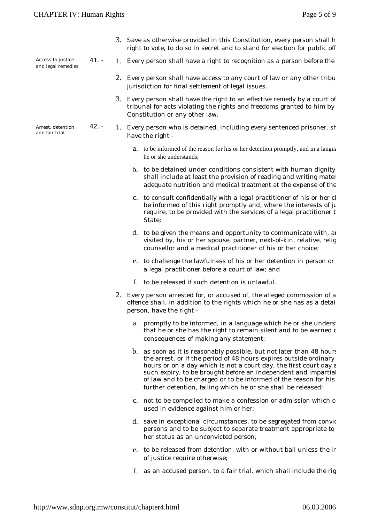#### CHAPTER IV: Human Rights Page 5 of 9

- 3. Save as otherwise provided in this Constitution, every person shall have right to vote, to do so in secret and to stand for election for public off
- $41. 1.$  Every person shall have a right to recognition as a person before the
	- 2. Every person shall have access to any court of law or any other tribu jurisdiction for final settlement of legal issues.
	- 3. Every person shall have the right to an effective remedy by a court of tribunal for acts violating the rights and freedoms granted to him by Constitution or any other law.
- 42. 1. Every person who is detained, including every sentenced prisoner, shall have the right
	- a. to be informed of the reason for his or her detention promptly, and in a language he or she understands;
	- b. to be detained under conditions consistent with human dignity, shall include at least the provision of reading and writing mater adequate nutrition and medical treatment at the expense of the
	- c. to consult confidentially with a legal practitioner of his or her choice. be informed of this right promptly and, where the interests of ju require, to be provided with the services of a legal practitioner by State;
	- $d.$  to be given the means and opportunity to communicate with, and visited by, his or her spouse, partner, next-of-kin, relative, relig counsellor and a medical practitioner of his or her choice;
	- e. to challenge the lawfulness of his or her detention in person or a legal practitioner before a court of law; and
	- f. to be released if such detention is unlawful.
	- 2. Every person arrested for, or accused of, the alleged commission of an offence shall, in addition to the rights which he or she has as a detail person, have the right
		- a. promptly to be informed, in a language which he or she underst that he or she has the right to remain silent and to be warned c consequences of making any statement;
		- $b.$  as soon as it is reasonably possible, but not later than 48 hours the arrest, or if the period of 48 hours expires outside ordinary hours or on a day which is not a court day, the first court day  $\epsilon$ such expiry, to be brought before an independent and impartial of law and to be charged or to be informed of the reason for his further detention, failing which he or she shall be released;
		- c. not to be compelled to make a confession or admission which could be used in evidence against him or her;
		- d. save in exceptional circumstances, to be segregated from convict persons and to be subject to separate treatment appropriate to her status as an unconvicted person;
		- e. to be released from detention, with or without bail unless the ir of justice require otherwise;
		- f. as an accused person, to a fair trial, which shall include the rig

and legal remedies

Arrest, detention and fair trial

Access to justice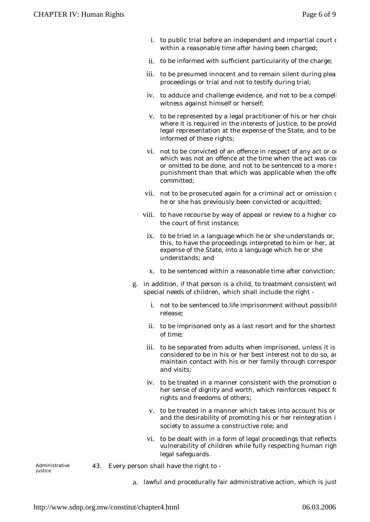- $i.$  to public trial before an independent and impartial court  $\epsilon$ within a reasonable time after having been charged;
- ii. to be informed with sufficient particularity of the charge;
- iii. to be presumed innocent and to remain silent during plea proceedings or trial and not to testify during trial;
- iv. to adduce and challenge evidence, and not to be a compell witness against himself or herself;
- v. to be represented by a legal practitioner of his or her choic where it is required in the interests of justice, to be provided where legal representation at the expense of the State, and to be informed of these rights;
- vi. not to be convicted of an offence in respect of any act or one which was not an offence at the time when the act was comor omitted to be done, and not to be sentenced to a more s punishment than that which was applicable when the offe committed;
- vii. not to be prosecuted again for a criminal act or omission of he or she has previously been convicted or acquitted;
- viii. to have recourse by way of appeal or review to a higher court the court of first instance;
	- $ix.$  to be tried in a language which he or she understands or, this, to have the proceedings interpreted to him or her, at expense of the State, into a language which he or she understands; and
	- x. to be sentenced within a reasonable time after conviction;
- g. in addition, if that person is a child, to treatment consistent wit special needs of children, which shall include the right
	- i. not to be sentenced to life imprisonment without possibility release;
	- ii. to be imprisoned only as a last resort and for the shortest of time;
	- iii. to be separated from adults when imprisoned, unless it is considered to be in his or her best interest not to do so, are maintain contact with his or her family through correspor and visits;
	- iv. to be treated in a manner consistent with the promotion of her sense of dignity and worth, which reinforces respect for rights and freedoms of others;
	- v. to be treated in a manner which takes into account his or and the desirability of promoting his or her reintegration i society to assume a constructive role; and
	- vi. to be dealt with in a form of legal proceedings that reflects vulnerability of children while fully respecting human righ legal safeguards.

43. Every person shall have the right to -

a. lawful and procedurally fair administrative action, which is just

Administrative iustice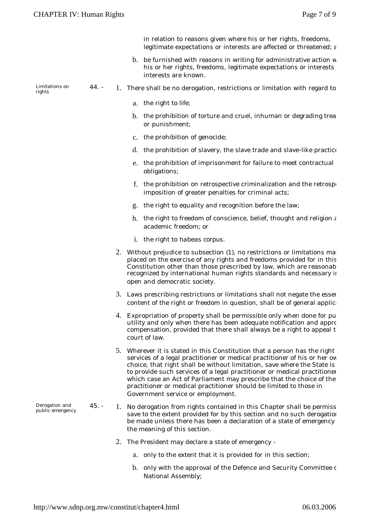|                                    |         |    |                | in relation to reasons given where his or her rights, freedoms,<br>legitimate expectations or interests are affected or threatened; a                                                                                                                                                                                                                                                                                                                                                            |
|------------------------------------|---------|----|----------------|--------------------------------------------------------------------------------------------------------------------------------------------------------------------------------------------------------------------------------------------------------------------------------------------------------------------------------------------------------------------------------------------------------------------------------------------------------------------------------------------------|
|                                    |         |    |                | b. be furnished with reasons in writing for administrative action $w$<br>his or her rights, freedoms, legitimate expectations or interests<br>interests are known.                                                                                                                                                                                                                                                                                                                               |
| Limitations on<br>rights           | $44. -$ |    |                | 1. There shall be no derogation, restrictions or limitation with regard to                                                                                                                                                                                                                                                                                                                                                                                                                       |
|                                    |         |    | a.             | the right to life;                                                                                                                                                                                                                                                                                                                                                                                                                                                                               |
|                                    |         |    | $\mathbf{b}$ . | the prohibition of torture and cruel, inhuman or degrading trea<br>or punishment;                                                                                                                                                                                                                                                                                                                                                                                                                |
|                                    |         |    |                | c. the prohibition of genocide;                                                                                                                                                                                                                                                                                                                                                                                                                                                                  |
|                                    |         |    | d.             | the prohibition of slavery, the slave trade and slave-like practice                                                                                                                                                                                                                                                                                                                                                                                                                              |
|                                    |         |    | e.             | the prohibition of imprisonment for failure to meet contractual<br>obligations;                                                                                                                                                                                                                                                                                                                                                                                                                  |
|                                    |         |    | f.             | the prohibition on retrospective criminalization and the retrospe<br>imposition of greater penalties for criminal acts;                                                                                                                                                                                                                                                                                                                                                                          |
|                                    |         |    | g.             | the right to equality and recognition before the law;                                                                                                                                                                                                                                                                                                                                                                                                                                            |
|                                    |         |    |                | h. the right to freedom of conscience, belief, thought and religion $\varepsilon$<br>academic freedom; or                                                                                                                                                                                                                                                                                                                                                                                        |
|                                    |         |    | $\mathbf{1}$ . | the right to habeas corpus.                                                                                                                                                                                                                                                                                                                                                                                                                                                                      |
|                                    |         |    |                | 2. Without prejudice to subsection (1), no restrictions or limitations mate<br>placed on the exercise of any rights and freedoms provided for in this<br>Constitution other than those prescribed by law, which are reasonab<br>recognized by international human rights standards and necessary in<br>open and democratic society.                                                                                                                                                              |
|                                    |         | 3. |                | Laws prescribing restrictions or limitations shall not negate the esser<br>content of the right or freedom in question, shall be of general application                                                                                                                                                                                                                                                                                                                                          |
|                                    |         |    |                | 4. Expropriation of property shall be permissible only when done for pu<br>utility and only when there has been adequate notification and appro<br>compensation, provided that there shall always be a right to appeal to<br>court of law.                                                                                                                                                                                                                                                       |
|                                    |         |    |                | 5. Wherever it is stated in this Constitution that a person has the right<br>services of a legal practitioner or medical practitioner of his or her ow<br>choice, that right shall be without limitation, save where the State is<br>to provide such services of a legal practitioner or medical practitioner<br>which case an Act of Parliament may prescribe that the choice of the<br>practitioner or medical practitioner should be limited to those in<br>Government service or employment. |
| Derogation and<br>public emergency | $45. -$ |    |                | 1. No derogation from rights contained in this Chapter shall be permiss<br>save to the extent provided for by this section and no such derogation<br>be made unless there has been a declaration of a state of emergency<br>the meaning of this section.                                                                                                                                                                                                                                         |
|                                    |         |    |                | 2. The President may declare a state of emergency -                                                                                                                                                                                                                                                                                                                                                                                                                                              |
|                                    |         |    | a.             | only to the extent that it is provided for in this section;                                                                                                                                                                                                                                                                                                                                                                                                                                      |

b. only with the approval of the Defence and Security Committee c National Assembly;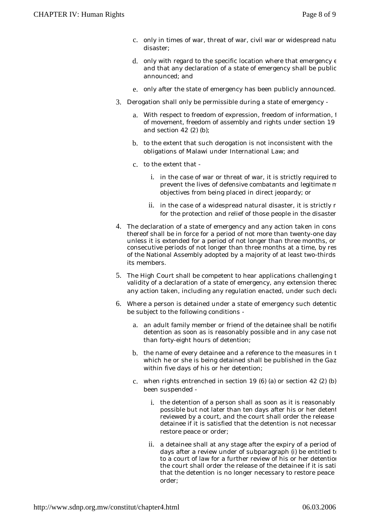- c. only in times of war, threat of war, civil war or widespread natural disaster;
- d. only with regard to the specific location where that emergency  $\epsilon$ and that any declaration of a state of emergency shall be public announced; and
- e. only after the state of emergency has been publicly announced.
- 3. Derogation shall only be permissible during a state of emergency
	- a. With respect to freedom of expression, freedom of information, f of movement, freedom of assembly and rights under section 19 and section  $42$  (2) (b);
	- b. to the extent that such derogation is not inconsistent with the obligations of Malawi under International Law; and
	- c. to the extent that
		- i. in the case of war or threat of war, it is strictly required to prevent the lives of defensive combatants and legitimate m objectives from being placed in direct jeopardy; or
		- ii. in the case of a widespread natural disaster, it is strictly  $r_1$ for the protection and relief of those people in the disaster
- 4. The declaration of a state of emergency and any action taken in cons thereof shall be in force for a period of not more than twenty-one day unless it is extended for a period of not longer than three months, or consecutive periods of not longer than three months at a time, by res of the National Assembly adopted by a majority of at least two-thirds its members.
- 5. The High Court shall be competent to hear applications challenging the validity of a declaration of a state of emergency, any extension thereo any action taken, including any regulation enacted, under such declaration.
- 6. Where a person is detained under a state of emergency such detentic be subject to the following conditions
	- a. an adult family member or friend of the detainee shall be notified detention as soon as is reasonably possible and in any case not than forty-eight hours of detention;
	- b. the name of every detainee and a reference to the measures in t which he or she is being detained shall be published in the Gaz within five days of his or her detention;
	- c. when rights entrenched in section 19 (6) (a) or section 42 (2) (b) been suspended
		- i. the detention of a person shall as soon as it is reasonably possible but not later than ten days after his or her detent reviewed by a court, and the court shall order the release detainee if it is satisfied that the detention is not necessar restore peace or order;
		- ii. a detainee shall at any stage after the expiry of a period of days after a review under of subparagraph (i) be entitled to to a court of law for a further review of his or her detention the court shall order the release of the detainee if it is sati that the detention is no longer necessary to restore peace order;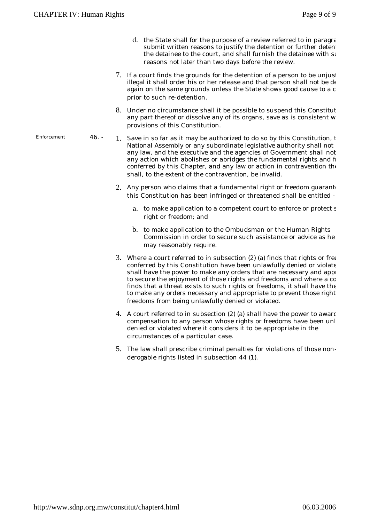- d. the State shall for the purpose of a review referred to in paragraph submit written reasons to justify the detention or further detent the detainee to the court, and shall furnish the detainee with su reasons not later than two days before the review.
- 7. If a court finds the grounds for the detention of a person to be unjust illegal it shall order his or her release and that person shall not be  $d\epsilon$ again on the same grounds unless the State shows good cause to a c prior to such re-detention.
- 8. Under no circumstance shall it be possible to suspend this Constitut any part thereof or dissolve any of its organs, save as is consistent with provisions of this Constitution.
- Enforcement 46. 1. Save in so far as it may be authorized to do so by this Constitution, the National Assembly or any subordinate legislative authority shall not  $\blacksquare$ any law, and the executive and the agencies of Government shall not any action which abolishes or abridges the fundamental rights and free conferred by this Chapter, and any law or action in contravention the shall, to the extent of the contravention, be invalid.
	- 2. Any person who claims that a fundamental right or freedom guarante this Constitution has been infringed or threatened shall be entitled
		- a. to make application to a competent court to enforce or protect s right or freedom; and
		- b. to make application to the Ombudsman or the Human Rights Commission in order to secure such assistance or advice as he may reasonably require.
	- 3. Where a court referred to in subsection  $(2)$  (a) finds that rights or freed conferred by this Constitution have been unlawfully denied or violate shall have the power to make any orders that are necessary and appro to secure the enjoyment of those rights and freedoms and where a co finds that a threat exists to such rights or freedoms, it shall have the to make any orders necessary and appropriate to prevent those rights freedoms from being unlawfully denied or violated.
	- 4. A court referred to in subsection (2) (a) shall have the power to award compensation to any person whose rights or freedoms have been unl denied or violated where it considers it to be appropriate in the circumstances of a particular case.
	- 5. The law shall prescribe criminal penalties for violations of those nonderogable rights listed in subsection 44 (1).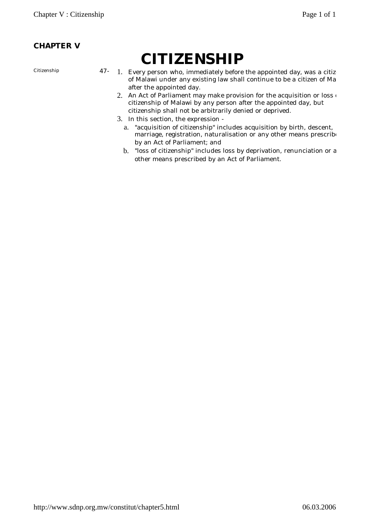## **CHAPTER V**

# **CITIZENSHIP**

- Citizenship 47- 1. Every person who, immediately before the appointed day, was a citizen of Malawi under any existing law shall continue to be a citizen of Malawi after the appointed day.
	- 2. An Act of Parliament may make provision for the acquisition or loss  $($ citizenship of Malawi by any person after the appointed day, but citizenship shall not be arbitrarily denied or deprived.
	- 3. In this section, the expression
		- a. "acquisition of citizenship" includes acquisition by birth, descent, marriage, registration, naturalisation or any other means prescribe by an Act of Parliament; and
		- b. "loss of citizenship" includes loss by deprivation, renunciation or a other means prescribed by an Act of Parliament.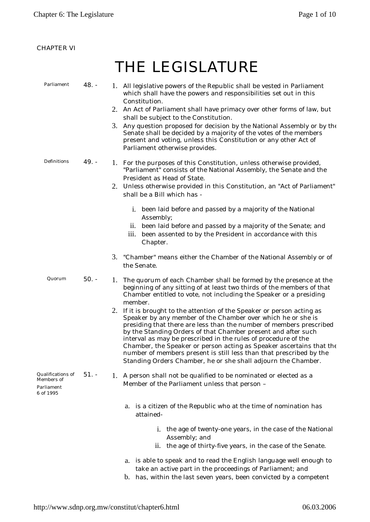| CHAPTER VI |
|------------|

# THE LEGISLATURE

| Parliament                                                 | $48. -$ | 1. All legislative powers of the Republic shall be vested in Parliament<br>which shall have the powers and responsibilities set out in this<br>Constitution.                                                                                                                                                                                                                                                                                                                                                                                                      |
|------------------------------------------------------------|---------|-------------------------------------------------------------------------------------------------------------------------------------------------------------------------------------------------------------------------------------------------------------------------------------------------------------------------------------------------------------------------------------------------------------------------------------------------------------------------------------------------------------------------------------------------------------------|
|                                                            |         | 2. An Act of Parliament shall have primacy over other forms of law, but<br>shall be subject to the Constitution.                                                                                                                                                                                                                                                                                                                                                                                                                                                  |
|                                                            |         | 3. Any question proposed for decision by the National Assembly or by the<br>Senate shall be decided by a majority of the votes of the members<br>present and voting, unless this Constitution or any other Act of<br>Parliament otherwise provides.                                                                                                                                                                                                                                                                                                               |
| Definitions                                                | $49. -$ | 1. For the purposes of this Constitution, unless otherwise provided,<br>"Parliament" consists of the National Assembly, the Senate and the<br>President as Head of State.<br>2. Unless otherwise provided in this Constitution, an "Act of Parliament"                                                                                                                                                                                                                                                                                                            |
|                                                            |         | shall be a Bill which has -                                                                                                                                                                                                                                                                                                                                                                                                                                                                                                                                       |
|                                                            |         | i. been laid before and passed by a majority of the National<br>Assembly;                                                                                                                                                                                                                                                                                                                                                                                                                                                                                         |
|                                                            |         | been laid before and passed by a majority of the Senate; and<br>$\overline{11}$ .<br>been assented to by the President in accordance with this<br>111.<br>Chapter.                                                                                                                                                                                                                                                                                                                                                                                                |
|                                                            |         | 3. "Chamber" means either the Chamber of the National Assembly or of<br>the Senate.                                                                                                                                                                                                                                                                                                                                                                                                                                                                               |
| Quorum                                                     | $50. -$ | 1. The quorum of each Chamber shall be formed by the presence at the<br>beginning of any sitting of at least two thirds of the members of that<br>Chamber entitled to vote, not including the Speaker or a presiding<br>member.                                                                                                                                                                                                                                                                                                                                   |
|                                                            |         | 2. If it is brought to the attention of the Speaker or person acting as<br>Speaker by any member of the Chamber over which he or she is<br>presiding that there are less than the number of members prescribed<br>by the Standing Orders of that Chamber present and after such<br>interval as may be prescribed in the rules of procedure of the<br>Chamber, the Speaker or person acting as Speaker ascertains that the<br>number of members present is still less than that prescribed by the<br>Standing Orders Chamber, he or she shall adjourn the Chamber. |
| Qualifications of<br>Members of<br>Parliament<br>6 of 1995 | $51. -$ | 1. A person shall not be qualified to be nominated or elected as a<br>Member of the Parliament unless that person -                                                                                                                                                                                                                                                                                                                                                                                                                                               |
|                                                            |         | is a citizen of the Republic who at the time of nomination has<br>a.<br>attained-                                                                                                                                                                                                                                                                                                                                                                                                                                                                                 |
|                                                            |         | $i$ .<br>the age of twenty-one years, in the case of the National<br>Assembly; and                                                                                                                                                                                                                                                                                                                                                                                                                                                                                |
|                                                            |         | ii. the age of thirty-five years, in the case of the Senate.                                                                                                                                                                                                                                                                                                                                                                                                                                                                                                      |
|                                                            |         | is able to speak and to read the English language well enough to<br>a.<br>take an active part in the proceedings of Parliament; and<br>has, within the last seven years, been convicted by a competent<br>b.                                                                                                                                                                                                                                                                                                                                                      |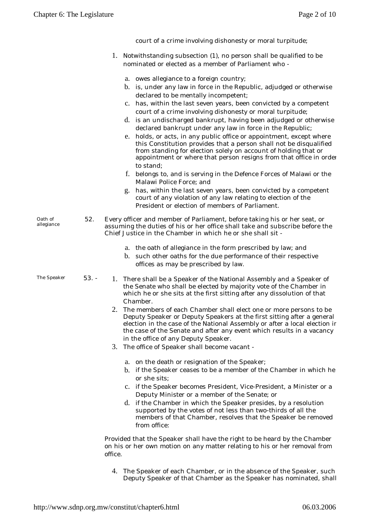court of a crime involving dishonesty or moral turpitude;

1. Notwithstanding subsection (1), no person shall be qualified to be nominated or elected as a member of Parliament who -

|                       |         | a. owes allegiance to a foreign country;<br>b. is, under any law in force in the Republic, adjudged or otherwise<br>declared to be mentally incompetent;<br>c. has, within the last seven years, been convicted by a competent<br>court of a crime involving dishonesty or moral turpitude;<br>d. is an undischarged bankrupt, having been adjudged or otherwise<br>declared bankrupt under any law in force in the Republic;<br>e. holds, or acts, in any public office or appointment, except where<br>this Constitution provides that a person shall not be disqualified<br>from standing for election solely on account of holding that or<br>appointment or where that person resigns from that office in order<br>to stand;<br>f. belongs to, and is serving in the Defence Forces of Malawi or the<br>Malawi Police Force; and<br>has, within the last seven years, been convicted by a competent<br>g.<br>court of any violation of any law relating to election of the<br>President or election of members of Parliament. |
|-----------------------|---------|------------------------------------------------------------------------------------------------------------------------------------------------------------------------------------------------------------------------------------------------------------------------------------------------------------------------------------------------------------------------------------------------------------------------------------------------------------------------------------------------------------------------------------------------------------------------------------------------------------------------------------------------------------------------------------------------------------------------------------------------------------------------------------------------------------------------------------------------------------------------------------------------------------------------------------------------------------------------------------------------------------------------------------|
| Oath of<br>allegiance | 52.     | Every officer and member of Parliament, before taking his or her seat, or<br>assuming the duties of his or her office shall take and subscribe before the<br>Chief Justice in the Chamber in which he or she shall sit -                                                                                                                                                                                                                                                                                                                                                                                                                                                                                                                                                                                                                                                                                                                                                                                                           |
|                       |         | a. the oath of allegiance in the form prescribed by law; and<br>b. such other oaths for the due performance of their respective<br>offices as may be prescribed by law.                                                                                                                                                                                                                                                                                                                                                                                                                                                                                                                                                                                                                                                                                                                                                                                                                                                            |
| The Speaker           | $53. -$ | 1. There shall be a Speaker of the National Assembly and a Speaker of<br>the Senate who shall be elected by majority vote of the Chamber in<br>which he or she sits at the first sitting after any dissolution of that<br>Chamber.                                                                                                                                                                                                                                                                                                                                                                                                                                                                                                                                                                                                                                                                                                                                                                                                 |
|                       |         | 2. The members of each Chamber shall elect one or more persons to be<br>Deputy Speaker or Deputy Speakers at the first sitting after a general<br>election in the case of the National Assembly or after a local election ir<br>the case of the Senate and after any event which results in a vacancy<br>in the office of any Deputy Speaker.<br>The office of Speaker shall become vacant -                                                                                                                                                                                                                                                                                                                                                                                                                                                                                                                                                                                                                                       |
|                       |         | a. on the death or resignation of the Speaker;<br>b. if the Speaker ceases to be a member of the Chamber in which he<br>or she sits;<br>c. if the Speaker becomes President, Vice-President, a Minister or a<br>Deputy Minister or a member of the Senate; or<br>d. if the Chamber in which the Speaker presides, by a resolution<br>supported by the votes of not less than two-thirds of all the                                                                                                                                                                                                                                                                                                                                                                                                                                                                                                                                                                                                                                 |
|                       |         | members of that Chamber, resolves that the Speaker be removed<br>from office:<br>Provided that the Speaker shall have the right to be heard by the Chamber<br>on his or her own motion on any matter relating to his or her removal from<br>office.                                                                                                                                                                                                                                                                                                                                                                                                                                                                                                                                                                                                                                                                                                                                                                                |

4. The Speaker of each Chamber, or in the absence of the Speaker, such Deputy Speaker of that Chamber as the Speaker has nominated, shall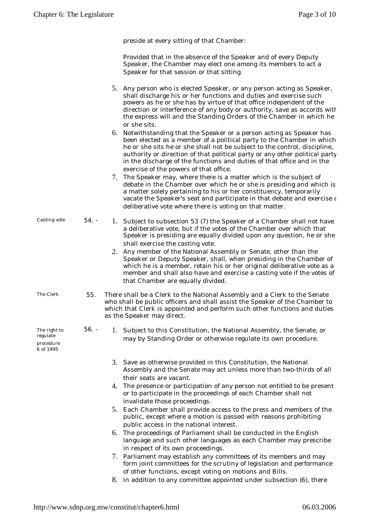|                                                    |         | preside at every sitting of that Chamber:                                                                                                                                                                                                                                                                                                                                                                                      |
|----------------------------------------------------|---------|--------------------------------------------------------------------------------------------------------------------------------------------------------------------------------------------------------------------------------------------------------------------------------------------------------------------------------------------------------------------------------------------------------------------------------|
|                                                    |         | Provided that in the absence of the Speaker and of every Deputy<br>Speaker, the Chamber may elect one among its members to act a<br>Speaker for that session or that sitting.                                                                                                                                                                                                                                                  |
|                                                    |         | 5. Any person who is elected Speaker, or any person acting as Speaker,<br>shall discharge his or her functions and duties and exercise such<br>powers as he or she has by virtue of that office independent of the<br>direction or interference of any body or authority, save as accords with<br>the express will and the Standing Orders of the Chamber in which he<br>or she sits.                                          |
|                                                    |         | 6. Notwithstanding that the Speaker or a person acting as Speaker has<br>been elected as a member of a political party to the Chamber in which<br>he or she sits he or she shall not be subject to the control, discipline,<br>authority or direction of that political party or any other political party<br>in the discharge of the functions and duties of that office and in the<br>exercise of the powers of that office. |
|                                                    |         | 7. The Speaker may, where there is a matter which is the subject of<br>debate in the Chamber over which he or she is presiding and which is<br>a matter solely pertaining to his or her constituency, temporarily<br>vacate the Speaker's seat and participate in that debate and exercise a<br>deliberative vote where there is voting on that matter.                                                                        |
| Casting vote                                       | $54. -$ | 1. Subject to subsection 53 (7) the Speaker of a Chamber shall not have<br>a deliberative vote, but if the votes of the Chamber over which that<br>Speaker is presiding are equally divided upon any question, he or she                                                                                                                                                                                                       |
|                                                    |         | shall exercise the casting vote.<br>2. Any member of the National Assembly or Senate, other than the<br>Speaker or Deputy Speaker, shall, when presiding in the Chamber of<br>which he is a member, retain his or her original deliberative vote as a<br>member and shall also have and exercise a casting vote if the votes of<br>that Chamber are equally divided.                                                           |
| The Clerk                                          | 55.     | There shall be a Clerk to the National Assembly and a Clerk to the Senate<br>who shall be public officers and shall assist the Speaker of the Chamber to<br>which that Clerk is appointed and perform such other functions and duties<br>as the Speaker may direct.                                                                                                                                                            |
| The right to<br>regulate<br>procedure<br>6 of 1995 | $56. -$ | 1. Subject to this Constitution, the National Assembly, the Senate, or<br>may by Standing Order or otherwise regulate its own procedure.                                                                                                                                                                                                                                                                                       |
|                                                    |         | 3. Save as otherwise provided in this Constitution, the National<br>Assembly and the Senate may act unless more than two-thirds of all<br>their seats are vacant.                                                                                                                                                                                                                                                              |
|                                                    |         | 4. The presence or participation of any person not entitled to be present<br>or to participate in the proceedings of each Chamber shall not<br>invalidate those proceedings.                                                                                                                                                                                                                                                   |
|                                                    |         | 5. Each Chamber shall provide access to the press and members of the<br>public, except where a motion is passed with reasons prohibiting<br>public access in the national interest.                                                                                                                                                                                                                                            |
|                                                    |         | 6. The proceedings of Parliament shall be conducted in the English<br>language and such other languages as each Chamber may prescribe<br>in respect of its own proceedings.                                                                                                                                                                                                                                                    |
|                                                    |         | 7. Parliament may establish any committees of its members and may<br>form joint committees for the scrutiny of legislation and performance<br>of other functions, except voting on motions and Bills.                                                                                                                                                                                                                          |
|                                                    |         |                                                                                                                                                                                                                                                                                                                                                                                                                                |

8. In addition to any committee appointed under subsection (6), there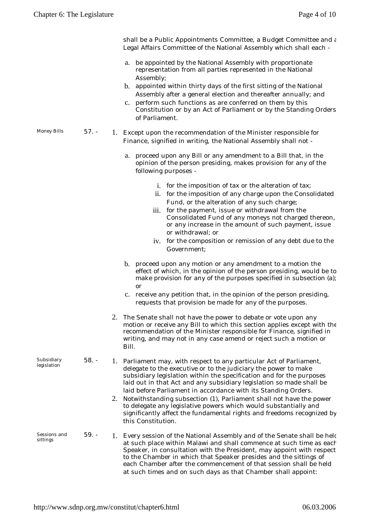|                           |         |    | shall be a Public Appointments Committee, a Budget Committee and $\epsilon$<br>Legal Affairs Committee of the National Assembly which shall each -                                                                                                                                                                                                                                                                                   |
|---------------------------|---------|----|--------------------------------------------------------------------------------------------------------------------------------------------------------------------------------------------------------------------------------------------------------------------------------------------------------------------------------------------------------------------------------------------------------------------------------------|
|                           |         |    | a. be appointed by the National Assembly with proportionate<br>representation from all parties represented in the National<br>Assembly;                                                                                                                                                                                                                                                                                              |
|                           |         |    | b. appointed within thirty days of the first sitting of the National<br>Assembly after a general election and thereafter annually; and<br>c. perform such functions as are conferred on them by this<br>Constitution or by an Act of Parliament or by the Standing Orders<br>of Parliament.                                                                                                                                          |
| Money Bills               | $57. -$ |    | 1. Except upon the recommendation of the Minister responsible for<br>Finance, signified in writing, the National Assembly shall not -                                                                                                                                                                                                                                                                                                |
|                           |         |    | a. proceed upon any Bill or any amendment to a Bill that, in the<br>opinion of the person presiding, makes provision for any of the<br>following purposes -                                                                                                                                                                                                                                                                          |
|                           |         |    | i. for the imposition of tax or the alteration of tax;<br>ii. for the imposition of any charge upon the Consolidated<br>Fund, or the alteration of any such charge;<br>iii.<br>for the payment, issue or withdrawal from the<br>Consolidated Fund of any moneys not charged thereon,<br>or any increase in the amount of such payment, issue<br>or withdrawal; or<br>iv. for the composition or remission of any debt due to the     |
|                           |         |    | Government;                                                                                                                                                                                                                                                                                                                                                                                                                          |
|                           |         |    | b. proceed upon any motion or any amendment to a motion the<br>effect of which, in the opinion of the person presiding, would be to<br>make provision for any of the purposes specified in subsection (a);<br>or                                                                                                                                                                                                                     |
|                           |         |    | c. receive any petition that, in the opinion of the person presiding,<br>requests that provision be made for any of the purposes.                                                                                                                                                                                                                                                                                                    |
|                           |         |    | 2. The Senate shall not have the power to debate or vote upon any<br>motion or receive any Bill to which this section applies except with the<br>recommendation of the Minister responsible for Finance, signified in<br>writing, and may not in any case amend or reject such a motion or<br>Bill.                                                                                                                                  |
| Subsidiary<br>legislation | $58. -$ |    | 1. Parliament may, with respect to any particular Act of Parliament,<br>delegate to the executive or to the judiciary the power to make<br>subsidiary legislation within the specification and for the purposes<br>laid out in that Act and any subsidiary legislation so made shall be                                                                                                                                              |
|                           |         | 2. | laid before Parliament in accordance with its Standing Orders.<br>Notwithstanding subsection (1), Parliament shall not have the power<br>to delegate any legislative powers which would substantially and<br>significantly affect the fundamental rights and freedoms recognized by<br>this Constitution.                                                                                                                            |
| Sessions and<br>sittings  | $59. -$ |    | 1. Every session of the National Assembly and of the Senate shall be held<br>at such place within Malawi and shall commence at such time as each<br>Speaker, in consultation with the President, may appoint with respect<br>to the Chamber in which that Speaker presides and the sittings of<br>each Chamber after the commencement of that session shall be held<br>at such times and on such days as that Chamber shall appoint: |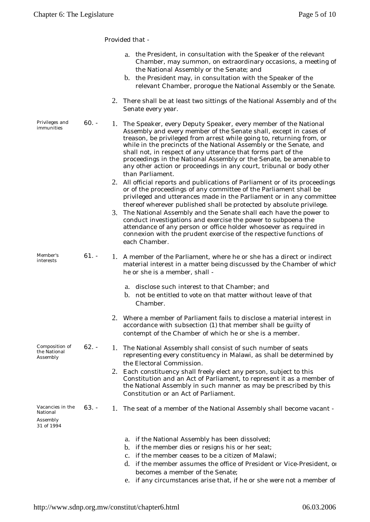Provided that a. the President, in consultation with the Speaker of the relevant Chamber, may summon, on extraordinary occasions, a meeting of the National Assembly or the Senate; and b. the President may, in consultation with the Speaker of the relevant Chamber, prorogue the National Assembly or the Senate. 2. There shall be at least two sittings of the National Assembly and of the Senate every year. Privileges and immunities 60. - 1. The Speaker, every Deputy Speaker, every member of the National Assembly and every member of the Senate shall, except in cases of treason, be privileged from arrest while going to, returning from, or while in the precincts of the National Assembly or the Senate, and shall not, in respect of any utterance that forms part of the proceedings in the National Assembly or the Senate, be amenable to any other action or proceedings in any court, tribunal or body other than Parliament. 2. All official reports and publications of Parliament or of its proceedings or of the proceedings of any committee of the Parliament shall be privileged and utterances made in the Parliament or in any committee thereof wherever published shall be protected by absolute privilege. 3. The National Assembly and the Senate shall each have the power to conduct investigations and exercise the power to subpoena the attendance of any person or office holder whosoever as required in connexion with the prudent exercise of the respective functions of each Chamber. Member's interests 61. - 1. A member of the Parliament, where he or she has a direct or indirect material interest in a matter being discussed by the Chamber of which he or she is a member, shall a. disclose such interest to that Chamber; and b. not be entitled to vote on that matter without leave of that Chamber. 2. Where a member of Parliament fails to disclose a material interest in accordance with subsection (1) that member shall be guilty of contempt of the Chamber of which he or she is a member. Composition of the National Assembly 62. - 1. The National Assembly shall consist of such number of seats representing every constituency in Malawi, as shall be determined by the Electoral Commission. 2. Each constituency shall freely elect any person, subject to this Constitution and an Act of Parliament, to represent it as a member of the National Assembly in such manner as may be prescribed by this Constitution or an Act of Parliament. Vacancies in the National Assembly 31 of 1994 63. - 1. The seat of a member of the National Assembly shall become vacant a. if the National Assembly has been dissolved; b. if the member dies or resigns his or her seat; c. if the member ceases to be a citizen of Malawi; d. if the member assumes the office of President or Vice-President, or becomes a member of the Senate; e. if any circumstances arise that, if he or she were not a member of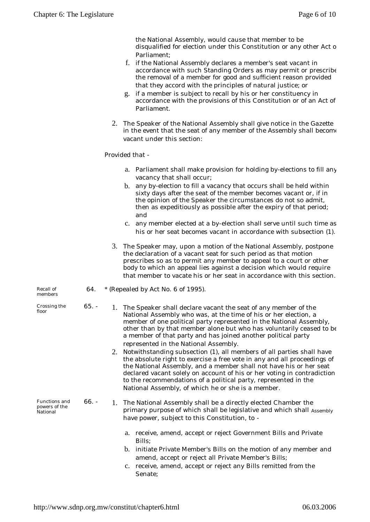|                                            |         |    | the National Assembly, would cause that member to be<br>disqualified for election under this Constitution or any other Act o<br>Parliament;<br>f.<br>if the National Assembly declares a member's seat vacant in<br>accordance with such Standing Orders as may permit or prescribe<br>the removal of a member for good and sufficient reason provided<br>that they accord with the principles of natural justice; or<br>if a member is subject to recall by his or her constituency in<br>g.<br>accordance with the provisions of this Constitution or of an Act of<br>Parliament. |
|--------------------------------------------|---------|----|-------------------------------------------------------------------------------------------------------------------------------------------------------------------------------------------------------------------------------------------------------------------------------------------------------------------------------------------------------------------------------------------------------------------------------------------------------------------------------------------------------------------------------------------------------------------------------------|
|                                            |         |    | 2. The Speaker of the National Assembly shall give notice in the Gazette<br>in the event that the seat of any member of the Assembly shall become<br>vacant under this section:                                                                                                                                                                                                                                                                                                                                                                                                     |
|                                            |         |    | Provided that -                                                                                                                                                                                                                                                                                                                                                                                                                                                                                                                                                                     |
|                                            |         |    | a. Parliament shall make provision for holding by-elections to fill any<br>vacancy that shall occur;<br>b. any by-election to fill a vacancy that occurs shall be held within<br>sixty days after the seat of the member becomes vacant or, if in<br>the opinion of the Speaker the circumstances do not so admit,<br>then as expeditiously as possible after the expiry of that period;<br>and                                                                                                                                                                                     |
|                                            |         |    | c. any member elected at a by-election shall serve until such time as<br>his or her seat becomes vacant in accordance with subsection (1).                                                                                                                                                                                                                                                                                                                                                                                                                                          |
|                                            |         | 3. | The Speaker may, upon a motion of the National Assembly, postpone<br>the declaration of a vacant seat for such period as that motion<br>prescribes so as to permit any member to appeal to a court or other<br>body to which an appeal lies against a decision which would require<br>that member to vacate his or her seat in accordance with this section.                                                                                                                                                                                                                        |
| Recall of<br>members                       | 64.     |    | * (Repealed by Act No. 6 of 1995).                                                                                                                                                                                                                                                                                                                                                                                                                                                                                                                                                  |
| Crossing the<br>floor                      | $65. -$ |    | 1. The Speaker shall declare vacant the seat of any member of the<br>National Assembly who was, at the time of his or her election, a<br>member of one political party represented in the National Assembly,<br>other than by that member alone but who has voluntarily ceased to be<br>a member of that party and has joined another political party<br>represented in the National Assembly.                                                                                                                                                                                      |
|                                            |         |    | 2. Notwithstanding subsection (1), all members of all parties shall have<br>the absolute right to exercise a free vote in any and all proceedings of<br>the National Assembly, and a member shall not have his or her seat<br>declared vacant solely on account of his or her voting in contradiction<br>to the recommendations of a political party, represented in the<br>National Assembly, of which he or she is a member.                                                                                                                                                      |
| Functions and<br>powers of the<br>National | $66. -$ |    | 1. The National Assembly shall be a directly elected Chamber the<br>primary purpose of which shall be legislative and which shall Assembly<br>have power, subject to this Constitution, to -                                                                                                                                                                                                                                                                                                                                                                                        |
|                                            |         |    | a. receive, amend, accept or reject Government Bills and Private<br>Bills;<br>b. initiate Private Member's Bills on the motion of any member and<br>amend, accept or reject all Private Member's Bills;<br>c. receive, amend, accept or reject any Bills remitted from the<br>Senate;                                                                                                                                                                                                                                                                                               |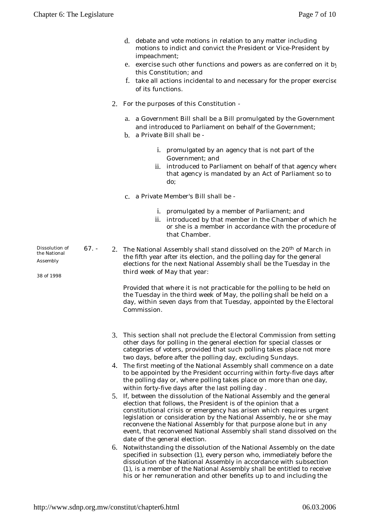|                                                          |         |  | d. debate and vote motions in relation to any matter including<br>motions to indict and convict the President or Vice-President by<br>impeachment;<br>e. exercise such other functions and powers as are conferred on it by<br>this Constitution; and<br>f. take all actions incidental to and necessary for the proper exercise<br>of its functions.              |
|----------------------------------------------------------|---------|--|--------------------------------------------------------------------------------------------------------------------------------------------------------------------------------------------------------------------------------------------------------------------------------------------------------------------------------------------------------------------|
|                                                          |         |  | 2. For the purposes of this Constitution -                                                                                                                                                                                                                                                                                                                         |
|                                                          |         |  | a Government Bill shall be a Bill promulgated by the Government<br>a.<br>and introduced to Parliament on behalf of the Government;<br>b. a Private Bill shall be -                                                                                                                                                                                                 |
|                                                          |         |  | i. promulgated by an agency that is not part of the<br>Government; and<br>introduced to Parliament on behalf of that agency where<br>$\overline{\mathbf{11}}$ .<br>that agency is mandated by an Act of Parliament so to<br>do;                                                                                                                                    |
|                                                          |         |  | c. a Private Member's Bill shall be -                                                                                                                                                                                                                                                                                                                              |
|                                                          |         |  | i. promulgated by a member of Parliament; and<br>ii. introduced by that member in the Chamber of which he<br>or she is a member in accordance with the procedure of<br>that Chamber.                                                                                                                                                                               |
| Dissolution of<br>the National<br>Assembly<br>38 of 1998 | $67. -$ |  | 2. The National Assembly shall stand dissolved on the 20 <sup>th</sup> of March in<br>the fifth year after its election, and the polling day for the general<br>elections for the next National Assembly shall be the Tuesday in the<br>third week of May that year:                                                                                               |
|                                                          |         |  | Provided that where it is not practicable for the polling to be held on<br>the Tuesday in the third week of May, the polling shall be held on a<br>day, within seven days from that Tuesday, appointed by the Electoral<br>Commission.                                                                                                                             |
|                                                          |         |  | 3. This section shall not preclude the Electoral Commission from setting<br>other days for polling in the general election for special classes or<br>categories of voters, provided that such polling takes place not more<br>two days, before after the polling day, excluding Sundays.<br>4. The first meeting of the National Assembly shall commence on a date |
|                                                          |         |  | to be appointed by the President occurring within forty-five days after                                                                                                                                                                                                                                                                                            |

- to be appointed by the President occurring within forty-five days after the polling day or, where polling takes place on more than one day, within forty-five days after the last polling day .
- 5. If, between the dissolution of the National Assembly and the general election that follows, the President is of the opinion that a constitutional crisis or emergency has arisen which requires urgent legislation or consideration by the National Assembly, he or she may reconvene the National Assembly for that purpose alone but in any event, that reconvened National Assembly shall stand dissolved on the date of the general election.
- 6. Notwithstanding the dissolution of the National Assembly on the date specified in subsection (1), every person who, immediately before the dissolution of the National Assembly in accordance with subsection (1), is a member of the National Assembly shall be entitled to receive his or her remuneration and other benefits up to and including the

http://www.sdnp.org.mw/constitut/chapter6.html 06.03.2006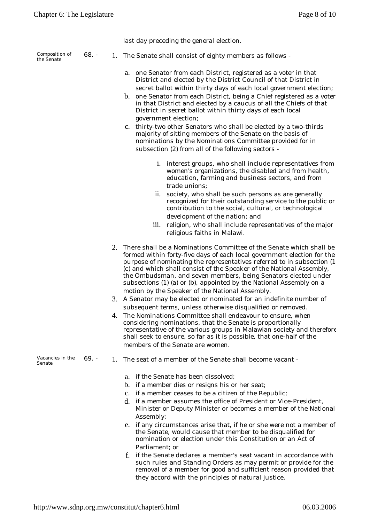last day preceding the general election.

Composition of the Senate

68. - 1. The Senate shall consist of eighty members as follows -

- a. one Senator from each District, registered as a voter in that District and elected by the District Council of that District in secret ballot within thirty days of each local government election;
- b. one Senator from each District, being a Chief registered as a voter in that District and elected by a caucus of all the Chiefs of that District in secret ballot within thirty days of each local government election;
- c. thirty-two other Senators who shall be elected by a two-thirds majority of sitting members of the Senate on the basis of nominations by the Nominations Committee provided for in subsection (2) from all of the following sectors
	- i. interest groups, who shall include representatives from women's organizations, the disabled and from health, education, farming and business sectors, and from trade unions;
	- ii. society, who shall be such persons as are generally recognized for their outstanding service to the public or contribution to the social, cultural, or technological development of the nation; and
	- iii. religion, who shall include representatives of the major religious faiths in Malawi.
- 2. There shall be a Nominations Committee of the Senate which shall be formed within forty-five days of each local government election for the purpose of nominating the representatives referred to in subsection (1) (c) and which shall consist of the Speaker of the National Assembly, the Ombudsman, and seven members, being Senators elected under subsections (1) (a) or (b), appointed by the National Assembly on a motion by the Speaker of the National Assembly.
- 3. A Senator may be elected or nominated for an indefinite number of subsequent terms, unless otherwise disqualified or removed.
- 4. The Nominations Committee shall endeavour to ensure, when considering nominations, that the Senate is proportionally representative of the various groups in Malawian society and therefore shall seek to ensure, so far as it is possible, that one-half of the members of the Senate are women.

| Vacancies in the $69 -$<br>Conto | 1. The seat of a member of the Senate shall become vacant - |
|----------------------------------|-------------------------------------------------------------|
|                                  |                                                             |

- a. if the Senate has been dissolved;
- b. if a member dies or resigns his or her seat;
- c. if a member ceases to be a citizen of the Republic;
- d. if a member assumes the office of President or Vice-President, Minister or Deputy Minister or becomes a member of the National Assembly;
- e. if any circumstances arise that, if he or she were not a member of the Senate, would cause that member to be disqualified for nomination or election under this Constitution or an Act of Parliament; or
- f. if the Senate declares a member's seat vacant in accordance with such rules and Standing Orders as may permit or provide for the removal of a member for good and sufficient reason provided that they accord with the principles of natural justice.

Senate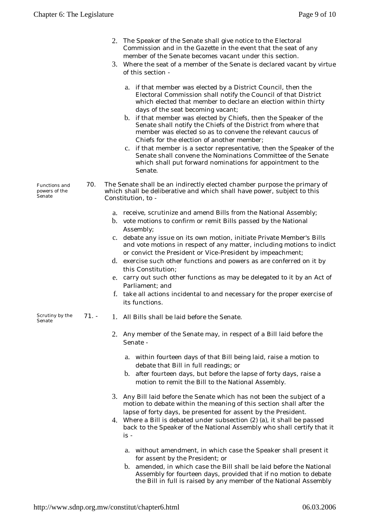- 2. The Speaker of the Senate shall give notice to the Electoral Commission and in the *Gazette* in the event that the seat of any member of the Senate becomes vacant under this section.
- 3. Where the seat of a member of the Senate is declared vacant by virtue of this section
	- a. if that member was elected by a District Council, then the Electoral Commission shall notify the Council of that District which elected that member to declare an election within thirty days of the seat becoming vacant;
	- b. if that member was elected by Chiefs, then the Speaker of the Senate shall notify the Chiefs of the District from where that member was elected so as to convene the relevant caucus of Chiefs for the election of another member;
	- c. if that member is a sector representative, then the Speaker of the Senate shall convene the Nominations Committee of the Senate which shall put forward nominations for appointment to the Senate.
- Functions and powers of the Senate
	- 70. The Senate shall be an indirectly elected chamber purpose the primary of which shall be deliberative and which shall have power, subject to this Constitution, to
		- a. receive, scrutinize and amend Bills from the National Assembly;
		- b. vote motions to confirm or remit Bills passed by the National Assembly;
		- c. debate any issue on its own motion, initiate Private Member's Bills and vote motions in respect of any matter, including motions to indict or convict the President or Vice-President by impeachment;
		- d. exercise such other functions and powers as are conferred on it by this Constitution;
		- e. carry out such other functions as may be delegated to it by an Act of Parliament; and
		- f. take all actions incidental to and necessary for the proper exercise of its functions.

Scrutiny by the Senate

- 71. 1. All Bills shall be laid before the Senate.
	- 2. Any member of the Senate may, in respect of a Bill laid before the Senate
		- a. within fourteen days of that Bill being laid, raise a motion to debate that Bill in full readings; or
		- b. after fourteen days, but before the lapse of forty days, raise a motion to remit the Bill to the National Assembly.
	- 3. Any Bill laid before the Senate which has not been the subject of a motion to debate within the meaning of this section shall after the lapse of forty days, be presented for assent by the President.
	- 4. Where a Bill is debated under subsection (2) (a), it shall be passed back to the Speaker of the National Assembly who shall certify that it is
		- a. without amendment, in which case the Speaker shall present it for assent by the President; or
		- b. amended, in which case the Bill shall be laid before the National Assembly for fourteen days, provided that if no motion to debate the Bill in full is raised by any member of the National Assembly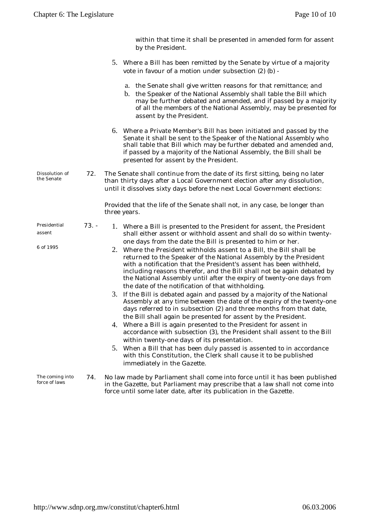|                                  |         | within that time it shall be presented in amended form for assent<br>by the President.                                                                                                                                                                                                                                                                                                                                                                                                |
|----------------------------------|---------|---------------------------------------------------------------------------------------------------------------------------------------------------------------------------------------------------------------------------------------------------------------------------------------------------------------------------------------------------------------------------------------------------------------------------------------------------------------------------------------|
|                                  |         | 5. Where a Bill has been remitted by the Senate by virtue of a majority<br>vote in favour of a motion under subsection (2) (b) -                                                                                                                                                                                                                                                                                                                                                      |
|                                  |         | a. the Senate shall give written reasons for that remittance; and<br>b. the Speaker of the National Assembly shall table the Bill which<br>may be further debated and amended, and if passed by a majority<br>of all the members of the National Assembly, may be presented for<br>assent by the President.                                                                                                                                                                           |
|                                  |         | 6. Where a Private Member's Bill has been initiated and passed by the<br>Senate it shall be sent to the Speaker of the National Assembly who<br>shall table that Bill which may be further debated and amended and,<br>if passed by a majority of the National Assembly, the Bill shall be<br>presented for assent by the President.                                                                                                                                                  |
| Dissolution of<br>the Senate     | 72.     | The Senate shall continue from the date of its first sitting, being no later<br>than thirty days after a Local Government election after any dissolution,<br>until it dissolves sixty days before the next Local Government elections:                                                                                                                                                                                                                                                |
|                                  |         | Provided that the life of the Senate shall not, in any case, be longer than<br>three years.                                                                                                                                                                                                                                                                                                                                                                                           |
| Presidential<br>assent           | $73. -$ | 1. Where a Bill is presented to the President for assent, the President<br>shall either assent or withhold assent and shall do so within twenty-                                                                                                                                                                                                                                                                                                                                      |
| 6 of 1995                        |         | one days from the date the Bill is presented to him or her.<br>2. Where the President withholds assent to a Bill, the Bill shall be<br>returned to the Speaker of the National Assembly by the President<br>with a notification that the President's assent has been withheld,<br>including reasons therefor, and the Bill shall not be again debated by<br>the National Assembly until after the expiry of twenty-one days from<br>the date of the notification of that withholding. |
|                                  |         | 3. If the Bill is debated again and passed by a majority of the National<br>Assembly at any time between the date of the expiry of the twenty-one<br>days referred to in subsection (2) and three months from that date,<br>the Bill shall again be presented for assent by the President.                                                                                                                                                                                            |
|                                  |         | 4. Where a Bill is again presented to the President for assent in<br>accordance with subsection (3), the President shall assent to the Bill<br>within twenty-one days of its presentation.                                                                                                                                                                                                                                                                                            |
|                                  |         | 5. When a Bill that has been duly passed is assented to in accordance<br>with this Constitution, the Clerk shall cause it to be published<br>immediately in the Gazette.                                                                                                                                                                                                                                                                                                              |
| The coming into<br>force of laws | 74.     | No law made by Parliament shall come into force until it has been published<br>in the Gazette, but Parliament may prescribe that a law shall not come into                                                                                                                                                                                                                                                                                                                            |

force until some later date, after its publication in the *Gazette*.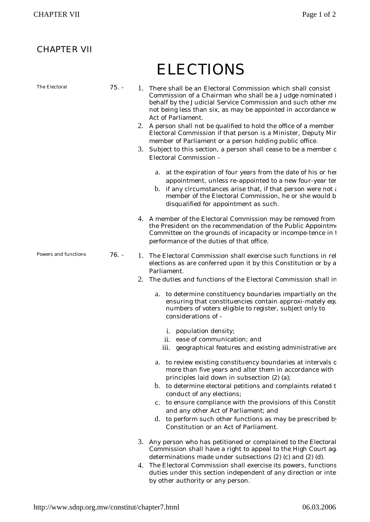| <b>CHAPTER VII</b>   |         |                                                                                                                                                                                                                                                                                                                                                                                                                                                                                                                                                                                                                                 |
|----------------------|---------|---------------------------------------------------------------------------------------------------------------------------------------------------------------------------------------------------------------------------------------------------------------------------------------------------------------------------------------------------------------------------------------------------------------------------------------------------------------------------------------------------------------------------------------------------------------------------------------------------------------------------------|
|                      |         | <b>ELECTIONS</b>                                                                                                                                                                                                                                                                                                                                                                                                                                                                                                                                                                                                                |
| The Electoral        | $75. -$ | 1. There shall be an Electoral Commission which shall consist<br>Commission of a Chairman who shall be a Judge nominated i<br>behalf by the Judicial Service Commission and such other me<br>not being less than six, as may be appointed in accordance w<br>Act of Parliament.<br>A person shall not be qualified to hold the office of a member<br>2.<br>Electoral Commission if that person is a Minister, Deputy Mir<br>member of Parliament or a person holding public office.<br>Subject to this section, a person shall cease to be a member o<br>3.<br>Electoral Commission -                                           |
|                      |         | a. at the expiration of four years from the date of his or her<br>appointment, unless re-appointed to a new four-year ter<br>b. if any circumstances arise that, if that person were not $\epsilon$<br>member of the Electoral Commission, he or she would b<br>disqualified for appointment as such.                                                                                                                                                                                                                                                                                                                           |
|                      |         | 4. A member of the Electoral Commission may be removed from<br>the President on the recommendation of the Public Appointme<br>Committee on the grounds of incapacity or incompe-tence in 1<br>performance of the duties of that office.                                                                                                                                                                                                                                                                                                                                                                                         |
| Powers and functions | $76. -$ | 1. The Electoral Commission shall exercise such functions in rel<br>elections as are conferred upon it by this Constitution or by a<br>Parliament.<br>The duties and functions of the Electoral Commission shall in<br>2.<br>to determine constituency boundaries impartially on the<br>a.<br>ensuring that constituencies contain approxi-mately equ<br>numbers of voters eligible to register, subject only to<br>considerations of -                                                                                                                                                                                         |
|                      |         | population density;<br>$\mathbf{1}$ .<br>ii.<br>ease of communication; and<br>geographical features and existing administrative are<br>iii.<br>a. to review existing constituency boundaries at intervals o<br>more than five years and alter them in accordance with<br>principles laid down in subsection (2) (a);<br>b. to determine electoral petitions and complaints related t<br>conduct of any elections;<br>c. to ensure compliance with the provisions of this Constit<br>and any other Act of Parliament; and<br>d. to perform such other functions as may be prescribed by<br>Constitution or an Act of Parliament. |
|                      |         | 3. Any person who has petitioned or complained to the Electoral<br>Commission shall have a right to appeal to the High Court age<br>determinations made under subsections (2) (c) and (2) (d).<br>The Electoral Commission shall exercise its powers, functions<br>4.<br>duties under this section independent of any direction or inte                                                                                                                                                                                                                                                                                         |

by other authority or any person.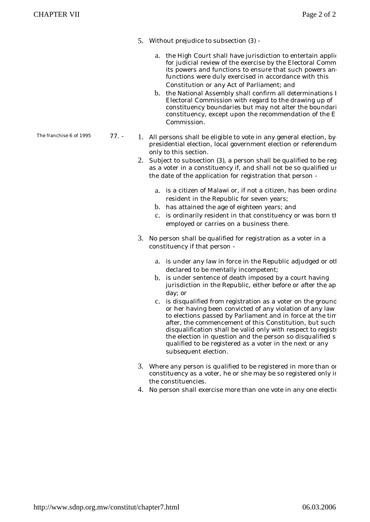- 5. Without prejudice to subsection (3)
	- a. the High Court shall have jurisdiction to entertain applications. for judicial review of the exercise by the Electoral Comm its powers and functions to ensure that such powers and functions were duly exercised in accordance with this Constitution or any Act of Parliament; and
	- b. the National Assembly shall confirm all determinations by Electoral Commission with regard to the drawing up of constituency boundaries but may not alter the boundari constituency, except upon the recommendation of the  $E$ Commission.
- The franchise 6 of 1995  $\overline{77. 1}$ . All persons shall be eligible to vote in any general election, bypresidential election, local government election or referendum only to this section.
	- 2. Subject to subsection  $(3)$ , a person shall be qualified to be reg as a voter in a constituency if, and shall not be so qualified un the date of the application for registration that person
		- a. is a citizen of Malawi or, if not a citizen, has been ordina resident in the Republic for seven years;
		- b. has attained the age of eighteen years; and
		- c. is ordinarily resident in that constituency or was born there or is employed or carries on a business there.
	- 3. No person shall be qualified for registration as a voter in a constituency if that person
		- a. is under any law in force in the Republic adjudged or otl declared to be mentally incompetent;
		- b. is under sentence of death imposed by a court having jurisdiction in the Republic, either before or after the ap day; or
		- c. is disqualified from registration as a voter on the ground or her having been convicted of any violation of any law to elections passed by Parliament and in force at the tim after, the commencement of this Constitution, but such disqualification shall be valid only with respect to registration the election in question and the person so disqualified shall qualified to be registered as a voter in the next or any subsequent election.
	- 3. Where any person is qualified to be registered in more than or constituency as a voter, he or she may be so registered only in the constituencies.
	- 4. No person shall exercise more than one vote in any one election.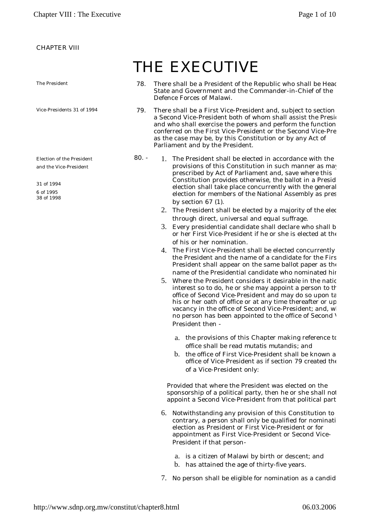#### CHAPTER VIII

Election of the President and the Vice-President

31 of 1994 6 of 1995 38 of 1998

# THE EXECUTIVE

- The President 78. There shall be a President of the Republic who shall be Head State and Government and the Commander-in-Chief of the Defence Forces of Malawi.
- Vice-Presidents 31 of 1994 79. There shall be a First Vice-President and, subject to section a Second Vice-President both of whom shall assist the President and who shall exercise the powers and perform the function conferred on the First Vice-President or the Second Vice-Pre as the case may be, by this Constitution or by any Act of Parliament and by the President.
	- 80. 1. The President shall be elected in accordance with the provisions of this Constitution in such manner as may prescribed by Act of Parliament and, save where this Constitution provides otherwise, the ballot in a Presidential election shall take place concurrently with the general election for members of the National Assembly as pres by section 67 (1).
		- 2. The President shall be elected by a majority of the electorate through direct, universal and equal suffrage.
		- 3. Every presidential candidate shall declare who shall be or her First Vice-President if he or she is elected at the of his or her nomination.
		- 4. The First Vice-President shall be elected concurrently the President and the name of a candidate for the Firs President shall appear on the same ballot paper as the name of the Presidential candidate who nominated hir
		- 5. Where the President considers it desirable in the national interest so to do, he or she may appoint a person to th office of Second Vice-President and may do so upon ta his or her oath of office or at any time thereafter or up vacancy in the office of Second Vice-President; and, wl no person has been appointed to the office of Second \ President then
			- a. the provisions of this Chapter making reference to office shall be read *mutatis mutandis;* and
			- b. the office of First Vice-President shall be known as office of Vice-President as if section 79 created th $\epsilon$ of a Vice-President only:

Provided that where the President was elected on the sponsorship of a political party, then he or she shall not appoint a Second Vice-President from that political part

- 6. Notwithstanding any provision of this Constitution to contrary, a person shall only be qualified for nominati election as President or First Vice-President or for appointment as First Vice-President or Second Vice-President if that person
	- a. is a citizen of Malawi by birth or descent; and
	- b. has attained the age of thirty-five years.
- 7. No person shall be eligible for nomination as a candid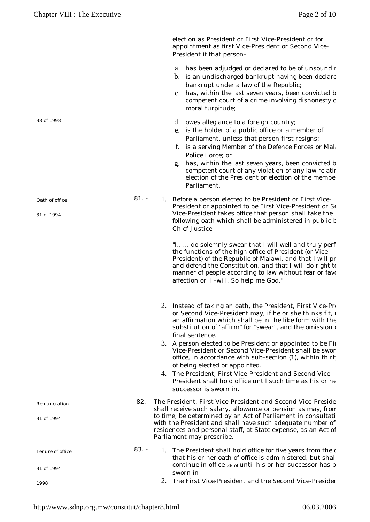election as President or First Vice-President or for appointment as first Vice-President or Second Vice-President if that person-

- a. has been adjudged or declared to be of unsound r
- b. is an undischarged bankrupt having been declare bankrupt under a law of the Republic;
- c. has, within the last seven years, been convicted b competent court of a crime involving dishonesty or moral turpitude;
- 38 of 1998 d. owes allegiance to a foreign country;
	- e. is the holder of a public office or a member of Parliament, unless that person first resigns;
	- f. is a serving Member of the Defence Forces or Mala Police Force; or
	- g. has, within the last seven years, been convicted b competent court of any violation of any law relatir election of the President or election of the member Parliament.
	- 81. 1. Before a person elected to be President or First Vice-President or appointed to be First Vice-President or Se Vice-President takes office that person shall take the following oath which shall be administered in public b Chief Justice-

"I.......do solemnly swear that I will well and truly perform... the functions of the high office of President (or Vice-President) of the Republic of Malawi, and that I will pr and defend the Constitution, and that I will do right to manner of people according to law without fear or favour affection or ill-will. So help me God."

- 2. Instead of taking an oath, the President, First Vice-Prest or Second Vice-President may, if he or she thinks fit, r an affirmation which shall be in the like form with the substitution of "affirm" for "swear", and the omission of final sentence.
- 3. A person elected to be President or appointed to be Fir Vice-President or Second Vice-President shall be swor office, in accordance with sub-section (1), within thirty of being elected or appointed.
- 4. The President, First Vice-President and Second Vice-President shall hold office until such time as his or he successor is sworn in.
- 82. The President, First Vice-President and Second Vice-Preside shall receive such salary, allowance or pension as may, from to time, be determined by an Act of Parliament in consultation with the President and shall have such adequate number of residences and personal staff, at State expense, as an Act of Parliament may prescribe.
- 83. 1. The President shall hold office for five years from the  $\epsilon$ that his or her oath of office is administered, but shall continue in office  $38 \text{ of}$  until his or her successor has be sworn in
	- 2. The First Vice-President and the Second Vice-Presider

Oath of office

31 of 1994

31 of 1994

Tenure of office

Remuneration

31 of 1994

1998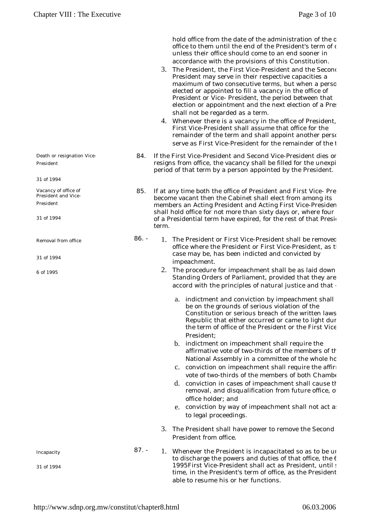hold office from the date of the administration of the o office to them until the end of the President's term of our unless their office should come to an end sooner in accordance with the provisions of this Constitution.

- 3. The President, the First Vice-President and the Second President may serve in their respective capacities a maximum of two consecutive terms, but when a perso elected or appointed to fill a vacancy in the office of President or Vice- President, the period between that election or appointment and the next election of a Pres shall not be regarded as a term.
- 4. Whenever there is a vacancy in the office of President, First Vice-President shall assume that office for the remainder of the term and shall appoint another person serve as First Vice-President for the remainder of the t
- 84. If the First Vice-President and Second Vice-President dies or resigns from office, the vacancy shall be filled for the unexpi period of that term by a person appointed by the President.
- 85. If at any time both the office of President and First Vice- Pre become vacant then the Cabinet shall elect from among its members an Acting President and Acting First Vice-President shall hold office for not more than sixty days or, where four of a Presidential term have expired, for the rest of that Presidential term term.
- 86. 1. The President or First Vice-President shall be removed office where the President or First Vice-President, as the case may be, has been indicted and convicted by impeachment.
	- 2. The procedure for impeachment shall be as laid down Standing Orders of Parliament, provided that they are accord with the principles of natural justice and that
		- a. indictment and conviction by impeachment shall be on the grounds of serious violation of the Constitution or serious breach of the written laws Republic that either occurred or came to light during the term of office of the President or the First Vice President;
		- b. indictment on impeachment shall require the affirmative vote of two-thirds of the members of the National Assembly in a committee of the whole house
		- c. conviction on impeachment shall require the affirmation vote of two-thirds of the members of both Chambers
		- d. conviction in cases of impeachment shall cause the removal, and disqualification from future office, of office holder; and
		- e. conviction by way of impeachment shall not act as to legal proceedings.
	- 3. The President shall have power to remove the Second President from office.
- 87. 1. Whenever the President is incapacitated so as to be unable to discharge the powers and duties of that office, the  $\ell$ 1995First Vice-President shall act as President, until such time, in the President's term of office, as the President able to resume his or her functions.

Death or resignation Vice-President

31 of 1994

Vacancy of office of President and Vice-President

31 of 1994

Removal from office

31 of 1994

6 of 1995

Incapacity

31 of 1994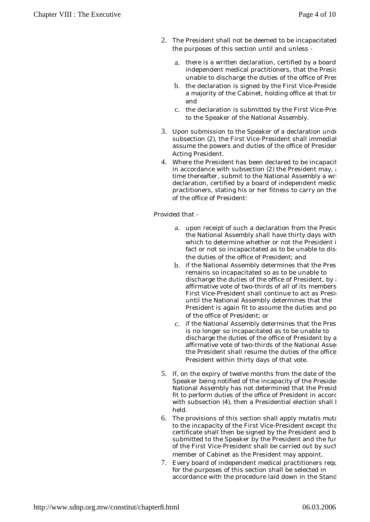- 2. The President shall not be deemed to be incapacitated the purposes of this section until and unless
	- a. there is a written declaration, certified by a board independent medical practitioners, that the President unable to discharge the duties of the office of Pres
	- b. the declaration is signed by the First Vice-Preside a majority of the Cabinet, holding office at that tir and
	- c. the declaration is submitted by the First Vice-Pres to the Speaker of the National Assembly.
- 3. Upon submission to the Speaker of a declaration under subsection (2), the First Vice-President shall immediat assume the powers and duties of the office of Presider Acting President.
- 4. Where the President has been declared to be incapacit in accordance with subsection (2) the President may,  $i$ time thereafter, submit to the National Assembly a written declaration, certified by a board of independent medic practitioners, stating his or her fitness to carry on the of the office of President:

Provided that -

- a. upon receipt of such a declaration from the Presic the National Assembly shall have thirty days with which to determine whether or not the President i fact or not so incapacitated as to be unable to dise the duties of the office of President; and
- b. if the National Assembly determines that the Pres remains so incapacitated so as to be unable to discharge the duties of the office of President, by  $\epsilon$ affirmative vote of two-thirds of all of its members First Vice-President shall continue to act as President until the National Assembly determines that the President is again fit to assume the duties and po of the office of President; or
- c. if the National Assembly determines that the Pres is no longer so incapacitated as to be unable to discharge the duties of the office of President by a affirmative vote of two-thirds of the National Asser the President shall resume the duties of the office President within thirty days of that vote.
- 5. If, on the expiry of twelve months from the date of the Speaker being notified of the incapacity of the Presiden National Assembly has not determined that the Presid fit to perform duties of the office of President in accord with subsection (4), then a Presidential election shall  $\mathfrak b$ held.
- 6. The provisions of this section shall apply mutatis mutant to the incapacity of the First Vice-President except that certificate shall then be signed by the President and b submitted to the Speaker by the President and the fur of the First Vice-President shall be carried out by such member of Cabinet as the President may appoint.
- 7. Every board of independent medical practitioners requ for the purposes of this section shall be selected in accordance with the procedure laid down in the Stand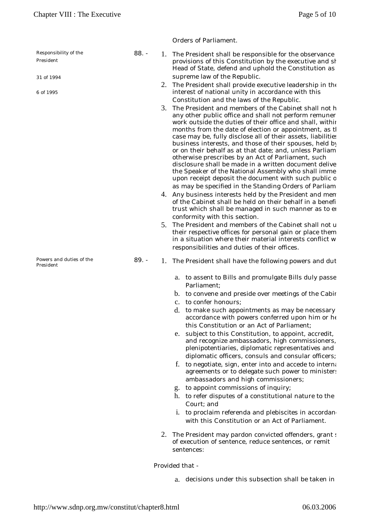Responsibility of the

President

31 of 1994

6 of 1995

Orders of Parliament.

- $88. 1$ . The President shall be responsible for the observance provisions of this Constitution by the executive and shall Head of State, defend and uphold the Constitution as supreme law of the Republic.
	- 2. The President shall provide executive leadership in the interest of national unity in accordance with this Constitution and the laws of the Republic.
	- 3. The President and members of the Cabinet shall not h any other public office and shall not perform remuner work outside the duties of their office and shall, withir months from the date of election or appointment, as tl case may be, fully disclose all of their assets, liabilities business interests, and those of their spouses, held by or on their behalf as at that date; and, unless Parliam otherwise prescribes by an Act of Parliament, such disclosure shall be made in a written document delive the Speaker of the National Assembly who shall immed upon receipt deposit the document with such public of as may be specified in the Standing Orders of Parliam
	- 4. Any business interests held by the President and mem of the Cabinet shall be held on their behalf in a benefi trust which shall be managed in such manner as to en conformity with this section.
	- 5. The President and members of the Cabinet shall not use their respective offices for personal gain or place them in a situation where their material interests conflict w responsibilities and duties of their offices.
- 89. 1. The President shall have the following powers and dut
	- a. to assent to Bills and promulgate Bills duly passe Parliament;
	- b. to convene and preside over meetings of the Cabir
	- c. to confer honours;
	- d. to make such appointments as may be necessary accordance with powers conferred upon him or he this Constitution or an Act of Parliament;
	- e. subject to this Constitution, to appoint, accredit, and recognize ambassadors, high commissioners, plenipotentiaries, diplomatic representatives and diplomatic officers, consuls and consular officers;
	- f. to negotiate, sign, enter into and accede to international agreements or to delegate such power to ministers ambassadors and high commissioners;
	- g. to appoint commissions of inquiry;
	- h. to refer disputes of a constitutional nature to the Court; and
	- $i.$  to proclaim referenda and plebiscites in accordane with this Constitution or an Act of Parliament.
	- 2. The President may pardon convicted offenders, grant  $\epsilon$ of execution of sentence, reduce sentences, or remit sentences:

Provided that -

a. decisions under this subsection shall be taken in

Powers and duties of the

President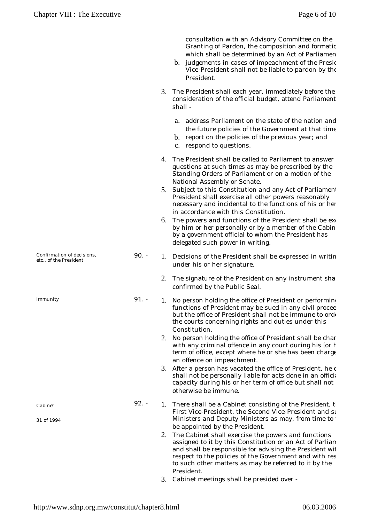consultation with an Advisory Committee on the Granting of Pardon, the composition and formatic which shall be determined by an Act of Parliamen

- b. judgements in cases of impeachment of the Presic Vice-President shall not be liable to pardon by the President.
- 3. The President shall each year, immediately before the consideration of the official budget, attend Parliament shall
	- a. address Parliament on the state of the nation and the future policies of the Government at that time;
	- b. report on the policies of the previous year; and
	- c. respond to questions.
- 4. The President shall be called to Parliament to answer questions at such times as may be prescribed by the Standing Orders of Parliament or on a motion of the National Assembly or Senate.
- 5. Subject to this Constitution and any Act of Parliament President shall exercise all other powers reasonably necessary and incidental to the functions of his or her in accordance with this Constitution.
- 6. The powers and functions of the President shall be exerby him or her personally or by a member of the Cabine by a government official to whom the President has delegated such power in writing.
- 90. 1. Decisions of the President shall be expressed in writing under his or her signature.
	- 2. The signature of the President on any instrument shall confirmed by the Public Seal.
- Immunity  $91. 1$ . No person holding the office of President or performing functions of President may be sued in any civil procee but the office of President shall not be immune to order the courts concerning rights and duties under this Constitution.
	- 2. No person holding the office of President shall be char with any criminal offence in any court during his [or h term of office, except where he or she has been charge an offence on impeachment.
	- 3. After a person has vacated the office of President, he c shall not be personally liable for acts done in an official capacity during his or her term of office but shall not otherwise be immune.
	- 92. 1. There shall be a Cabinet consisting of the President, the First Vice-President, the Second Vice-President and su Ministers and Deputy Ministers as may, from time to  $\dagger$ be appointed by the President.
		- 2. The Cabinet shall exercise the powers and functions assigned to it by this Constitution or an Act of Parlian and shall be responsible for advising the President with respect to the policies of the Government and with res to such other matters as may be referred to it by the President.
		- 3. Cabinet meetings shall be presided over -

Confirmation of decisions, etc., of the President

Cabinet

31 of 1994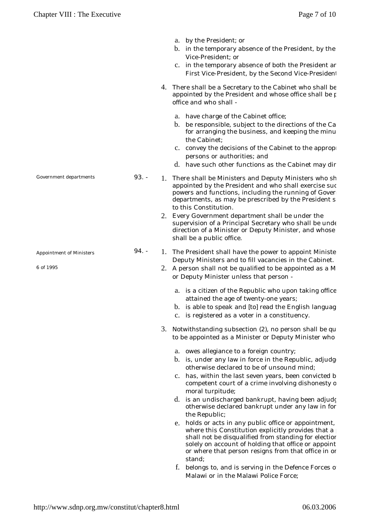|                                       |         |    | a. by the President; or<br>b. in the temporary absence of the President, by the<br>Vice-President; or<br>c. in the temporary absence of both the President ar<br>First Vice-President, by the Second Vice-President                                                                                                                                                                                                                                                                                                                                                                                                                                                                                                                                                                                                             |
|---------------------------------------|---------|----|---------------------------------------------------------------------------------------------------------------------------------------------------------------------------------------------------------------------------------------------------------------------------------------------------------------------------------------------------------------------------------------------------------------------------------------------------------------------------------------------------------------------------------------------------------------------------------------------------------------------------------------------------------------------------------------------------------------------------------------------------------------------------------------------------------------------------------|
|                                       |         |    | 4. There shall be a Secretary to the Cabinet who shall be<br>appointed by the President and whose office shall be p<br>office and who shall -                                                                                                                                                                                                                                                                                                                                                                                                                                                                                                                                                                                                                                                                                   |
|                                       |         |    | a. have charge of the Cabinet office;<br>b. be responsible, subject to the directions of the Ca<br>for arranging the business, and keeping the minu<br>the Cabinet;<br>c. convey the decisions of the Cabinet to the appropi<br>persons or authorities; and<br>d. have such other functions as the Cabinet may dir                                                                                                                                                                                                                                                                                                                                                                                                                                                                                                              |
| Government departments                | $93. -$ | 1. | There shall be Ministers and Deputy Ministers who sh<br>appointed by the President and who shall exercise suc<br>powers and functions, including the running of Gover<br>departments, as may be prescribed by the President s<br>to this Constitution.<br>2. Every Government department shall be under the<br>supervision of a Principal Secretary who shall be unde<br>direction of a Minister or Deputy Minister, and whose                                                                                                                                                                                                                                                                                                                                                                                                  |
|                                       |         |    | shall be a public office.                                                                                                                                                                                                                                                                                                                                                                                                                                                                                                                                                                                                                                                                                                                                                                                                       |
| Appointment of Ministers<br>6 of 1995 | $94. -$ |    | 1. The President shall have the power to appoint Ministe<br>Deputy Ministers and to fill vacancies in the Cabinet.<br>2. A person shall not be qualified to be appointed as a M<br>or Deputy Minister unless that person -                                                                                                                                                                                                                                                                                                                                                                                                                                                                                                                                                                                                      |
|                                       |         |    | a. is a citizen of the Republic who upon taking office<br>attained the age of twenty-one years;<br>b. is able to speak and [to] read the English languag<br>c. is registered as a voter in a constituency.                                                                                                                                                                                                                                                                                                                                                                                                                                                                                                                                                                                                                      |
|                                       |         | 3. | Notwithstanding subsection (2), no person shall be qu<br>to be appointed as a Minister or Deputy Minister who                                                                                                                                                                                                                                                                                                                                                                                                                                                                                                                                                                                                                                                                                                                   |
|                                       |         |    | a. owes allegiance to a foreign country;<br>$\mathbf b$ . is, under any law in force in the Republic, adjudge<br>otherwise declared to be of unsound mind;<br>c. has, within the last seven years, been convicted b<br>competent court of a crime involving dishonesty o<br>moral turpitude;<br>d. is an undischarged bankrupt, having been adjudged.<br>otherwise declared bankrupt under any law in for<br>the Republic;<br>e. holds or acts in any public office or appointment,<br>where this Constitution explicitly provides that a<br>shall not be disqualified from standing for electior<br>solely on account of holding that office or appoint<br>or where that person resigns from that office in or<br>stand;<br>f.<br>belongs to, and is serving in the Defence Forces of<br>Malawi or in the Malawi Police Force; |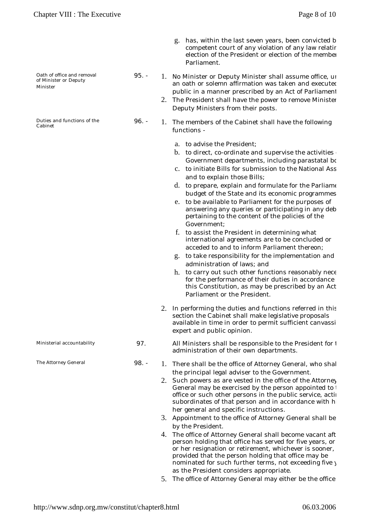Oath of office and removal of Minister or Deputy Minister

Duties and functions of the Cabinet

95. - 1. No Minister or Deputy Minister shall assume office, unl an oath or solemn affirmation was taken and executed public in a manner prescribed by an Act of Parliament.

2. The President shall have the power to remove Minister Deputy Ministers from their posts.

96. - 1. The members of the Cabinet shall have the following functions -

- a. to advise the President;
- b. to direct, co-ordinate and supervise the activities Government departments, including parastatal bo
- c. to initiate Bills for submission to the National Ass and to explain those Bills;
- $d.$  to prepare, explain and formulate for the Parliame budget of the State and its economic programmes;
- e. to be available to Parliament for the purposes of answering any queries or participating in any deb pertaining to the content of the policies of the Government;
- f. to assist the President in determining what international agreements are to be concluded or acceded to and to inform Parliament thereon;
- g. to take responsibility for the implementation and administration of laws; and
- h. to carry out such other functions reasonably nece for the performance of their duties in accordance this Constitution, as may be prescribed by an Act Parliament or the President.
- 2. In performing the duties and functions referred in this section the Cabinet shall make legislative proposals available in time in order to permit sufficient canvassi expert and public opinion.
- Ministerial accountability 97. All Ministers shall be responsible to the President for 1 administration of their own departments.
- The Attorney General 98. 1. There shall be the office of Attorney General, who shall the principal legal adviser to the Government.
	- 2. Such powers as are vested in the office of the Attorney General may be exercised by the person appointed to  $t$ office or such other persons in the public service, actionally subordinates of that person and in accordance with h her general and specific instructions.
	- 3. Appointment to the office of Attorney General shall be by the President.
	- 4. The office of Attorney General shall become vacant after person holding that office has served for five years, or or her resignation or retirement, whichever is sooner, provided that the person holding that office may be nominated for such further terms, not exceeding five  $y$ as the President considers appropriate.
	- 5. The office of Attorney General may either be the office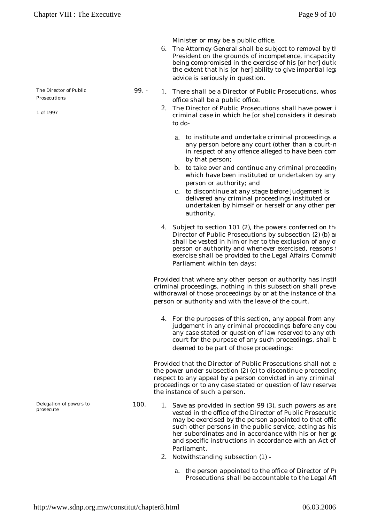Minister or may be a public office.

- 6. The Attorney General shall be subject to removal by the President on the grounds of incompetence, incapacity being compromised in the exercise of his [or her] dutie the extent that his [or her] ability to give impartial legally advice is seriously in question.
- 99. 1. There shall be a Director of Public Prosecutions, whos office shall be a public office.
	- 2. The Director of Public Prosecutions shall have power i criminal case in which he [or she] considers it desirab to do
		- a. to institute and undertake criminal proceedings a any person before any court (other than a court-n in respect of any offence alleged to have been comby that person;
		- b. to take over and continue any criminal proceeding which have been instituted or undertaken by any person or authority; and
		- c. to discontinue at any stage before judgement is delivered any criminal proceedings instituted or undertaken by himself or herself or any other person authority.
	- 4. Subject to section 101 (2), the powers conferred on the Director of Public Prosecutions by subsection (2) (b) and shall be vested in him or her to the exclusion of any of person or authority and whenever exercised, reasons f exercise shall be provided to the Legal Affairs Committ Parliament within ten days:

Provided that where any other person or authority has instited criminal proceedings, nothing in this subsection shall prevent withdrawal of those proceedings by or at the instance of that person or authority and with the leave of the court.

4. For the purposes of this section, any appeal from any judgement in any criminal proceedings before any court any case stated or question of law reserved to any other court for the purpose of any such proceedings, shall b deemed to be part of those proceedings:

Provided that the Director of Public Prosecutions shall not exthe power under subsection (2) (c) to discontinue proceeding respect to any appeal by a person convicted in any criminal proceedings or to any case stated or question of law reserved the instance of such a person.

- 100. 1. Save as provided in section 99 (3), such powers as are vested in the office of the Director of Public Prosecutio may be exercised by the person appointed to that offic such other persons in the public service, acting as his her subordinates and in accordance with his or her  $ge$ and specific instructions in accordance with an Act of Parliament.
	- 2. Notwithstanding subsection (1)
		- a. the person appointed to the office of Director of Pu Prosecutions shall be accountable to the Legal Aff

The Director of Public Prosecutions

1 of 1997

Delegation of powers to prosecute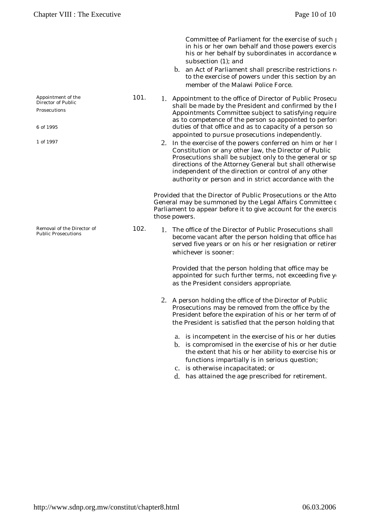Committee of Parliament for the exercise of such  $p$ in his or her own behalf and those powers exercis his or her behalf by subordinates in accordance w subsection (1); and

- b. an Act of Parliament shall prescribe restrictions  $r_0$ to the exercise of powers under this section by an member of the Malawi Police Force.
- 101. 1. Appointment to the office of Director of Public Prosecu shall be made by the President and confirmed by the F Appointments Committee subject to satisfying require as to competence of the person so appointed to perform duties of that office and as to capacity of a person so appointed to pursue prosecutions independently.
	- 2. In the exercise of the powers conferred on him or her  $I$ Constitution or any other law, the Director of Public Prosecutions shall be subject only to the general or sp directions of the Attorney General but shall otherwise independent of the direction or control of any other authority or person and in strict accordance with the  $\parallel$

Provided that the Director of Public Prosecutions or the Atto General may be summoned by the Legal Affairs Committee c Parliament to appear before it to give account for the exercis those powers.

102. 1. The office of the Director of Public Prosecutions shall become vacant after the person holding that office has served five years or on his or her resignation or retirer whichever is sooner:

> Provided that the person holding that office may be appointed for such further terms, not exceeding five  $y_1$ as the President considers appropriate.

- 2. A person holding the office of the Director of Public Prosecutions may be removed from the office by the President before the expiration of his or her term of of the President is satisfied that the person holding that
	- a. is incompetent in the exercise of his or her duties
	- b. is compromised in the exercise of his or her duties the extent that his or her ability to exercise his or functions impartially is in serious question;
	- c. is otherwise incapacitated; or
	- d. has attained the age prescribed for retirement.

Appointment of the Director of Public Prosecutions

6 of 1995

1 of 1997

Removal of the Director of Public Prosecutions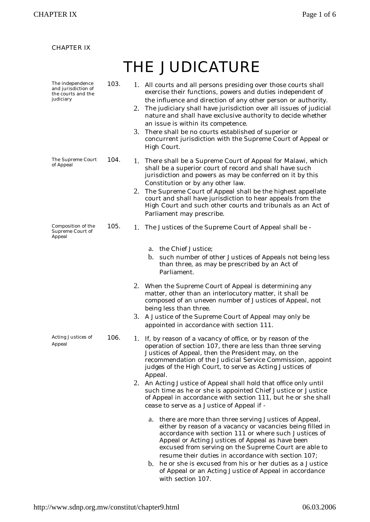#### CHAPTER IX

## THE JUDICATURE

| The independence<br>and jurisdiction of<br>the courts and the<br>judiciary | 103. | 2.<br>3. | 1. All courts and all persons presiding over those courts shall<br>exercise their functions, powers and duties independent of<br>the influence and direction of any other person or authority.<br>The judiciary shall have jurisdiction over all issues of judicial<br>nature and shall have exclusive authority to decide whether<br>an issue is within its competence.<br>There shall be no courts established of superior or<br>concurrent jurisdiction with the Supreme Court of Appeal or<br>High Court.                                                             |
|----------------------------------------------------------------------------|------|----------|---------------------------------------------------------------------------------------------------------------------------------------------------------------------------------------------------------------------------------------------------------------------------------------------------------------------------------------------------------------------------------------------------------------------------------------------------------------------------------------------------------------------------------------------------------------------------|
| The Supreme Court<br>of Appeal                                             | 104. | 2.       | 1. There shall be a Supreme Court of Appeal for Malawi, which<br>shall be a superior court of record and shall have such<br>jurisdiction and powers as may be conferred on it by this<br>Constitution or by any other law.<br>The Supreme Court of Appeal shall be the highest appellate<br>court and shall have jurisdiction to hear appeals from the<br>High Court and such other courts and tribunals as an Act of<br>Parliament may prescribe.                                                                                                                        |
| Composition of the<br>Supreme Court of<br>Appeal                           | 105. | 1.       | The Justices of the Supreme Court of Appeal shall be -<br>the Chief Justice;<br>a.<br>b. such number of other Justices of Appeals not being less<br>than three, as may be prescribed by an Act of<br>Parliament.                                                                                                                                                                                                                                                                                                                                                          |
|                                                                            |      |          | 2. When the Supreme Court of Appeal is determining any<br>matter, other than an interlocutory matter, it shall be<br>composed of an uneven number of Justices of Appeal, not<br>being less than three.<br>3. A Justice of the Supreme Court of Appeal may only be<br>appointed in accordance with section 111.                                                                                                                                                                                                                                                            |
| Acting Justices of<br>Appeal                                               | 106. |          | 1. If, by reason of a vacancy of office, or by reason of the<br>operation of section 107, there are less than three serving<br>Justices of Appeal, then the President may, on the<br>recommendation of the Judicial Service Commission, appoint<br>judges of the High Court, to serve as Acting Justices of<br>Appeal.<br>2. An Acting Justice of Appeal shall hold that office only until<br>such time as he or she is appointed Chief Justice or Justice<br>of Appeal in accordance with section 111, but he or she shall<br>cease to serve as a Justice of Appeal if - |
|                                                                            |      |          | there are more than three serving Justices of Appeal,<br>a.<br>either by reason of a vacancy or vacancies being filled in<br>accordance with section 111 or where such Justices of<br>Appeal or Acting Justices of Appeal as have been<br>excused from serving on the Supreme Court are able to<br>resume their duties in accordance with section 107;<br>b. he or she is excused from his or her duties as a Justice<br>of Appeal or an Acting Justice of Appeal in accordance<br>with section 107.                                                                      |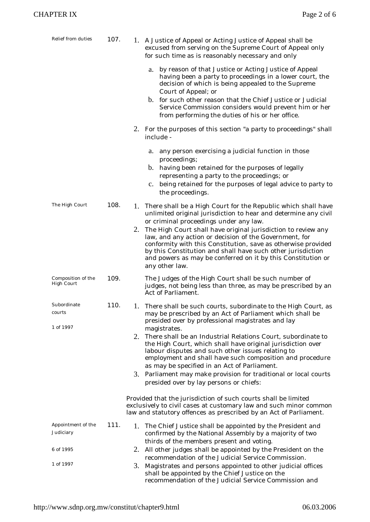| Relief from duties                      | 107. |    | 1. A Justice of Appeal or Acting Justice of Appeal shall be<br>excused from serving on the Supreme Court of Appeal only<br>for such time as is reasonably necessary and only                                                                                                                                                                                                                                                                                                                                                                                                                                        |
|-----------------------------------------|------|----|---------------------------------------------------------------------------------------------------------------------------------------------------------------------------------------------------------------------------------------------------------------------------------------------------------------------------------------------------------------------------------------------------------------------------------------------------------------------------------------------------------------------------------------------------------------------------------------------------------------------|
|                                         |      |    | by reason of that Justice or Acting Justice of Appeal<br>a.<br>having been a party to proceedings in a lower court, the<br>decision of which is being appealed to the Supreme<br>Court of Appeal; or<br>b. for such other reason that the Chief Justice or Judicial<br>Service Commission considers would prevent him or her<br>from performing the duties of his or her office.                                                                                                                                                                                                                                    |
|                                         |      |    | 2. For the purposes of this section "a party to proceedings" shall<br>include -                                                                                                                                                                                                                                                                                                                                                                                                                                                                                                                                     |
|                                         |      |    | any person exercising a judicial function in those<br>a.<br>proceedings;<br>b. having been retained for the purposes of legally<br>representing a party to the proceedings; or<br>c. being retained for the purposes of legal advice to party to<br>the proceedings.                                                                                                                                                                                                                                                                                                                                                |
| The High Court                          | 108. | 2. | 1. There shall be a High Court for the Republic which shall have<br>unlimited original jurisdiction to hear and determine any civil<br>or criminal proceedings under any law.<br>The High Court shall have original jurisdiction to review any<br>law, and any action or decision of the Government, for<br>conformity with this Constitution, save as otherwise provided<br>by this Constitution and shall have such other jurisdiction<br>and powers as may be conferred on it by this Constitution or<br>any other law.                                                                                          |
| Composition of the<br><b>High Court</b> | 109. |    | The Judges of the High Court shall be such number of<br>judges, not being less than three, as may be prescribed by an<br>Act of Parliament.                                                                                                                                                                                                                                                                                                                                                                                                                                                                         |
| Subordinate<br>courts<br>1 of 1997      | 110. |    | 1. There shall be such courts, subordinate to the High Court, as<br>may be prescribed by an Act of Parliament which shall be<br>presided over by professional magistrates and lay<br>magistrates.<br>2. There shall be an Industrial Relations Court, subordinate to<br>the High Court, which shall have original jurisdiction over<br>labour disputes and such other issues relating to<br>employment and shall have such composition and procedure<br>as may be specified in an Act of Parliament.<br>3. Parliament may make provision for traditional or local courts<br>presided over by lay persons or chiefs: |
|                                         |      |    | Provided that the jurisdiction of such courts shall be limited<br>exclusively to civil cases at customary law and such minor common<br>law and statutory offences as prescribed by an Act of Parliament.                                                                                                                                                                                                                                                                                                                                                                                                            |
| Appointment of the<br>Judiciary         | 111. |    | 1. The Chief Justice shall be appointed by the President and<br>confirmed by the National Assembly by a majority of two<br>thirds of the members present and voting.                                                                                                                                                                                                                                                                                                                                                                                                                                                |
| 6 of 1995                               |      |    | 2. All other judges shall be appointed by the President on the<br>recommendation of the Judicial Service Commission.                                                                                                                                                                                                                                                                                                                                                                                                                                                                                                |
| 1 of 1997                               |      | 3. | Magistrates and persons appointed to other judicial offices<br>shall be appointed by the Chief Justice on the<br>recommendation of the Judicial Service Commission and                                                                                                                                                                                                                                                                                                                                                                                                                                              |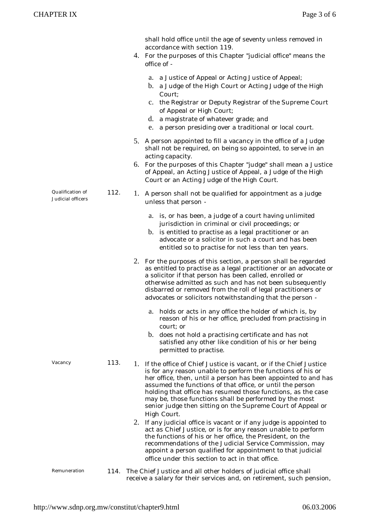shall hold office until the age of seventy unless removed in accordance with section 119.

- 4. For the purposes of this Chapter "judicial office" means the office of
	- a. a Justice of Appeal or Acting Justice of Appeal;
	- b. a Judge of the High Court or Acting Judge of the High Court;
	- c. the Registrar or Deputy Registrar of the Supreme Court of Appeal or High Court;
	- d. a magistrate of whatever grade; and
	- e. a person presiding over a traditional or local court.
- 5. A person appointed to fill a vacancy in the office of a Judge shall not be required, on being so appointed, to serve in an acting capacity.
- 6. For the purposes of this Chapter "judge" shall mean a Justice of Appeal, an Acting Justice of Appeal, a Judge of the High Court or an Acting Judge of the High Court.
- 112. 1. A person shall not be qualified for appointment as a judge unless that person
	- a. is, or has been, a judge of a court having unlimited jurisdiction in criminal or civil proceedings; or
	- b. is entitled to practise as a legal practitioner or an advocate or a solicitor in such a court and has been entitled so to practise for not less than ten years.
	- 2. For the purposes of this section, a person shall be regarded as entitled to practise as a legal practitioner or an advocate or a solicitor if that person has been called, enrolled or otherwise admitted as such and has not been subsequently disbarred or removed from the roll of legal practitioners or advocates or solicitors notwithstanding that the person
		- a. holds or acts in any office the holder of which is, by reason of his or her office, precluded from practising in court; or
		- b. does not hold a practising certificate and has not satisfied any other like condition of his or her being permitted to practise.
- Vacancy 113. 1. If the office of Chief Justice is vacant, or if the Chief Justice is for any reason unable to perform the functions of his or her office, then, until a person has been appointed to and has assumed the functions of that office, or until the person holding that office has resumed those functions, as the case may be, those functions shall be performed by the most senior judge then sitting on the Supreme Court of Appeal or High Court.
	- 2. If any judicial office is vacant or if any judge is appointed to act as Chief Justice, or is for any reason unable to perform the functions of his or her office, the President, on the recommendations of the Judicial Service Commission, may appoint a person qualified for appointment to that judicial office under this section to act in that office.
- 
- Remuneration 114. The Chief Justice and all other holders of judicial office shall receive a salary for their services and, on retirement, such pension,

Qualification of Judicial officers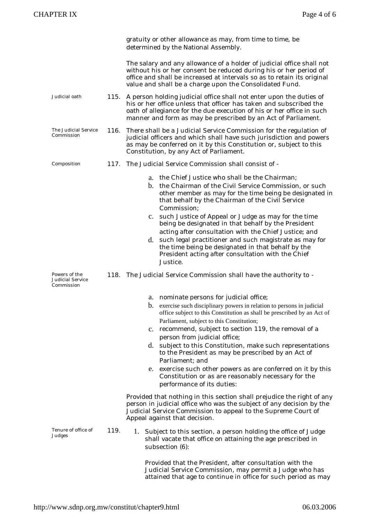|                                                        |      | gratuity or other allowance as may, from time to time, be<br>determined by the National Assembly.                                                                                                                                                                                                                                                           |
|--------------------------------------------------------|------|-------------------------------------------------------------------------------------------------------------------------------------------------------------------------------------------------------------------------------------------------------------------------------------------------------------------------------------------------------------|
|                                                        |      | The salary and any allowance of a holder of judicial office shall not<br>without his or her consent be reduced during his or her period of<br>office and shall be increased at intervals so as to retain its original<br>value and shall be a charge upon the Consolidated Fund.                                                                            |
| Judicial oath                                          | 115. | A person holding judicial office shall not enter upon the duties of<br>his or her office unless that officer has taken and subscribed the<br>oath of allegiance for the due execution of his or her office in such<br>manner and form as may be prescribed by an Act of Parliament.                                                                         |
| The Judicial Service<br>Commission                     | 116. | There shall be a Judicial Service Commission for the regulation of<br>judicial officers and which shall have such jurisdiction and powers<br>as may be conferred on it by this Constitution or, subject to this<br>Constitution, by any Act of Parliament.                                                                                                  |
| Composition                                            | 117. | The Judicial Service Commission shall consist of -                                                                                                                                                                                                                                                                                                          |
|                                                        |      | a. the Chief Justice who shall be the Chairman;<br>b. the Chairman of the Civil Service Commission, or such<br>other member as may for the time being be designated in<br>that behalf by the Chairman of the Civil Service<br>Commission:                                                                                                                   |
|                                                        |      | c. such Justice of Appeal or Judge as may for the time<br>being be designated in that behalf by the President<br>acting after consultation with the Chief Justice; and<br>d. such legal practitioner and such magistrate as may for<br>the time being be designated in that behalf by the<br>President acting after consultation with the Chief<br>Justice. |
| Powers of the<br><b>Judicial Service</b><br>Commission | 118. | The Judicial Service Commission shall have the authority to -                                                                                                                                                                                                                                                                                               |
|                                                        |      | a. nominate persons for judicial office;<br>b. exercise such disciplinary powers in relation to persons in judicial<br>office subject to this Constitution as shall be prescribed by an Act of<br>Parliament, subject to this Constitution;<br>c. recommend, subject to section 119, the removal of a                                                       |
|                                                        |      | person from judicial office;<br>d. subject to this Constitution, make such representations<br>to the President as may be prescribed by an Act of<br>Parliament; and                                                                                                                                                                                         |
|                                                        |      | e. exercise such other powers as are conferred on it by this<br>Constitution or as are reasonably necessary for the<br>performance of its duties:                                                                                                                                                                                                           |
|                                                        |      | Provided that nothing in this section shall prejudice the right of any<br>person in judicial office who was the subject of any decision by the<br>Judicial Service Commission to appeal to the Supreme Court of<br>Appeal against that decision.                                                                                                            |
| Tenure of office of<br>Judges                          | 119. | 1. Subject to this section, a person holding the office of Judge<br>shall vacate that office on attaining the age prescribed in<br>subsection (6):                                                                                                                                                                                                          |
|                                                        |      | Provided that the President, after consultation with the<br>Judicial Service Commission, may permit a Judge who has<br>attained that age to continue in office for such period as may                                                                                                                                                                       |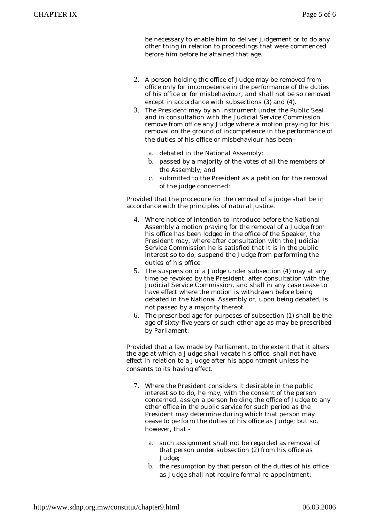be necessary to enable him to deliver judgement or to do any other thing in relation to proceedings that were commenced before him before he attained that age.

- 2. A person holding the office of Judge may be removed from office only for incompetence in the performance of the duties of his office or for misbehaviour, and shall not be so removed except in accordance with subsections (3) and (4).
- 3. The President may by an instrument under the Public Seal and in consultation with the Judicial Service Commission remove from office any Judge where a motion praying for his removal on the ground of incompetence in the performance of the duties of his office or misbehaviour has been
	- a. debated in the National Assembly;
	- b. passed by a majority of the votes of all the members of the Assembly; and
	- c. submitted to the President as a petition for the removal of the judge concerned:

Provided that the procedure for the removal of a judge shall be in accordance with the principles of natural justice.

- 4. Where notice of intention to introduce before the National Assembly a motion praying for the removal of a Judge from his office has been lodged in the office of the Speaker, the President may, where after consultation with the Judicial Service Commission he is satisfied that it is in the public interest so to do, suspend the Judge from performing the duties of his office.
- 5. The suspension of a Judge under subsection (4) may at any time be revoked by the President, after consultation with the Judicial Service Commission, and shall in any case cease to have effect where the motion is withdrawn before being debated in the National Assembly or, upon being debated, is not passed by a majority thereof.
- 6. The prescribed age for purposes of subsection (1) shall be the age of sixty-five years or such other age as may be prescribed by Parliament:

Provided that a law made by Parliament, to the extent that it alters the age at which a Judge shall vacate his office, shall not have effect in relation to a Judge after his appointment unless he consents to its having effect.

- 7. Where the President considers it desirable in the public interest so to do, he may, with the consent of the person concerned, assign a person holding the office of Judge to any other office in the public service for such period as the President may determine during which that person may cease to perform the duties of his office as Judge; but so, however, that
	- a. such assignment shall not be regarded as removal of that person under subsection (2) from his office as Judge;
	- b. the resumption by that person of the duties of his office as Judge shall not require formal re-appointment;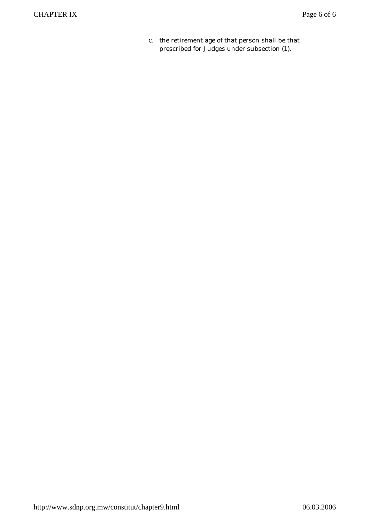c. the retirement age of that person shall be that prescribed for Judges under subsection (1).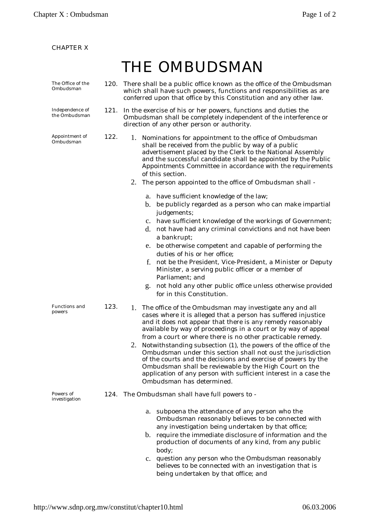| CHAPTER X |  |
|-----------|--|

### THE OMBUDSMAN

| The Office of the<br>Ombudsman   | 120. | There shall be a public office known as the office of the Ombudsman<br>which shall have such powers, functions and responsibilities as are<br>conferred upon that office by this Constitution and any other law.                                                                                                                                                                                                                                                                                                                                                                                                                                                                                    |
|----------------------------------|------|-----------------------------------------------------------------------------------------------------------------------------------------------------------------------------------------------------------------------------------------------------------------------------------------------------------------------------------------------------------------------------------------------------------------------------------------------------------------------------------------------------------------------------------------------------------------------------------------------------------------------------------------------------------------------------------------------------|
| Independence of<br>the Ombudsman | 121. | In the exercise of his or her powers, functions and duties the<br>Ombudsman shall be completely independent of the interference or<br>direction of any other person or authority.                                                                                                                                                                                                                                                                                                                                                                                                                                                                                                                   |
| Appointment of<br>Ombudsman      | 122. | 1. Nominations for appointment to the office of Ombudsman<br>shall be received from the public by way of a public<br>advertisement placed by the Clerk to the National Assembly<br>and the successful candidate shall be appointed by the Public<br>Appointments Committee in accordance with the requirements<br>of this section.<br>The person appointed to the office of Ombudsman shall -<br>2.<br>have sufficient knowledge of the law;<br>a.                                                                                                                                                                                                                                                  |
|                                  |      | be publicly regarded as a person who can make impartial<br>$\mathbf{b}$ .                                                                                                                                                                                                                                                                                                                                                                                                                                                                                                                                                                                                                           |
|                                  |      | judgements;<br>c. have sufficient knowledge of the workings of Government;                                                                                                                                                                                                                                                                                                                                                                                                                                                                                                                                                                                                                          |
|                                  |      | not have had any criminal convictions and not have been<br>d.<br>a bankrupt;                                                                                                                                                                                                                                                                                                                                                                                                                                                                                                                                                                                                                        |
|                                  |      | be otherwise competent and capable of performing the<br>e.                                                                                                                                                                                                                                                                                                                                                                                                                                                                                                                                                                                                                                          |
|                                  |      | duties of his or her office;                                                                                                                                                                                                                                                                                                                                                                                                                                                                                                                                                                                                                                                                        |
|                                  |      | not be the President, Vice-President, a Minister or Deputy<br>f.<br>Minister, a serving public officer or a member of<br>Parliament; and                                                                                                                                                                                                                                                                                                                                                                                                                                                                                                                                                            |
|                                  |      | not hold any other public office unless otherwise provided<br>g.                                                                                                                                                                                                                                                                                                                                                                                                                                                                                                                                                                                                                                    |
|                                  |      | for in this Constitution.                                                                                                                                                                                                                                                                                                                                                                                                                                                                                                                                                                                                                                                                           |
| Functions and<br>powers          | 123. | The office of the Ombudsman may investigate any and all<br>1.<br>cases where it is alleged that a person has suffered injustice<br>and it does not appear that there is any remedy reasonably<br>available by way of proceedings in a court or by way of appeal<br>from a court or where there is no other practicable remedy.<br>Notwithstanding subsection (1), the powers of the office of the<br>2.<br>Ombudsman under this section shall not oust the jurisdiction<br>of the courts and the decisions and exercise of powers by the<br>Ombudsman shall be reviewable by the High Court on the<br>application of any person with sufficient interest in a case the<br>Ombudsman has determined. |
| Powers of<br>investigation       |      | 124. The Ombudsman shall have full powers to -                                                                                                                                                                                                                                                                                                                                                                                                                                                                                                                                                                                                                                                      |
|                                  |      | a. subpoena the attendance of any person who the<br>Ombudsman reasonably believes to be connected with<br>any investigation being undertaken by that office;<br>b. require the immediate disclosure of information and the<br>production of documents of any kind, from any public<br>body;<br>c. question any person who the Ombudsman reasonably<br>believes to be connected with an investigation that is<br>being undertaken by that office; and                                                                                                                                                                                                                                                |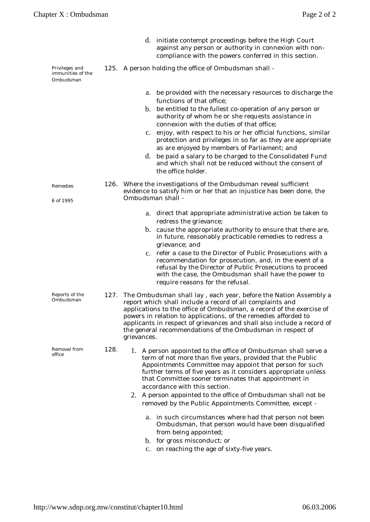|                                                  |      | d. initiate contempt proceedings before the High Court<br>against any person or authority in connexion with non-<br>compliance with the powers conferred in this section.                                                                                                                                                                                                                                                                                                                                                                                                                                                                                                                                             |
|--------------------------------------------------|------|-----------------------------------------------------------------------------------------------------------------------------------------------------------------------------------------------------------------------------------------------------------------------------------------------------------------------------------------------------------------------------------------------------------------------------------------------------------------------------------------------------------------------------------------------------------------------------------------------------------------------------------------------------------------------------------------------------------------------|
| Privileges and<br>immunities of the<br>Ombudsman |      | 125. A person holding the office of Ombudsman shall -                                                                                                                                                                                                                                                                                                                                                                                                                                                                                                                                                                                                                                                                 |
|                                                  |      | be provided with the necessary resources to discharge the<br>a.<br>functions of that office;<br>b. be entitled to the fullest co-operation of any person or<br>authority of whom he or she requests assistance in<br>connexion with the duties of that office:<br>enjoy, with respect to his or her official functions, similar<br>$c_{\cdot}$<br>protection and privileges in so far as they are appropriate<br>as are enjoyed by members of Parliament; and<br>be paid a salary to be charged to the Consolidated Fund<br>d.<br>and which shall not be reduced without the consent of<br>the office holder.                                                                                                         |
| Remedies<br>6 of 1995                            |      | 126. Where the investigations of the Ombudsman reveal sufficient<br>evidence to satisfy him or her that an injustice has been done, the<br>Ombudsman shall -                                                                                                                                                                                                                                                                                                                                                                                                                                                                                                                                                          |
|                                                  |      | direct that appropriate administrative action be taken to<br>a.<br>redress the grievance;<br>b. cause the appropriate authority to ensure that there are,<br>in future, reasonably practicable remedies to redress a<br>grievance; and<br>c. refer a case to the Director of Public Prosecutions with a<br>recommendation for prosecution, and, in the event of a<br>refusal by the Director of Public Prosecutions to proceed<br>with the case, the Ombudsman shall have the power to<br>require reasons for the refusal.                                                                                                                                                                                            |
| Reports of the<br>Ombudsman                      | 127. | The Ombudsman shall lay, each year, before the Nation Assembly a<br>report which shall include a record of all complaints and<br>applications to the office of Ombudsman, a record of the exercise of<br>powers in relation to applications, of the remedies afforded to<br>applicants in respect of grievances and shall also include a record of<br>the general recommendations of the Ombudsman in respect of<br>grievances.                                                                                                                                                                                                                                                                                       |
| Removal from<br>office                           | 128. | 1. A person appointed to the office of Ombudsman shall serve a<br>term of not more than five years, provided that the Public<br>Appointments Committee may appoint that person for such<br>further terms of five years as it considers appropriate unless<br>that Committee sooner terminates that appointment in<br>accordance with this section.<br>2. A person appointed to the office of Ombudsman shall not be<br>removed by the Public Appointments Committee, except -<br>a. in such circumstances where had that person not been<br>Ombudsman, that person would have been disqualified<br>from being appointed;<br>b. for gross misconduct; or<br>on reaching the age of sixty-five years.<br>$\mathbf{c}$ . |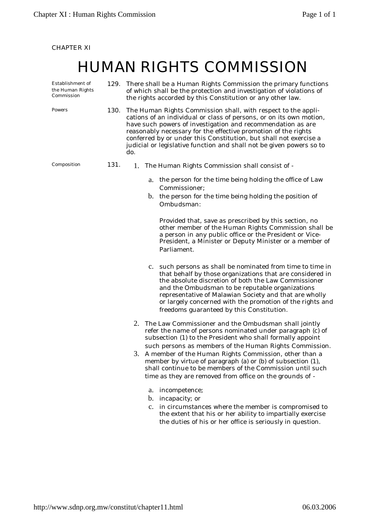CHAPTER XI

### HUMAN RIGHTS COMMISSION

| Establishment of<br>the Human Rights<br>Commission |      | 129. There shall be a Human Rights Commission the primary functions<br>of which shall be the protection and investigation of violations of<br>the rights accorded by this Constitution or any other law.                                                                                                                                                                                                                                  |
|----------------------------------------------------|------|-------------------------------------------------------------------------------------------------------------------------------------------------------------------------------------------------------------------------------------------------------------------------------------------------------------------------------------------------------------------------------------------------------------------------------------------|
| Powers                                             | 130. | The Human Rights Commission shall, with respect to the appli-<br>cations of an individual or class of persons, or on its own motion,<br>have such powers of investigation and recommendation as are<br>reasonably necessary for the effective promotion of the rights<br>conferred by or under this Constitution, but shall not exercise a<br>judicial or legislative function and shall not be given powers so to<br>do.                 |
| Composition                                        | 131. | 1. The Human Rights Commission shall consist of -                                                                                                                                                                                                                                                                                                                                                                                         |
|                                                    |      | a. the person for the time being holding the office of Law<br>Commissioner;<br>b. the person for the time being holding the position of<br>Ombudsman:                                                                                                                                                                                                                                                                                     |
|                                                    |      | Provided that, save as prescribed by this section, no<br>other member of the Human Rights Commission shall be<br>a person in any public office or the President or Vice-<br>President, a Minister or Deputy Minister or a member of<br>Parliament.                                                                                                                                                                                        |
|                                                    |      | c. such persons as shall be nominated from time to time in<br>that behalf by those organizations that are considered in<br>the absolute discretion of both the Law Commissioner<br>and the Ombudsman to be reputable organizations<br>representative of Malawian Society and that are wholly<br>or largely concerned with the promotion of the rights and<br>freedoms guaranteed by this Constitution.                                    |
|                                                    |      | The Law Commissioner and the Ombudsman shall jointly<br>2.<br>refer the name of persons nominated under paragraph (c) of<br>subsection (1) to the President who shall formally appoint<br>such persons as members of the Human Rights Commission.<br>3. A member of the Human Rights Commission, other than a<br>member by virtue of paragraph (a) or (b) of subsection (1),<br>shall continue to be members of the Commission until such |
|                                                    |      | time as they are removed from office on the grounds of -<br>incompetence;<br>a.<br>incapacity; or<br>b.<br>in circumstances where the member is compromised to<br>$C_{\bullet}$<br>the extent that his or her ability to impartially exercise                                                                                                                                                                                             |

the duties of his or her office is seriously in question.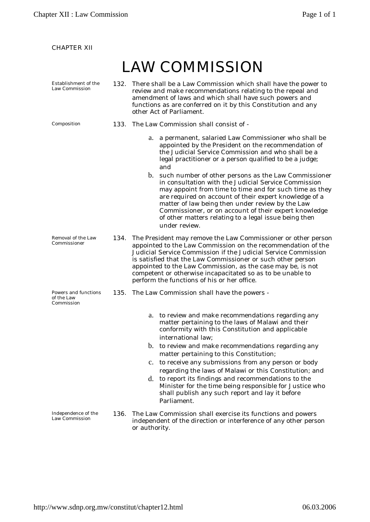| <b>CHAPTER XII</b>                               |      |                                                                                                                                                                                                                                                                                                                                                                                                                                                                                                                                                                                                                                                                      |
|--------------------------------------------------|------|----------------------------------------------------------------------------------------------------------------------------------------------------------------------------------------------------------------------------------------------------------------------------------------------------------------------------------------------------------------------------------------------------------------------------------------------------------------------------------------------------------------------------------------------------------------------------------------------------------------------------------------------------------------------|
|                                                  |      | <b>LAW COMMISSION</b>                                                                                                                                                                                                                                                                                                                                                                                                                                                                                                                                                                                                                                                |
| Establishment of the<br>Law Commission           | 132. | There shall be a Law Commission which shall have the power to<br>review and make recommendations relating to the repeal and<br>amendment of laws and which shall have such powers and<br>functions as are conferred on it by this Constitution and any<br>other Act of Parliament.                                                                                                                                                                                                                                                                                                                                                                                   |
| Composition                                      | 133. | The Law Commission shall consist of -                                                                                                                                                                                                                                                                                                                                                                                                                                                                                                                                                                                                                                |
|                                                  |      | a. a permanent, salaried Law Commissioner who shall be<br>appointed by the President on the recommendation of<br>the Judicial Service Commission and who shall be a<br>legal practitioner or a person qualified to be a judge;<br>and<br>b. such number of other persons as the Law Commissioner<br>in consultation with the Judicial Service Commission<br>may appoint from time to time and for such time as they<br>are required on account of their expert knowledge of a<br>matter of law being then under review by the Law<br>Commissioner, or on account of their expert knowledge<br>of other matters relating to a legal issue being then<br>under review. |
| Removal of the Law<br>Commissioner               | 134. | The President may remove the Law Commissioner or other person<br>appointed to the Law Commission on the recommendation of the<br>Judicial Service Commission if the Judicial Service Commission<br>is satisfied that the Law Commissioner or such other person<br>appointed to the Law Commission, as the case may be, is not<br>competent or otherwise incapacitated so as to be unable to<br>perform the functions of his or her office.                                                                                                                                                                                                                           |
| Powers and functions<br>of the Law<br>Commission |      | 135. The Law Commission shall have the powers -                                                                                                                                                                                                                                                                                                                                                                                                                                                                                                                                                                                                                      |
|                                                  |      | a. to review and make recommendations regarding any<br>matter pertaining to the laws of Malawi and their<br>conformity with this Constitution and applicable<br>international law;<br>b. to review and make recommendations regarding any<br>matter pertaining to this Constitution;<br>c. to receive any submissions from any person or body<br>regarding the laws of Malawi or this Constitution; and<br>d. to report its findings and recommendations to the<br>Minister for the time being responsible for Justice who<br>shall publish any such report and lay it before<br>Parliament.                                                                         |
| Independence of the<br>Law Commission            | 136. | The Law Commission shall exercise its functions and powers<br>independent of the direction or interference of any other person<br>or authority.                                                                                                                                                                                                                                                                                                                                                                                                                                                                                                                      |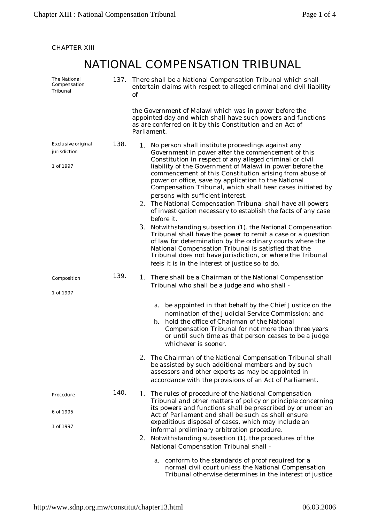CHAPTER XIII

#### NATIONAL COMPENSATION TRIBUNAL

| The National<br>Compensation<br>Tribunal        | 137. | There shall be a National Compensation Tribunal which shall<br>entertain claims with respect to alleged criminal and civil liability<br>Οf                                                                                                                                                                                                                                                                                                                                                                                                                                                                                                                                                                                                                                                                                                                                                                                                                                             |
|-------------------------------------------------|------|----------------------------------------------------------------------------------------------------------------------------------------------------------------------------------------------------------------------------------------------------------------------------------------------------------------------------------------------------------------------------------------------------------------------------------------------------------------------------------------------------------------------------------------------------------------------------------------------------------------------------------------------------------------------------------------------------------------------------------------------------------------------------------------------------------------------------------------------------------------------------------------------------------------------------------------------------------------------------------------|
|                                                 |      | the Government of Malawi which was in power before the<br>appointed day and which shall have such powers and functions<br>as are conferred on it by this Constitution and an Act of<br>Parliament.                                                                                                                                                                                                                                                                                                                                                                                                                                                                                                                                                                                                                                                                                                                                                                                     |
| Exclusive original<br>jurisdiction<br>1 of 1997 | 138. | 1.<br>No person shall institute proceedings against any<br>Government in power after the commencement of this<br>Constitution in respect of any alleged criminal or civil<br>liability of the Government of Malawi in power before the<br>commencement of this Constitution arising from abuse of<br>power or office, save by application to the National<br>Compensation Tribunal, which shall hear cases initiated by<br>persons with sufficient interest.<br>The National Compensation Tribunal shall have all powers<br>2.<br>of investigation necessary to establish the facts of any case<br>before it.<br>3.<br>Notwithstanding subsection (1), the National Compensation<br>Tribunal shall have the power to remit a case or a question<br>of law for determination by the ordinary courts where the<br>National Compensation Tribunal is satisfied that the<br>Tribunal does not have jurisdiction, or where the Tribunal<br>feels it is in the interest of justice so to do. |
| Composition<br>1 of 1997                        | 139. | 1. There shall be a Chairman of the National Compensation<br>Tribunal who shall be a judge and who shall -                                                                                                                                                                                                                                                                                                                                                                                                                                                                                                                                                                                                                                                                                                                                                                                                                                                                             |
|                                                 |      | be appointed in that behalf by the Chief Justice on the<br>a.<br>nomination of the Judicial Service Commission; and<br>b. hold the office of Chairman of the National<br>Compensation Tribunal for not more than three years<br>or until such time as that person ceases to be a judge<br>whichever is sooner.                                                                                                                                                                                                                                                                                                                                                                                                                                                                                                                                                                                                                                                                         |
|                                                 |      | 2.<br>The Chairman of the National Compensation Tribunal shall<br>be assisted by such additional members and by such<br>assessors and other experts as may be appointed in<br>accordance with the provisions of an Act of Parliament.                                                                                                                                                                                                                                                                                                                                                                                                                                                                                                                                                                                                                                                                                                                                                  |
| Procedure<br>6 of 1995                          | 140. | The rules of procedure of the National Compensation<br>1.<br>Tribunal and other matters of policy or principle concerning<br>its powers and functions shall be prescribed by or under an                                                                                                                                                                                                                                                                                                                                                                                                                                                                                                                                                                                                                                                                                                                                                                                               |
| 1 of 1997                                       |      | Act of Parliament and shall be such as shall ensure<br>expeditious disposal of cases, which may include an<br>informal preliminary arbitration procedure.<br>Notwithstanding subsection (1), the procedures of the<br>2.<br>National Compensation Tribunal shall -                                                                                                                                                                                                                                                                                                                                                                                                                                                                                                                                                                                                                                                                                                                     |
|                                                 |      | a. conform to the standards of proof required for a<br>normal civil court unless the National Compensation<br>Tribunal otherwise determines in the interest of justice                                                                                                                                                                                                                                                                                                                                                                                                                                                                                                                                                                                                                                                                                                                                                                                                                 |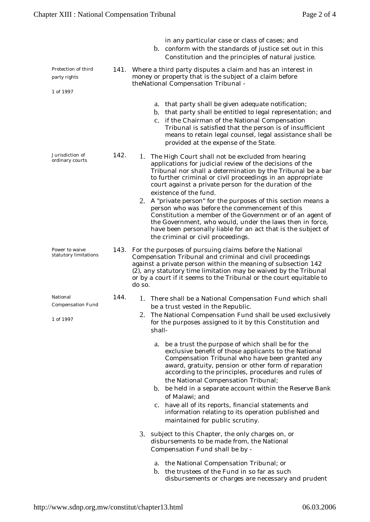|                                                  |      | in any particular case or class of cases; and<br>conform with the standards of justice set out in this<br>b.<br>Constitution and the principles of natural justice.                                                                                                                                                                                                                                                                                                                                                                                                                                                                                                                      |
|--------------------------------------------------|------|------------------------------------------------------------------------------------------------------------------------------------------------------------------------------------------------------------------------------------------------------------------------------------------------------------------------------------------------------------------------------------------------------------------------------------------------------------------------------------------------------------------------------------------------------------------------------------------------------------------------------------------------------------------------------------------|
| Protection of third<br>party rights<br>1 of 1997 | 141. | Where a third party disputes a claim and has an interest in<br>money or property that is the subject of a claim before<br>theNational Compensation Tribunal -                                                                                                                                                                                                                                                                                                                                                                                                                                                                                                                            |
|                                                  |      | that party shall be given adequate notification;<br>a.<br>b. that party shall be entitled to legal representation; and<br>c. if the Chairman of the National Compensation<br>Tribunal is satisfied that the person is of insufficient<br>means to retain legal counsel, legal assistance shall be<br>provided at the expense of the State.                                                                                                                                                                                                                                                                                                                                               |
| Jurisdiction of<br>ordinary courts               | 142. | 1. The High Court shall not be excluded from hearing<br>applications for judicial review of the decisions of the<br>Tribunal nor shall a determination by the Tribunal be a bar<br>to further criminal or civil proceedings in an appropriate<br>court against a private person for the duration of the<br>existence of the fund.<br>A "private person" for the purposes of this section means a<br>2.<br>person who was before the commencement of this<br>Constitution a member of the Government or of an agent of<br>the Government, who would, under the laws then in force,<br>have been personally liable for an act that is the subject of<br>the criminal or civil proceedings. |
| Power to waive<br>statutory limitations          | 143. | For the purposes of pursuing claims before the National<br>Compensation Tribunal and criminal and civil proceedings<br>against a private person within the meaning of subsection 142<br>(2), any statutory time limitation may be waived by the Tribunal<br>or by a court if it seems to the Tribunal or the court equitable to<br>do so.                                                                                                                                                                                                                                                                                                                                                |
| National<br>Compensation Fund<br>1 of 1997       | 144. | 1. There shall be a National Compensation Fund which shall<br>be a trust vested in the Republic.<br>2. The National Compensation Fund shall be used exclusively<br>for the purposes assigned to it by this Constitution and<br>shall-                                                                                                                                                                                                                                                                                                                                                                                                                                                    |
|                                                  |      | be a trust the purpose of which shall be for the<br>a.<br>exclusive benefit of those applicants to the National<br>Compensation Tribunal who have been granted any<br>award, gratuity, pension or other form of reparation<br>according to the principles, procedures and rules of<br>the National Compensation Tribunal;<br>b. be held in a separate account within the Reserve Bank<br>of Malawi; and<br>c. have all of its reports, financial statements and<br>information relating to its operation published and<br>maintained for public scrutiny.                                                                                                                                |
|                                                  |      | 3. subject to this Chapter, the only charges on, or<br>disbursements to be made from, the National<br>Compensation Fund shall be by -                                                                                                                                                                                                                                                                                                                                                                                                                                                                                                                                                    |
|                                                  |      | the National Compensation Tribunal; or<br>a.<br>b. the trustees of the Fund in so far as such<br>disbursements or charges are necessary and prudent                                                                                                                                                                                                                                                                                                                                                                                                                                                                                                                                      |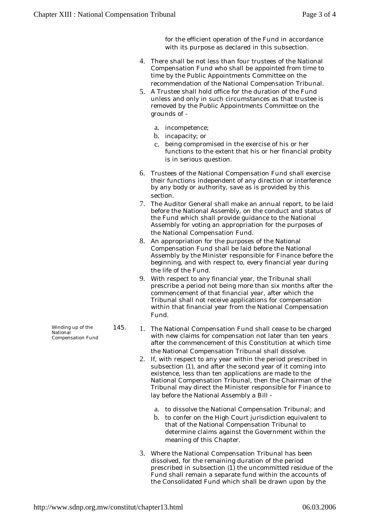for the efficient operation of the Fund in accordance with its purpose as declared in this subsection.

- 4. There shall be not less than four trustees of the National Compensation Fund who shall be appointed from time to time by the Public Appointments Committee on the recommendation of the National Compensation Tribunal.
- 5. A Trustee shall hold office for the duration of the Fund unless and only in such circumstances as that trustee is removed by the Public Appointments Committee on the grounds of
	- a. incompetence;
	- b. incapacity; or
	- c. being compromised in the exercise of his or her functions to the extent that his or her financial probity is in serious question.
- 6. Trustees of the National Compensation Fund shall exercise their functions independent of any direction or interference by any body or authority, save as is provided by this section.
- 7. The Auditor General shall make an annual report, to be laid before the National Assembly, on the conduct and status of the Fund which shall provide guidance to the National Assembly for voting an appropriation for the purposes of the National Compensation Fund.
- 8. An appropriation for the purposes of the National Compensation Fund shall be laid before the National Assembly by the Minister responsible for Finance before the beginning, and with respect to, every financial year during the life of the Fund.
- 9. With respect to any financial year, the Tribunal shall prescribe a period not being more than six months after the commencement of that financial year, after which the Tribunal shall not receive applications for compensation within that financial year from the National Compensation Fund.
- 145. 1. The National Compensation Fund shall cease to be charged with new claims for compensation not later than ten years after the commencement of this Constitution at which time the National Compensation Tribunal shall dissolve.
	- 2. If, with respect to any year within the period prescribed in subsection (1), and after the second year of it coming into existence, less than ten applications are made to the National Compensation Tribunal, then the Chairman of the Tribunal may direct the Minister responsible for Finance to lay before the National Assembly a Bill
		- a. to dissolve the National Compensation Tribunal; and
		- b. to confer on the High Court jurisdiction equivalent to that of the National Compensation Tribunal to determine claims against the Government within the meaning of this Chapter.
	- 3. Where the National Compensation Tribunal has been dissolved, for the remaining duration of the period prescribed in subsection (1) the uncommitted residue of the Fund shall remain a separate fund within the accounts of the Consolidated Fund which shall be drawn upon by the

Winding up of the **National** Compensation Fund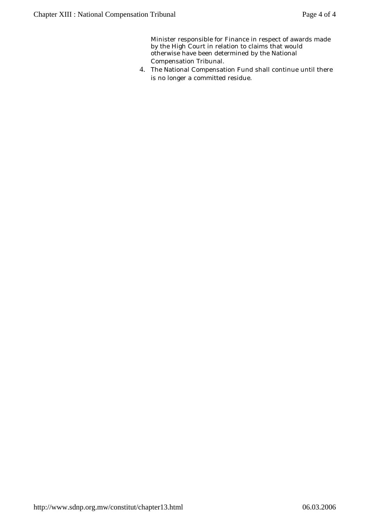Minister responsible for Finance in respect of awards made by the High Court in relation to claims that would otherwise have been determined by the National Compensation Tribunal.

4. The National Compensation Fund shall continue until there is no longer a committed residue.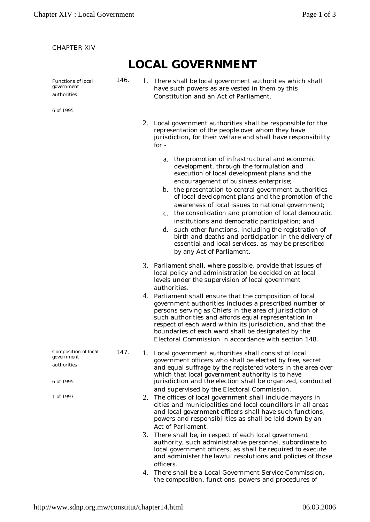### **LOCAL GOVERNMENT**

| LUUAL UUVERIVIILIVI                                                         |      |    |                                                                                                                                                                                                                                                                                                                                                                                                                                                                                                                                                                                                                                                                                    |
|-----------------------------------------------------------------------------|------|----|------------------------------------------------------------------------------------------------------------------------------------------------------------------------------------------------------------------------------------------------------------------------------------------------------------------------------------------------------------------------------------------------------------------------------------------------------------------------------------------------------------------------------------------------------------------------------------------------------------------------------------------------------------------------------------|
| Functions of local<br>government<br>authorities                             | 146. |    | 1. There shall be local government authorities which shall<br>have such powers as are vested in them by this<br>Constitution and an Act of Parliament.                                                                                                                                                                                                                                                                                                                                                                                                                                                                                                                             |
| 6 of 1995                                                                   |      |    |                                                                                                                                                                                                                                                                                                                                                                                                                                                                                                                                                                                                                                                                                    |
|                                                                             |      |    | 2. Local government authorities shall be responsible for the<br>representation of the people over whom they have<br>jurisdiction, for their welfare and shall have responsibility<br>for $-$                                                                                                                                                                                                                                                                                                                                                                                                                                                                                       |
|                                                                             |      |    | the promotion of infrastructural and economic<br>a.<br>development, through the formulation and<br>execution of local development plans and the<br>encouragement of business enterprise;<br>b. the presentation to central government authorities<br>of local development plans and the promotion of the<br>awareness of local issues to national government;<br>c. the consolidation and promotion of local democratic<br>institutions and democratic participation; and<br>such other functions, including the registration of<br>d.<br>birth and deaths and participation in the delivery of<br>essential and local services, as may be prescribed<br>by any Act of Parliament. |
|                                                                             |      |    | 3. Parliament shall, where possible, provide that issues of<br>local policy and administration be decided on at local<br>levels under the supervision of local government<br>authorities.<br>4. Parliament shall ensure that the composition of local<br>government authorities includes a prescribed number of<br>persons serving as Chiefs in the area of jurisdiction of<br>such authorities and affords equal representation in<br>respect of each ward within its jurisdiction, and that the<br>boundaries of each ward shall be designated by the<br>Electoral Commission in accordance with section 148.                                                                    |
| Composition of local<br>government<br>authorities<br>6 of 1995<br>1 of 1997 | 147. | 2. | 1. Local government authorities shall consist of local<br>government officers who shall be elected by free, secret<br>and equal suffrage by the registered voters in the area over<br>which that local government authority is to have<br>jurisdiction and the election shall be organized, conducted<br>and supervised by the Electoral Commission.<br>The offices of local government shall include mayors in<br>cities and municipalities and local councillors in all areas<br>and local government officers shall have such functions,<br>powers and responsibilities as shall be laid down by an<br>Act of Parliament.                                                       |
|                                                                             |      |    | 3. There shall be, in respect of each local government<br>authority, such administrative personnel, subordinate to<br>local government officers, as shall be required to execute<br>and administer the lawful resolutions and policies of those<br>officers.                                                                                                                                                                                                                                                                                                                                                                                                                       |

4. There shall be a Local Government Service Commission, the composition, functions, powers and procedures of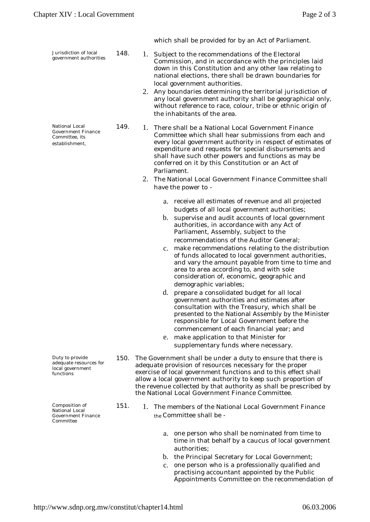National Local Government Finance Committee, its establishment,

which shall be provided for by an Act of Parliament.

- 148. 1. Subject to the recommendations of the Electoral Commission, and in accordance with the principles laid down in this Constitution and any other law relating to national elections, there shall be drawn boundaries for local government authorities.
	- 2. Any boundaries determining the territorial jurisdiction of any local government authority shall be geographical only, without reference to race, colour, tribe or ethnic origin of the inhabitants of the area.

149. 1. There shall be a National Local Government Finance Committee which shall hear submissions from each and every local government authority in respect of estimates of expenditure and requests for special disbursements and shall have such other powers and functions as may be conferred on it by this Constitution or an Act of Parliament.

- 2. The National Local Government Finance Committee shall have the power to
	- a. receive all estimates of revenue and all projected budgets of all local government authorities;
	- b. supervise and audit accounts of local government authorities, in accordance with any Act of Parliament, Assembly, subject to the recommendations of the Auditor General;
	- c. make recommendations relating to the distribution of funds allocated to local government authorities, and vary the amount payable from time to time and area to area according to, and with sole consideration of, economic, geographic and demographic variables;
	- d. prepare a consolidated budget for all local government authorities and estimates after consultation with the Treasury, which shall be presented to the National Assembly by the Minister responsible for Local Government before the commencement of each financial year; and
	- e. make application to that Minister for supplementary funds where necessary.
- 150. The Government shall be under a duty to ensure that there is adequate provision of resources necessary for the proper exercise of local government functions and to this effect shall allow a local government authority to keep such proportion of the revenue collected by that authority as shall be prescribed by the National Local Government Finance Committee.
- 151. 1. The members of the National Local Government Finance the Committee shall be
	- a. one person who shall be nominated from time to time in that behalf by a caucus of local government authorities;
	- b. the Principal Secretary for Local Government;
	- c. one person who is a professionally qualified and practising accountant appointed by the Public Appointments Committee on the recommendation of

Duty to provide adequate resources for local government functions

Composition of National Local Government Finance Committee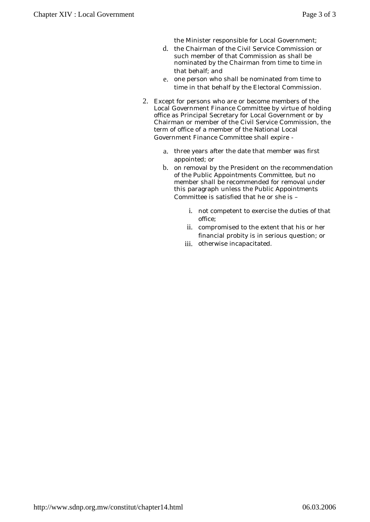the Minister responsible for Local Government;

- d. the Chairman of the Civil Service Commission or such member of that Commission as shall be nominated by the Chairman from time to time in that behalf; and
- e. one person who shall be nominated from time to time in that behalf by the Electoral Commission.
- 2. Except for persons who are or become members of the Local Government Finance Committee by virtue of holding office as Principal Secretary for Local Government or by Chairman or member of the Civil Service Commission, the term of office of a member of the National Local Government Finance Committee shall expire
	- a. three years after the date that member was first appointed; or
	- b. on removal by the President on the recommendation of the Public Appointments Committee, but no member shall be recommended for removal under this paragraph unless the Public Appointments Committee is satisfied that he or she is –
		- i. not competent to exercise the duties of that office;
		- ii. compromised to the extent that his or her financial probity is in serious question; or
		- iii. otherwise incapacitated.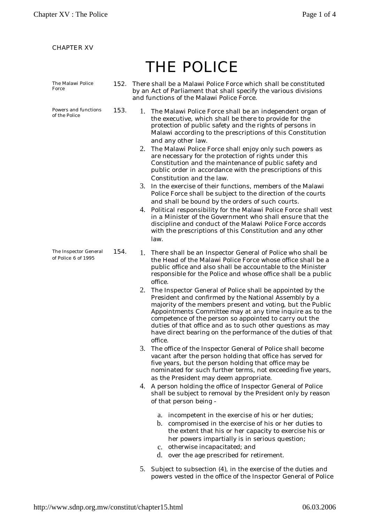|      | THE POLICE                                                                                                                                                                                                                                                                                                                                                                                                                                                                                                                                                                                                                                                                                                                                                                                                                                                                                                                                                                                                                                                                                                                                                                                                                                                                                                                                                                                                                                                                                                                                                                                                                                          |  |
|------|-----------------------------------------------------------------------------------------------------------------------------------------------------------------------------------------------------------------------------------------------------------------------------------------------------------------------------------------------------------------------------------------------------------------------------------------------------------------------------------------------------------------------------------------------------------------------------------------------------------------------------------------------------------------------------------------------------------------------------------------------------------------------------------------------------------------------------------------------------------------------------------------------------------------------------------------------------------------------------------------------------------------------------------------------------------------------------------------------------------------------------------------------------------------------------------------------------------------------------------------------------------------------------------------------------------------------------------------------------------------------------------------------------------------------------------------------------------------------------------------------------------------------------------------------------------------------------------------------------------------------------------------------------|--|
| 152. | There shall be a Malawi Police Force which shall be constituted<br>by an Act of Parliament that shall specify the various divisions<br>and functions of the Malawi Police Force.                                                                                                                                                                                                                                                                                                                                                                                                                                                                                                                                                                                                                                                                                                                                                                                                                                                                                                                                                                                                                                                                                                                                                                                                                                                                                                                                                                                                                                                                    |  |
| 153. | 1. The Malawi Police Force shall be an independent organ of<br>the executive, which shall be there to provide for the<br>protection of public safety and the rights of persons in<br>Malawi according to the prescriptions of this Constitution<br>and any other law.<br>2. The Malawi Police Force shall enjoy only such powers as<br>are necessary for the protection of rights under this<br>Constitution and the maintenance of public safety and<br>public order in accordance with the prescriptions of this<br>Constitution and the law.<br>3. In the exercise of their functions, members of the Malawi<br>Police Force shall be subject to the direction of the courts<br>and shall be bound by the orders of such courts.<br>4. Political responsibility for the Malawi Police Force shall vest<br>in a Minister of the Government who shall ensure that the<br>discipline and conduct of the Malawi Police Force accords<br>with the prescriptions of this Constitution and any other<br>law.                                                                                                                                                                                                                                                                                                                                                                                                                                                                                                                                                                                                                                            |  |
| 154. | 1. There shall be an Inspector General of Police who shall be<br>the Head of the Malawi Police Force whose office shall be a<br>public office and also shall be accountable to the Minister<br>responsible for the Police and whose office shall be a public<br>office.<br>2. The Inspector General of Police shall be appointed by the<br>President and confirmed by the National Assembly by a<br>majority of the members present and voting, but the Public<br>Appointments Committee may at any time inquire as to the<br>competence of the person so appointed to carry out the<br>duties of that office and as to such other questions as may<br>have direct bearing on the performance of the duties of that<br>office.<br>3.<br>The office of the Inspector General of Police shall become<br>vacant after the person holding that office has served for<br>five years, but the person holding that office may be<br>nominated for such further terms, not exceeding five years,<br>as the President may deem appropriate.<br>4. A person holding the office of Inspector General of Police<br>shall be subject to removal by the President only by reason<br>of that person being -<br>a. incompetent in the exercise of his or her duties;<br>compromised in the exercise of his or her duties to<br>b.<br>the extent that his or her capacity to exercise his or<br>her powers impartially is in serious question;<br>c. otherwise incapacitated; and<br>d. over the age prescribed for retirement.<br>5. Subject to subsection (4), in the exercise of the duties and<br>powers vested in the office of the Inspector General of Police |  |
|      |                                                                                                                                                                                                                                                                                                                                                                                                                                                                                                                                                                                                                                                                                                                                                                                                                                                                                                                                                                                                                                                                                                                                                                                                                                                                                                                                                                                                                                                                                                                                                                                                                                                     |  |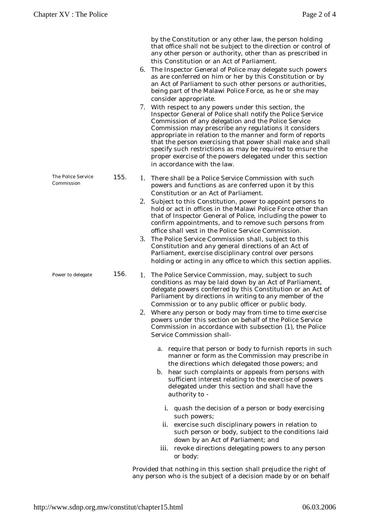|                                  |      | by the Constitution or any other law, the person holding<br>that office shall not be subject to the direction or control of<br>any other person or authority, other than as prescribed in<br>this Constitution or an Act of Parliament.<br>6. The Inspector General of Police may delegate such powers<br>as are conferred on him or her by this Constitution or by<br>an Act of Parliament to such other persons or authorities,<br>being part of the Malawi Police Force, as he or she may<br>consider appropriate.<br>7. With respect to any powers under this section, the<br>Inspector General of Police shall notify the Police Service<br>Commission of any delegation and the Police Service<br>Commission may prescribe any regulations it considers<br>appropriate in relation to the manner and form of reports<br>that the person exercising that power shall make and shall<br>specify such restrictions as may be required to ensure the<br>proper exercise of the powers delegated under this section<br>in accordance with the law.                                                                                                                                             |
|----------------------------------|------|-------------------------------------------------------------------------------------------------------------------------------------------------------------------------------------------------------------------------------------------------------------------------------------------------------------------------------------------------------------------------------------------------------------------------------------------------------------------------------------------------------------------------------------------------------------------------------------------------------------------------------------------------------------------------------------------------------------------------------------------------------------------------------------------------------------------------------------------------------------------------------------------------------------------------------------------------------------------------------------------------------------------------------------------------------------------------------------------------------------------------------------------------------------------------------------------------|
| The Police Service<br>Commission | 155. | 1. There shall be a Police Service Commission with such<br>powers and functions as are conferred upon it by this<br>Constitution or an Act of Parliament.<br>2. Subject to this Constitution, power to appoint persons to<br>hold or act in offices in the Malawi Police Force other than<br>that of Inspector General of Police, including the power to<br>confirm appointments, and to remove such persons from<br>office shall vest in the Police Service Commission.<br>3. The Police Service Commission shall, subject to this<br>Constitution and any general directions of an Act of<br>Parliament, exercise disciplinary control over persons<br>holding or acting in any office to which this section applies.                                                                                                                                                                                                                                                                                                                                                                                                                                                                         |
| Power to delegate                | 156. | 1. The Police Service Commission, may, subject to such<br>conditions as may be laid down by an Act of Parliament,<br>delegate powers conferred by this Constitution or an Act of<br>Parliament by directions in writing to any member of the<br>Commission or to any public officer or public body.<br>Where any person or body may from time to time exercise<br>powers under this section on behalf of the Police Service<br>Commission in accordance with subsection (1), the Police<br>Service Commission shall-<br>require that person or body to furnish reports in such<br>a.<br>manner or form as the Commission may prescribe in<br>the directions which delegated those powers; and<br>hear such complaints or appeals from persons with<br>b.<br>sufficient interest relating to the exercise of powers<br>delegated under this section and shall have the<br>authority to -<br>i. quash the decision of a person or body exercising<br>such powers;<br>ii.<br>exercise such disciplinary powers in relation to<br>such person or body, subject to the conditions laid<br>down by an Act of Parliament; and<br>revoke directions delegating powers to any person<br>111.<br>or body: |

Provided that nothing in this section shall prejudice the right of any person who is the subject of a decision made by or on behalf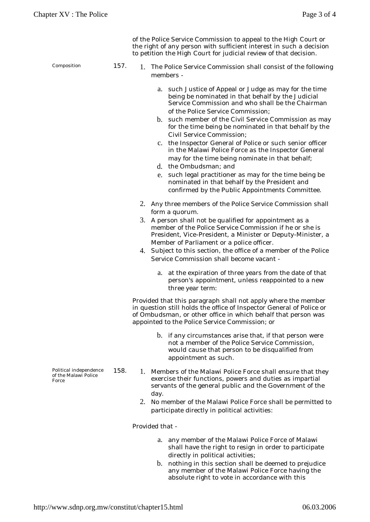|                                                         |      | of the Police Service Commission to appeal to the High Court or<br>the right of any person with sufficient interest in such a decision<br>to petition the High Court for judicial review of that decision.                                                                                                                                                                                                                                                                                                                                                                                                                                                                                                                                                                                                                                                                                                                                                                                                                                                                                                                                               |
|---------------------------------------------------------|------|----------------------------------------------------------------------------------------------------------------------------------------------------------------------------------------------------------------------------------------------------------------------------------------------------------------------------------------------------------------------------------------------------------------------------------------------------------------------------------------------------------------------------------------------------------------------------------------------------------------------------------------------------------------------------------------------------------------------------------------------------------------------------------------------------------------------------------------------------------------------------------------------------------------------------------------------------------------------------------------------------------------------------------------------------------------------------------------------------------------------------------------------------------|
| Composition                                             | 157. | 1. The Police Service Commission shall consist of the following<br>members -                                                                                                                                                                                                                                                                                                                                                                                                                                                                                                                                                                                                                                                                                                                                                                                                                                                                                                                                                                                                                                                                             |
|                                                         |      | a. such Justice of Appeal or Judge as may for the time<br>being be nominated in that behalf by the Judicial<br>Service Commission and who shall be the Chairman<br>of the Police Service Commission;<br>b. such member of the Civil Service Commission as may<br>for the time being be nominated in that behalf by the<br>Civil Service Commission;<br>c. the Inspector General of Police or such senior officer<br>in the Malawi Police Force as the Inspector General<br>may for the time being nominate in that behalf;<br>d. the Ombudsman; and<br>such legal practitioner as may for the time being be<br>e.<br>nominated in that behalf by the President and<br>confirmed by the Public Appointments Committee.<br>2. Any three members of the Police Service Commission shall<br>form a quorum.<br>3. A person shall not be qualified for appointment as a<br>member of the Police Service Commission if he or she is<br>President, Vice-President, a Minister or Deputy-Minister, a<br>Member of Parliament or a police officer.<br>4. Subject to this section, the office of a member of the Police<br>Service Commission shall become vacant - |
|                                                         |      | a. at the expiration of three years from the date of that<br>person's appointment, unless reappointed to a new<br>three year term:                                                                                                                                                                                                                                                                                                                                                                                                                                                                                                                                                                                                                                                                                                                                                                                                                                                                                                                                                                                                                       |
|                                                         |      | Provided that this paragraph shall not apply where the member<br>in question still holds the office of Inspector General of Police or<br>of Ombudsman, or other office in which behalf that person was<br>appointed to the Police Service Commission; or                                                                                                                                                                                                                                                                                                                                                                                                                                                                                                                                                                                                                                                                                                                                                                                                                                                                                                 |
|                                                         |      | b. if any circumstances arise that, if that person were<br>not a member of the Police Service Commission,<br>would cause that person to be disqualified from<br>appointment as such.                                                                                                                                                                                                                                                                                                                                                                                                                                                                                                                                                                                                                                                                                                                                                                                                                                                                                                                                                                     |
| Political independence<br>of the Malawi Police<br>Force | 158. | 1. Members of the Malawi Police Force shall ensure that they<br>exercise their functions, powers and duties as impartial<br>servants of the general public and the Government of the<br>day.<br>2.<br>No member of the Malawi Police Force shall be permitted to                                                                                                                                                                                                                                                                                                                                                                                                                                                                                                                                                                                                                                                                                                                                                                                                                                                                                         |
|                                                         |      | participate directly in political activities:                                                                                                                                                                                                                                                                                                                                                                                                                                                                                                                                                                                                                                                                                                                                                                                                                                                                                                                                                                                                                                                                                                            |
|                                                         |      | Provided that -                                                                                                                                                                                                                                                                                                                                                                                                                                                                                                                                                                                                                                                                                                                                                                                                                                                                                                                                                                                                                                                                                                                                          |
|                                                         |      |                                                                                                                                                                                                                                                                                                                                                                                                                                                                                                                                                                                                                                                                                                                                                                                                                                                                                                                                                                                                                                                                                                                                                          |

- a. any member of the Malawi Police Force of Malawi shall have the right to resign in order to participate directly in political activities;
- b. nothing in this section shall be deemed to prejudice any member of the Malawi Police Force having the absolute right to vote in accordance with this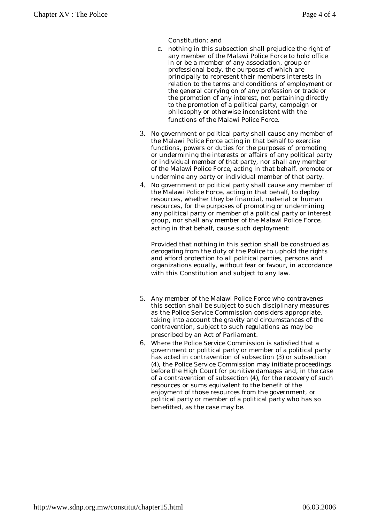Constitution; and

- c. nothing in this subsection shall prejudice the right of any member of the Malawi Police Force to hold office in or be a member of any association, group or professional body, the purposes of which are principally to represent their members interests in relation to the terms and conditions of employment or the general carrying on of any profession or trade or the promotion of any interest, not pertaining directly to the promotion of a political party, campaign or philosophy or otherwise inconsistent with the functions of the Malawi Police Force.
- 3. No government or political party shall cause any member of the Malawi Police Force acting in that behalf to exercise functions, powers or duties for the purposes of promoting or undermining the interests or affairs of any political party or individual member of that party, nor shall any member of the Malawi Police Force, acting in that behalf, promote or undermine any party or individual member of that party.
- 4. No government or political party shall cause any member of the Malawi Police Force, acting in that behalf, to deploy resources, whether they be financial, material or human resources, for the purposes of promoting or undermining any political party or member of a political party or interest group, nor shall any member of the Malawi Police Force, acting in that behalf, cause such deployment:

Provided that nothing in this section shall be construed as derogating from the duty of the Police to uphold the rights and afford protection to all political parties, persons and organizations equally, without fear or favour, in accordance with this Constitution and subject to any law.

- 5. Any member of the Malawi Police Force who contravenes this section shall be subject to such disciplinary measures as the Police Service Commission considers appropriate, taking into account the gravity and circumstances of the contravention, subject to such regulations as may be prescribed by an Act of Parliament.
- 6. Where the Police Service Commission is satisfied that a government or political party or member of a political party has acted in contravention of subsection (3) or subsection (4), the Police Service Commission may initiate proceedings before the High Court for punitive damages and, in the case of a contravention of subsection (4), for the recovery of such resources or sums equivalent to the benefit of the enjoyment of those resources from the government, or political party or member of a political party who has so benefitted, as the case may be.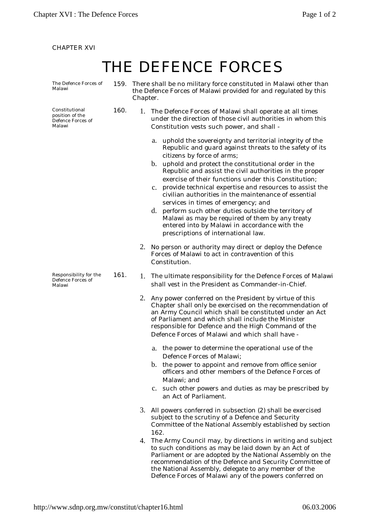#### CHAPTER XVI

## THE DEFENCE FORCES

| The Defence Forces of<br>Malawi                                  |      | 159. There shall be no military force constituted in Malawi other than<br>the Defence Forces of Malawi provided for and regulated by this<br>Chapter. |                                                                                                                                                                                                                                                                                                                                                                                                                                                                                                                                                                                                                                                                                                     |
|------------------------------------------------------------------|------|-------------------------------------------------------------------------------------------------------------------------------------------------------|-----------------------------------------------------------------------------------------------------------------------------------------------------------------------------------------------------------------------------------------------------------------------------------------------------------------------------------------------------------------------------------------------------------------------------------------------------------------------------------------------------------------------------------------------------------------------------------------------------------------------------------------------------------------------------------------------------|
| Constitutional<br>position of the<br>Defence Forces of<br>Malawi | 160. | 1.                                                                                                                                                    | The Defence Forces of Malawi shall operate at all times<br>under the direction of those civil authorities in whom this<br>Constitution vests such power, and shall -                                                                                                                                                                                                                                                                                                                                                                                                                                                                                                                                |
|                                                                  |      |                                                                                                                                                       | uphold the sovereignty and territorial integrity of the<br>a.<br>Republic and guard against threats to the safety of its<br>citizens by force of arms;<br>b. uphold and protect the constitutional order in the<br>Republic and assist the civil authorities in the proper<br>exercise of their functions under this Constitution;<br>c. provide technical expertise and resources to assist the<br>civilian authorities in the maintenance of essential<br>services in times of emergency; and<br>d. perform such other duties outside the territory of<br>Malawi as may be required of them by any treaty<br>entered into by Malawi in accordance with the<br>prescriptions of international law. |
|                                                                  |      |                                                                                                                                                       | 2. No person or authority may direct or deploy the Defence<br>Forces of Malawi to act in contravention of this<br>Constitution.                                                                                                                                                                                                                                                                                                                                                                                                                                                                                                                                                                     |
| Responsibility for the<br>Defence Forces of<br>Malawi            | 161. | 1.                                                                                                                                                    | The ultimate responsibility for the Defence Forces of Malawi<br>shall vest in the President as Commander-in-Chief.                                                                                                                                                                                                                                                                                                                                                                                                                                                                                                                                                                                  |
|                                                                  |      |                                                                                                                                                       | 2. Any power conferred on the President by virtue of this<br>Chapter shall only be exercised on the recommendation of<br>an Army Council which shall be constituted under an Act<br>of Parliament and which shall include the Minister<br>responsible for Defence and the High Command of the<br>Defence Forces of Malawi and which shall have -                                                                                                                                                                                                                                                                                                                                                    |
|                                                                  |      |                                                                                                                                                       | a. the power to determine the operational use of the<br>Defence Forces of Malawi;                                                                                                                                                                                                                                                                                                                                                                                                                                                                                                                                                                                                                   |
|                                                                  |      |                                                                                                                                                       | b. the power to appoint and remove from office senior<br>officers and other members of the Defence Forces of<br>Malawi; and                                                                                                                                                                                                                                                                                                                                                                                                                                                                                                                                                                         |
|                                                                  |      |                                                                                                                                                       | c. such other powers and duties as may be prescribed by<br>an Act of Parliament.                                                                                                                                                                                                                                                                                                                                                                                                                                                                                                                                                                                                                    |
|                                                                  |      |                                                                                                                                                       | 3. All powers conferred in subsection (2) shall be exercised<br>subject to the scrutiny of a Defence and Security<br>Committee of the National Assembly established by section<br>162.                                                                                                                                                                                                                                                                                                                                                                                                                                                                                                              |
|                                                                  |      |                                                                                                                                                       | 4. The Army Council may, by directions in writing and subject<br>to such conditions as may be laid down by an Act of<br>Parliament or are adopted by the National Assembly on the<br>recommendation of the Defence and Security Committee of<br>the National Assembly, delegate to any member of the<br>Defence Forces of Malawi any of the powers conferred on                                                                                                                                                                                                                                                                                                                                     |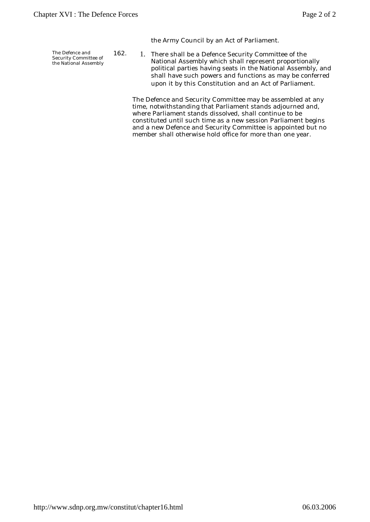the Army Council by an Act of Parliament.

The Defence and Security Committee of the National Assembly 162. 1. There shall be a Defence Security Committee of the National Assembly which shall represent proportionally political parties having seats in the National Assembly, and shall have such powers and functions as may be conferred upon it by this Constitution and an Act of Parliament.

The Defence and Security Committee may be assembled at any time, notwithstanding that Parliament stands adjourned and, where Parliament stands dissolved, shall continue to be constituted until such time as a new session Parliament begins and a new Defence and Security Committee is appointed but no member shall otherwise hold office for more than one year.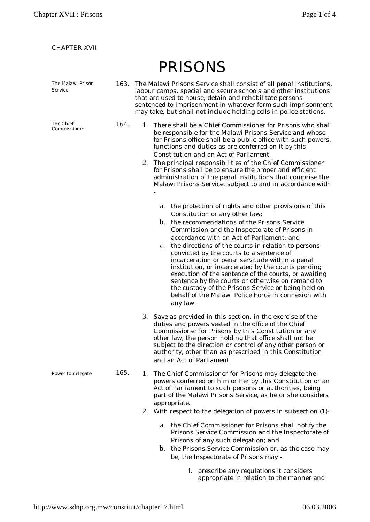| <b>CHAPTER XVII</b>          |      |                                                                                                                                                                                                                                                                                                                                                                                                                                                                                                                                                                                                                                    |
|------------------------------|------|------------------------------------------------------------------------------------------------------------------------------------------------------------------------------------------------------------------------------------------------------------------------------------------------------------------------------------------------------------------------------------------------------------------------------------------------------------------------------------------------------------------------------------------------------------------------------------------------------------------------------------|
|                              |      | <b>PRISONS</b>                                                                                                                                                                                                                                                                                                                                                                                                                                                                                                                                                                                                                     |
| The Malawi Prison<br>Service |      | 163. The Malawi Prisons Service shall consist of all penal institutions,<br>labour camps, special and secure schools and other institutions<br>that are used to house, detain and rehabilitate persons<br>sentenced to imprisonment in whatever form such imprisonment<br>may take, but shall not include holding cells in police stations.                                                                                                                                                                                                                                                                                        |
| The Chief<br>Commissioner    | 164. | 1. There shall be a Chief Commissioner for Prisons who shall<br>be responsible for the Malawi Prisons Service and whose<br>for Prisons office shall be a public office with such powers,<br>functions and duties as are conferred on it by this<br>Constitution and an Act of Parliament.<br>2. The principal responsibilities of the Chief Commissioner<br>for Prisons shall be to ensure the proper and efficient<br>administration of the penal institutions that comprise the<br>Malawi Prisons Service, subject to and in accordance with<br>the protection of rights and other provisions of this<br>a.                      |
|                              |      | Constitution or any other law;<br>b. the recommendations of the Prisons Service<br>Commission and the Inspectorate of Prisons in<br>accordance with an Act of Parliament; and<br>c. the directions of the courts in relation to persons<br>convicted by the courts to a sentence of<br>incarceration or penal servitude within a penal<br>institution, or incarcerated by the courts pending<br>execution of the sentence of the courts, or awaiting<br>sentence by the courts or otherwise on remand to<br>the custody of the Prisons Service or being held on<br>behalf of the Malawi Police Force in connexion with<br>any law. |
|                              |      | 3. Save as provided in this section, in the exercise of the<br>duties and powers vested in the office of the Chief<br>Commissioner for Prisons by this Constitution or any<br>other law, the person holding that office shall not be<br>subject to the direction or control of any other person or<br>authority, other than as prescribed in this Constitution<br>and an Act of Parliament.                                                                                                                                                                                                                                        |
| Power to delegate            | 165. | 1.<br>The Chief Commissioner for Prisons may delegate the<br>powers conferred on him or her by this Constitution or an<br>Act of Parliament to such persons or authorities, being<br>part of the Malawi Prisons Service, as he or she considers<br>appropriate.<br>2. With respect to the delegation of powers in subsection (1)-                                                                                                                                                                                                                                                                                                  |
|                              |      | the Chief Commissioner for Prisons shall notify the<br>a.<br>Prisons Service Commission and the Inspectorate of<br>Prisons of any such delegation; and<br>the Prisons Service Commission or, as the case may<br>$\mathbf{b}$ .<br>be, the Inspectorate of Prisons may -                                                                                                                                                                                                                                                                                                                                                            |
|                              |      | i. prescribe any regulations it considers<br>appropriate in relation to the manner and                                                                                                                                                                                                                                                                                                                                                                                                                                                                                                                                             |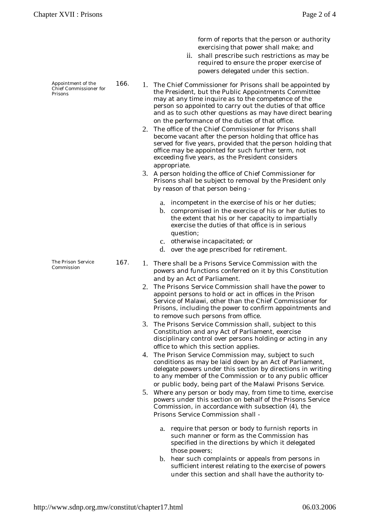Appointment of the Chief Commissioner for

Prisons

form of reports that the person or authority exercising that power shall make; and

- ii. shall prescribe such restrictions as may be required to ensure the proper exercise of powers delegated under this section.
- 166. 1. The Chief Commissioner for Prisons shall be appointed by the President, but the Public Appointments Committee may at any time inquire as to the competence of the person so appointed to carry out the duties of that office and as to such other questions as may have direct bearing on the performance of the duties of that office.
	- 2. The office of the Chief Commissioner for Prisons shall become vacant after the person holding that office has served for five years, provided that the person holding that office may be appointed for such further term, not exceeding five years, as the President considers appropriate.
	- 3. A person holding the office of Chief Commissioner for Prisons shall be subject to removal by the President only by reason of that person being
		- a. incompetent in the exercise of his or her duties;
		- b. compromised in the exercise of his or her duties to the extent that his or her capacity to impartially exercise the duties of that office is in serious question;
		- c. otherwise incapacitated; or
		- d. over the age prescribed for retirement.
- 167. 1. There shall be a Prisons Service Commission with the powers and functions conferred on it by this Constitution and by an Act of Parliament.
	- 2. The Prisons Service Commission shall have the power to appoint persons to hold or act in offices in the Prison Service of Malawi, other than the Chief Commissioner for Prisons, including the power to confirm appointments and to remove such persons from office.
	- 3. The Prisons Service Commission shall, subject to this Constitution and any Act of Parliament, exercise disciplinary control over persons holding or acting in any office to which this section applies.
	- 4. The Prison Service Commission may, subject to such conditions as may be laid down by an Act of Parliament, delegate powers under this section by directions in writing to any member of the Commission or to any public officer or public body, being part of the Malawi Prisons Service.
	- 5. Where any person or body may, from time to time, exercise powers under this section on behalf of the Prisons Service Commission, in accordance with subsection (4), the Prisons Service Commission shall
		- a. require that person or body to furnish reports in such manner or form as the Commission has specified in the directions by which it delegated those powers;
		- b. hear such complaints or appeals from persons in sufficient interest relating to the exercise of powers under this section and shall have the authority to-

The Prison Service Commission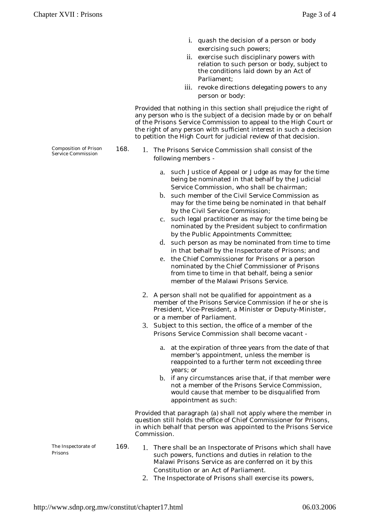- i. quash the decision of a person or body exercising such powers;
- ii. exercise such disciplinary powers with relation to such person or body, subject to the conditions laid down by an Act of Parliament;
- iii. revoke directions delegating powers to any person or body:

Provided that nothing in this section shall prejudice the right of any person who is the subject of a decision made by or on behalf of the Prisons Service Commission to appeal to the High Court or the right of any person with sufficient interest in such a decision to petition the High Court for judicial review of that decision.

- 168. 1. The Prisons Service Commission shall consist of the following members
	- a. such Justice of Appeal or Judge as may for the time being be nominated in that behalf by the Judicial Service Commission, who shall be chairman;
	- b. such member of the Civil Service Commission as may for the time being be nominated in that behalf by the Civil Service Commission;
	- c. such legal practitioner as may for the time being be nominated by the President subject to confirmation by the Public Appointments Committee;
	- d. such person as may be nominated from time to time in that behalf by the Inspectorate of Prisons; and
	- e. the Chief Commissioner for Prisons or a person nominated by the Chief Commissioner of Prisons from time to time in that behalf, being a senior member of the Malawi Prisons Service.
	- 2. A person shall not be qualified for appointment as a member of the Prisons Service Commission if he or she is President, Vice-President, a Minister or Deputy-Minister, or a member of Parliament.
	- 3. Subject to this section, the office of a member of the Prisons Service Commission shall become vacant
		- a. at the expiration of three years from the date of that member's appointment, unless the member is reappointed to a further term not exceeding three years; or
		- b. if any circumstances arise that, if that member were not a member of the Prisons Service Commission, would cause that member to be disqualified from appointment as such:

Provided that paragraph (a) shall not apply where the member in question still holds the office of Chief Commissioner for Prisons, in which behalf that person was appointed to the Prisons Service Commission.

The Inspectorate of Prisons

- 169. 1. There shall be an Inspectorate of Prisons which shall have such powers, functions and duties in relation to the Malawi Prisons Service as are conferred on it by this Constitution or an Act of Parliament.
	- 2. The Inspectorate of Prisons shall exercise its powers,

Composition of Prison Service Commission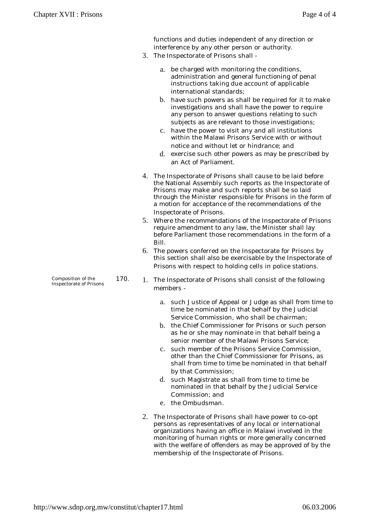functions and duties independent of any direction or interference by any other person or authority.

- 3. The Inspectorate of Prisons shall
	- a. be charged with monitoring the conditions, administration and general functioning of penal instructions taking due account of applicable international standards;
	- b. have such powers as shall be required for it to make investigations and shall have the power to require any person to answer questions relating to such subjects as are relevant to those investigations;
	- c. have the power to visit any and all institutions within the Malawi Prisons Service with or without notice and without let or hindrance; and
	- d. exercise such other powers as may be prescribed by an Act of Parliament.
- 4. The Inspectorate of Prisons shall cause to be laid before the National Assembly such reports as the Inspectorate of Prisons may make and such reports shall be so laid through the Minister responsible for Prisons in the form of a motion for acceptance of the recommendations of the Inspectorate of Prisons.
- 5. Where the recommendations of the Inspectorate of Prisons require amendment to any law, the Minister shall lay before Parliament those recommendations in the form of a Bill.
- 6. The powers conferred on the Inspectorate for Prisons by this section shall also be exercisable by the Inspectorate of Prisons with respect to holding cells in police stations.
- 170. 1. The Inspectorate of Prisons shall consist of the following members
	- a. such Justice of Appeal or Judge as shall from time to time be nominated in that behalf by the Judicial Service Commission, who shall be chairman;
	- b. the Chief Commissioner for Prisons or such person as he or she may nominate in that behalf being a senior member of the Malawi Prisons Service;
	- c. such member of the Prisons Service Commission, other than the Chief Commissioner for Prisons, as shall from time to time be nominated in that behalf by that Commission;
	- d. such Magistrate as shall from time to time be nominated in that behalf by the Judicial Service Commission; and
	- e. the Ombudsman.
	- 2. The Inspectorate of Prisons shall have power to co-opt persons as representatives of any local or international organizations having an office in Malawi involved in the monitoring of human rights or more generally concerned with the welfare of offenders as may be approved of by the membership of the Inspectorate of Prisons.

Composition of the Inspectorate of Prisons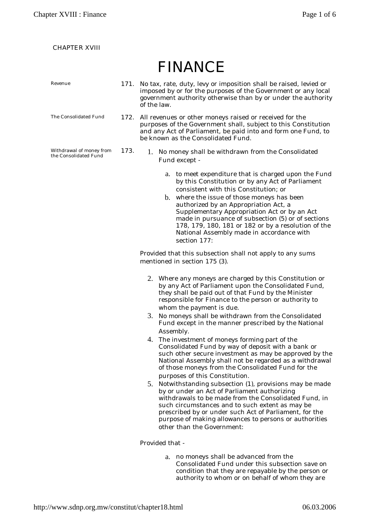| <b>CHAPTER XVIII</b>                              |      |                                                                                                                                                                                                                                                                                                                                                                                                                                                                                             |
|---------------------------------------------------|------|---------------------------------------------------------------------------------------------------------------------------------------------------------------------------------------------------------------------------------------------------------------------------------------------------------------------------------------------------------------------------------------------------------------------------------------------------------------------------------------------|
|                                                   |      | <b>FINANCE</b>                                                                                                                                                                                                                                                                                                                                                                                                                                                                              |
| Revenue                                           | 171. | No tax, rate, duty, levy or imposition shall be raised, levied or<br>imposed by or for the purposes of the Government or any local<br>government authority otherwise than by or under the authority<br>of the law.                                                                                                                                                                                                                                                                          |
| The Consolidated Fund                             | 172. | All revenues or other moneys raised or received for the<br>purposes of the Government shall, subject to this Constitution<br>and any Act of Parliament, be paid into and form one Fund, to<br>be known as the Consolidated Fund.                                                                                                                                                                                                                                                            |
| Withdrawal of money from<br>the Consolidated Fund | 173. | 1. No money shall be withdrawn from the Consolidated<br>Fund except -                                                                                                                                                                                                                                                                                                                                                                                                                       |
|                                                   |      | to meet expenditure that is charged upon the Fund<br>a.<br>by this Constitution or by any Act of Parliament<br>consistent with this Constitution; or<br>b. where the issue of those moneys has been<br>authorized by an Appropriation Act, a<br>Supplementary Appropriation Act or by an Act<br>made in pursuance of subsection (5) or of sections<br>178, 179, 180, 181 or 182 or by a resolution of the<br>National Assembly made in accordance with<br>section 177:                      |
|                                                   |      | Provided that this subsection shall not apply to any sums<br>mentioned in section 175 (3).                                                                                                                                                                                                                                                                                                                                                                                                  |
|                                                   |      | 2. Where any moneys are charged by this Constitution or<br>by any Act of Parliament upon the Consolidated Fund,<br>they shall be paid out of that Fund by the Minister<br>responsible for Finance to the person or authority to<br>whom the payment is due.<br>3. No moneys shall be withdrawn from the Consolidated<br>Fund except in the manner prescribed by the National<br>Assembly.                                                                                                   |
|                                                   |      | The investment of moneys forming part of the<br>4.<br>Consolidated Fund by way of deposit with a bank or<br>such other secure investment as may be approved by the<br>National Assembly shall not be regarded as a withdrawal<br>of those moneys from the Consolidated Fund for the<br>purposes of this Constitution.<br>5. Notwithstanding subsection (1), provisions may be made<br>by or under an Act of Parliament authorizing<br>withdrawals to be made from the Consolidated Fund, in |
|                                                   |      | such circumstances and to such extent as may be<br>prescribed by or under such Act of Parliament, for the<br>purpose of making allowances to persons or authorities<br>other than the Government:<br>Provided that -                                                                                                                                                                                                                                                                        |
|                                                   |      | a. no moneys shall be advanced from the                                                                                                                                                                                                                                                                                                                                                                                                                                                     |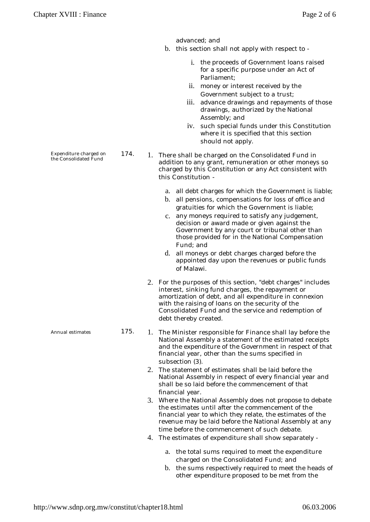advanced; and

- b. this section shall not apply with respect to
	- i. the proceeds of Government loans raised for a specific purpose under an Act of Parliament;
	- ii. money or interest received by the Government subject to a trust;
	- iii. advance drawings and repayments of those drawings, authorized by the National Assembly; and
	- iv. such special funds under this Constitution where it is specified that this section should not apply.
- 174. 1. There shall be charged on the Consolidated Fund in addition to any grant, remuneration or other moneys so charged by this Constitution or any Act consistent with this Constitution
	- a. all debt charges for which the Government is liable;
	- b. all pensions, compensations for loss of office and gratuities for which the Government is liable;
	- c. any moneys required to satisfy any judgement, decision or award made or given against the Government by any court or tribunal other than those provided for in the National Compensation Fund; and
	- d. all moneys or debt charges charged before the appointed day upon the revenues or public funds of Malawi.
	- 2. For the purposes of this section, "debt charges" includes interest, sinking fund charges, the repayment or amortization of debt, and all expenditure in connexion with the raising of loans on the security of the Consolidated Fund and the service and redemption of debt thereby created.
- Annual estimates 175. 1. The Minister responsible for Finance shall lay before the National Assembly a statement of the estimated receipts and the expenditure of the Government in respect of that financial year, other than the sums specified in subsection (3).
	- 2. The statement of estimates shall be laid before the National Assembly in respect of every financial year and shall be so laid before the commencement of that financial year.
	- 3. Where the National Assembly does not propose to debate the estimates until after the commencement of the financial year to which they relate, the estimates of the revenue may be laid before the National Assembly at any time before the commencement of such debate.
	- 4. The estimates of expenditure shall show separately
		- a. the total sums required to meet the expenditure charged on the Consolidated Fund; and
		- b. the sums respectively required to meet the heads of other expenditure proposed to be met from the

Expenditure charged on the Consolidated Fund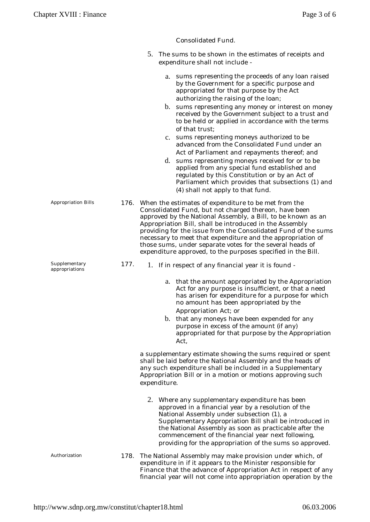Consolidated Fund.

- 5. The sums to be shown in the estimates of receipts and expenditure shall not include
	- a. sums representing the proceeds of any loan raised by the Government for a specific purpose and appropriated for that purpose by the Act authorizing the raising of the loan;
	- b. sums representing any money or interest on money received by the Government subject to a trust and to be held or applied in accordance with the terms of that trust;
	- c. sums representing moneys authorized to be advanced from the Consolidated Fund under an Act of Parliament and repayments thereof; and
	- d. sums representing moneys received for or to be applied from any special fund established and regulated by this Constitution or by an Act of Parliament which provides that subsections (1) and (4) shall not apply to that fund.
- Appropriation Bills 176. When the estimates of expenditure to be met from the Consolidated Fund, but not charged thereon, have been approved by the National Assembly, a Bill, to be known as an Appropriation Bill, shall be introduced in the Assembly providing for the issue from the Consolidated Fund of the sums necessary to meet that expenditure and the appropriation of those sums, under separate votes for the several heads of expenditure approved, to the purposes specified in the Bill.
	- 177.  $1.$  If in respect of any financial year it is found
		- a. that the amount appropriated by the Appropriation Act for any purpose is insufficient, or that a need has arisen for expenditure for a purpose for which no amount has been appropriated by the Appropriation Act; or
		- b. that any moneys have been expended for any purpose in excess of the amount (if any) appropriated for that purpose by the Appropriation Act,

a supplementary estimate showing the sums required or spent shall be laid before the National Assembly and the heads of any such expenditure shall be included in a Supplementary Appropriation Bill or in a motion or motions approving such expenditure.

- 2. Where any supplementary expenditure has been approved in a financial year by a resolution of the National Assembly under subsection (1), a Supplementary Appropriation Bill shall be introduced in the National Assembly as soon as practicable after the commencement of the financial year next following, providing for the appropriation of the sums so approved.
- Authorization 178. The National Assembly may make provision under which, of expenditure in if it appears to the Minister responsible for Finance that the advance of Appropriation Act in respect of any financial year will not come into appropriation operation by the

Supplementary appropriations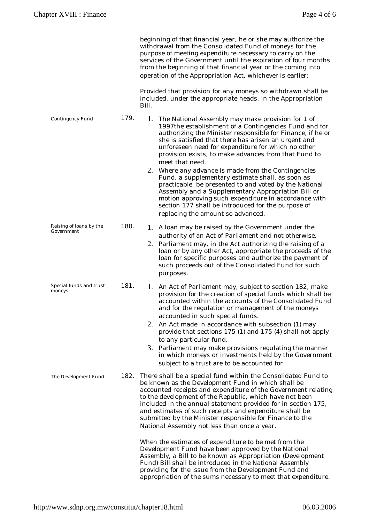|                                       |      | beginning of that financial year, he or she may authorize the<br>withdrawal from the Consolidated Fund of moneys for the<br>purpose of meeting expenditure necessary to carry on the<br>services of the Government until the expiration of four months<br>from the beginning of that financial year or the coming into<br>operation of the Appropriation Act, whichever is earlier:<br>Provided that provision for any moneys so withdrawn shall be                                                                                                                                                  |
|---------------------------------------|------|------------------------------------------------------------------------------------------------------------------------------------------------------------------------------------------------------------------------------------------------------------------------------------------------------------------------------------------------------------------------------------------------------------------------------------------------------------------------------------------------------------------------------------------------------------------------------------------------------|
|                                       |      | included, under the appropriate heads, in the Appropriation<br>Bill.                                                                                                                                                                                                                                                                                                                                                                                                                                                                                                                                 |
| Contingency Fund                      | 179. | 1. The National Assembly may make provision for 1 of<br>1997 the establishment of a Contingencies Fund and for<br>authorizing the Minister responsible for Finance, if he or<br>she is satisfied that there has arisen an urgent and<br>unforeseen need for expenditure for which no other<br>provision exists, to make advances from that Fund to<br>meet that need.                                                                                                                                                                                                                                |
|                                       |      | 2.<br>Where any advance is made from the Contingencies<br>Fund, a supplementary estimate shall, as soon as<br>practicable, be presented to and voted by the National<br>Assembly and a Supplementary Appropriation Bill or<br>motion approving such expenditure in accordance with<br>section 177 shall be introduced for the purpose of<br>replacing the amount so advanced.                                                                                                                                                                                                                        |
| Raising of loans by the<br>Government | 180. | 1. A loan may be raised by the Government under the<br>authority of an Act of Parliament and not otherwise.<br>Parliament may, in the Act authorizing the raising of a<br>2.<br>loan or by any other Act, appropriate the proceeds of the<br>loan for specific purposes and authorize the payment of<br>such proceeds out of the Consolidated Fund for such<br>purposes.                                                                                                                                                                                                                             |
| Special funds and trust<br>moneys     | 181. | 1. An Act of Parliament may, subject to section 182, make<br>provision for the creation of special funds which shall be<br>accounted within the accounts of the Consolidated Fund<br>and for the regulation or management of the moneys<br>accounted in such special funds.<br>2.<br>An Act made in accordance with subsection (1) may<br>provide that sections 175 (1) and 175 (4) shall not apply<br>to any particular fund.<br>Parliament may make provisions regulating the manner<br>3.<br>in which moneys or investments held by the Government<br>subject to a trust are to be accounted for. |
| The Development Fund                  | 182. | There shall be a special fund within the Consolidated Fund to<br>be known as the Development Fund in which shall be<br>accounted receipts and expenditure of the Government relating<br>to the development of the Republic, which have not been<br>included in the annual statement provided for in section 175,<br>and estimates of such receipts and expenditure shall be<br>submitted by the Minister responsible for Finance to the<br>National Assembly not less than once a year.                                                                                                              |
|                                       |      | When the estimates of expenditure to be met from the<br>Development Fund have been approved by the National<br>Assembly, a Bill to be known as Appropriation (Development<br>Fund) Bill shall be introduced in the National Assembly<br>providing for the issue from the Development Fund and<br>appropriation of the sums necessary to meet that expenditure.                                                                                                                                                                                                                                       |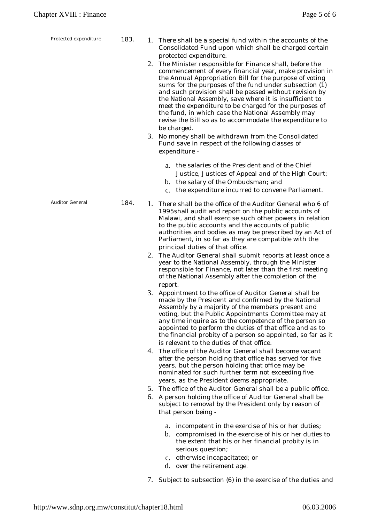| Protected expenditure  | 183. | 3.             | 1. There shall be a special fund within the accounts of the<br>Consolidated Fund upon which shall be charged certain<br>protected expenditure.<br>2. The Minister responsible for Finance shall, before the<br>commencement of every financial year, make provision in<br>the Annual Appropriation Bill for the purpose of voting<br>sums for the purposes of the fund under subsection (1)<br>and such provision shall be passed without revision by<br>the National Assembly, save where it is insufficient to<br>meet the expenditure to be charged for the purposes of<br>the fund, in which case the National Assembly may<br>revise the Bill so as to accommodate the expenditure to<br>be charged.<br>No money shall be withdrawn from the Consolidated<br>Fund save in respect of the following classes of<br>expenditure -<br>the salaries of the President and of the Chief<br>a.<br>Justice, Justices of Appeal and of the High Court;<br>b. the salary of the Ombudsman; and                                                                                                                                                                                                                                                                                                                                                                                                                                                                                                                                                                                                                                                                                          |
|------------------------|------|----------------|-----------------------------------------------------------------------------------------------------------------------------------------------------------------------------------------------------------------------------------------------------------------------------------------------------------------------------------------------------------------------------------------------------------------------------------------------------------------------------------------------------------------------------------------------------------------------------------------------------------------------------------------------------------------------------------------------------------------------------------------------------------------------------------------------------------------------------------------------------------------------------------------------------------------------------------------------------------------------------------------------------------------------------------------------------------------------------------------------------------------------------------------------------------------------------------------------------------------------------------------------------------------------------------------------------------------------------------------------------------------------------------------------------------------------------------------------------------------------------------------------------------------------------------------------------------------------------------------------------------------------------------------------------------------------------------|
| <b>Auditor General</b> | 184. | 1.<br>2.<br>3. | the expenditure incurred to convene Parliament.<br>$c_{\cdot}$<br>There shall be the office of the Auditor General who 6 of<br>1995 shall audit and report on the public accounts of<br>Malawi, and shall exercise such other powers in relation<br>to the public accounts and the accounts of public<br>authorities and bodies as may be prescribed by an Act of<br>Parliament, in so far as they are compatible with the<br>principal duties of that office.<br>The Auditor General shall submit reports at least once a<br>year to the National Assembly, through the Minister<br>responsible for Finance, not later than the first meeting<br>of the National Assembly after the completion of the<br>report.<br>Appointment to the office of Auditor General shall be<br>made by the President and confirmed by the National<br>Assembly by a majority of the members present and<br>voting, but the Public Appointments Committee may at<br>any time inquire as to the competence of the person so<br>appointed to perform the duties of that office and as to<br>the financial probity of a person so appointed, so far as it<br>is relevant to the duties of that office.<br>4. The office of the Auditor General shall become vacant<br>after the person holding that office has served for five<br>years, but the person holding that office may be<br>nominated for such further term not exceeding five<br>years, as the President deems appropriate.<br>5. The office of the Auditor General shall be a public office.<br>6. A person holding the office of Auditor General shall be<br>subject to removal by the President only by reason of<br>that person being - |
|                        |      |                | a. incompetent in the exercise of his or her duties;<br>b. compromised in the exercise of his or her duties to<br>the extent that his or her financial probity is in<br>serious question;<br>c. otherwise incapacitated; or<br>d. over the retirement age.<br>7. Subject to subsection (6) in the exercise of the duties and                                                                                                                                                                                                                                                                                                                                                                                                                                                                                                                                                                                                                                                                                                                                                                                                                                                                                                                                                                                                                                                                                                                                                                                                                                                                                                                                                      |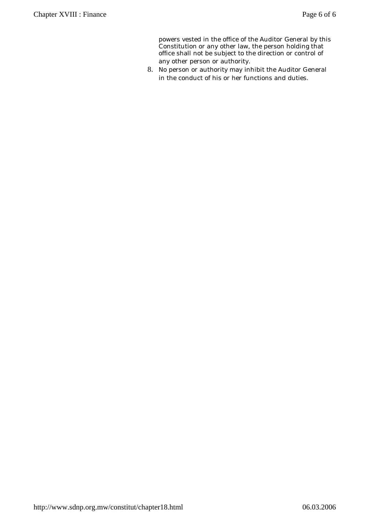powers vested in the office of the Auditor General by this Constitution or any other law, the person holding that office shall not be subject to the direction or control of any other person or authority.

8. No person or authority may inhibit the Auditor General in the conduct of his or her functions and duties.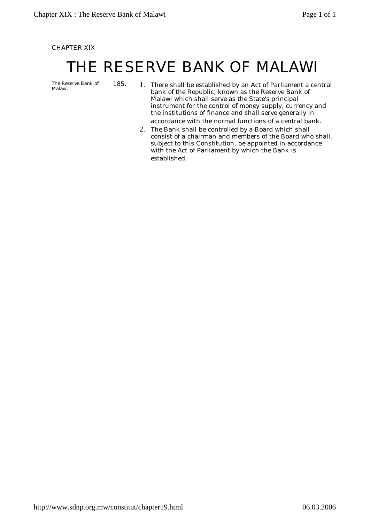#### CHAPTER XIX

### THE RESERVE BANK OF MALAWI

The Reserve Bank of Malawi

- 185. 1. There shall be established by an Act of Parliament a central bank of the Republic, known as the Reserve Bank of Malawi which shall serve as the State's principal instrument for the control of money supply, currency and the institutions of finance and shall serve generally in accordance with the normal functions of a central bank.
	- 2. The Bank shall be controlled by a Board which shall consist of a chairman and members of the Board who shall, subject to this Constitution, be appointed in accordance with the Act of Parliament by which the Bank is established.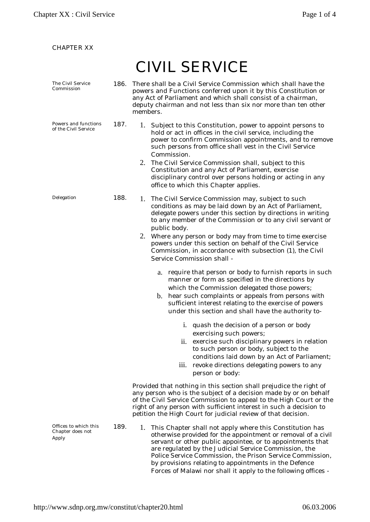| CHAPTER XX                                         |                      |                                                                                                                                                                                                                                                                                                                                                                                                                                                                                                                                                                                                                                                   |  |  |  |
|----------------------------------------------------|----------------------|---------------------------------------------------------------------------------------------------------------------------------------------------------------------------------------------------------------------------------------------------------------------------------------------------------------------------------------------------------------------------------------------------------------------------------------------------------------------------------------------------------------------------------------------------------------------------------------------------------------------------------------------------|--|--|--|
|                                                    | <b>CIVIL SERVICE</b> |                                                                                                                                                                                                                                                                                                                                                                                                                                                                                                                                                                                                                                                   |  |  |  |
| The Civil Service<br>Commission                    | 186.                 | There shall be a Civil Service Commission which shall have the<br>powers and Functions conferred upon it by this Constitution or<br>any Act of Parliament and which shall consist of a chairman,<br>deputy chairman and not less than six nor more than ten other<br>members.                                                                                                                                                                                                                                                                                                                                                                     |  |  |  |
| Powers and functions<br>of the Civil Service       | 187.                 | 1. Subject to this Constitution, power to appoint persons to<br>hold or act in offices in the civil service, including the<br>power to confirm Commission appointments, and to remove<br>such persons from office shall vest in the Civil Service<br>Commission.<br>2. The Civil Service Commission shall, subject to this<br>Constitution and any Act of Parliament, exercise<br>disciplinary control over persons holding or acting in any<br>office to which this Chapter applies.                                                                                                                                                             |  |  |  |
| Delegation                                         | 188.                 | 1. The Civil Service Commission may, subject to such<br>conditions as may be laid down by an Act of Parliament,<br>delegate powers under this section by directions in writing<br>to any member of the Commission or to any civil servant or<br>public body.<br>2. Where any person or body may from time to time exercise<br>powers under this section on behalf of the Civil Service<br>Commission, in accordance with subsection (1), the Civil<br>Service Commission shall -<br>a. require that person or body to furnish reports in such<br>manner or form as specified in the directions by<br>which the Commission delegated those powers; |  |  |  |
|                                                    |                      | b. hear such complaints or appeals from persons with<br>sufficient interest relating to the exercise of powers<br>under this section and shall have the authority to-                                                                                                                                                                                                                                                                                                                                                                                                                                                                             |  |  |  |
|                                                    |                      | quash the decision of a person or body<br>1.<br>exercising such powers;<br>exercise such disciplinary powers in relation<br>11.<br>to such person or body, subject to the<br>conditions laid down by an Act of Parliament;<br>iii.<br>revoke directions delegating powers to any<br>person or body:                                                                                                                                                                                                                                                                                                                                               |  |  |  |
|                                                    |                      | Provided that nothing in this section shall prejudice the right of<br>any person who is the subject of a decision made by or on behalf<br>of the Civil Service Commission to appeal to the High Court or the<br>right of any person with sufficient interest in such a decision to<br>petition the High Court for judicial review of that decision.                                                                                                                                                                                                                                                                                               |  |  |  |
| Offices to which this<br>Chapter does not<br>Apply | 189.                 | 1. This Chapter shall not apply where this Constitution has<br>otherwise provided for the appointment or removal of a civil<br>servant or other public appointee, or to appointments that<br>are regulated by the Judicial Service Commission, the<br>Police Service Commission, the Prison Service Commission,<br>by provisions relating to appointments in the Defence<br>Forces of Malawi nor shall it apply to the following offices -                                                                                                                                                                                                        |  |  |  |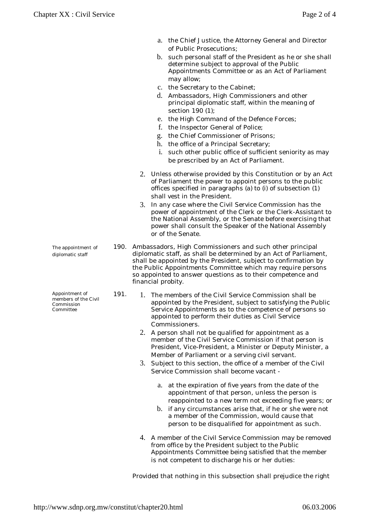- a. the Chief Justice, the Attorney General and Director of Public Prosecutions;
- b. such personal staff of the President as he or she shall determine subject to approval of the Public Appointments Committee or as an Act of Parliament may allow;
- c. the Secretary to the Cabinet;
- d. Ambassadors, High Commissioners and other principal diplomatic staff, within the meaning of section 190 (1);
- e. the High Command of the Defence Forces;
- f. the Inspector General of Police;
- g. the Chief Commissioner of Prisons;
- h. the office of a Principal Secretary;
- i. such other public office of sufficient seniority as may be prescribed by an Act of Parliament.
- 2. Unless otherwise provided by this Constitution or by an Act of Parliament the power to appoint persons to the public offices specified in paragraphs (a) to (i) of subsection (1) shall vest in the President.
- 3. In any case where the Civil Service Commission has the power of appointment of the Clerk or the Clerk-Assistant to the National Assembly, or the Senate before exercising that power shall consult the Speaker of the National Assembly or of the Senate.
- 190. Ambassadors, High Commissioners and such other principal diplomatic staff, as shall be determined by an Act of Parliament, shall be appointed by the President, subject to confirmation by the Public Appointments Committee which may require persons so appointed to answer questions as to their competence and financial probity.
- 191. 1. The members of the Civil Service Commission shall be appointed by the President, subject to satisfying the Public Service Appointments as to the competence of persons so appointed to perform their duties as Civil Service Commissioners.
	- 2. A person shall not be qualified for appointment as a member of the Civil Service Commission if that person is President, Vice-President, a Minister or Deputy Minister, a Member of Parliament or a serving civil servant.
	- 3. Subject to this section, the office of a member of the Civil Service Commission shall become vacant
		- a. at the expiration of five years from the date of the appointment of that person, unless the person is reappointed to a new term not exceeding five years; or
		- b. if any circumstances arise that, if he or she were not a member of the Commission, would cause that person to be disqualified for appointment as such.
	- 4. A member of the Civil Service Commission may be removed from office by the President subject to the Public Appointments Committee being satisfied that the member is not competent to discharge his or her duties:

Provided that nothing in this subsection shall prejudice the right

The appointment of diplomatic staff

Appointment of members of the Civil

Commission Committee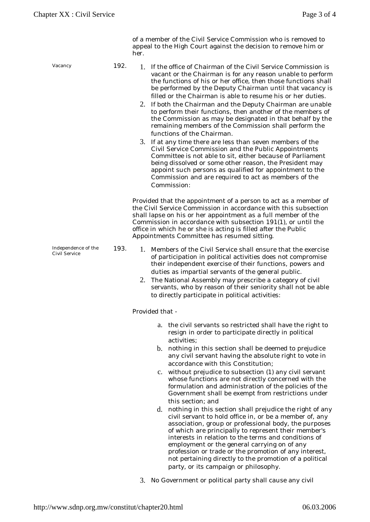Independence of the Civil Service

of a member of the Civil Service Commission who is removed to appeal to the High Court against the decision to remove him or her.

- 
- Vacancy 192. 1. If the office of Chairman of the Civil Service Commission is vacant or the Chairman is for any reason unable to perform the functions of his or her office, then those functions shall be performed by the Deputy Chairman until that vacancy is filled or the Chairman is able to resume his or her duties.
	- 2. If both the Chairman and the Deputy Chairman are unable to perform their functions, then another of the members of the Commission as may be designated in that behalf by the remaining members of the Commission shall perform the functions of the Chairman.
	- 3. If at any time there are less than seven members of the Civil Service Commission and the Public Appointments Committee is not able to sit, either because of Parliament being dissolved or some other reason, the President may appoint such persons as qualified for appointment to the Commission and are required to act as members of the Commission:

Provided that the appointment of a person to act as a member of the Civil Service Commission in accordance with this subsection shall lapse on his or her appointment as a full member of the Commission in accordance with subsection 191(1), or until the office in which he or she is acting is filled after the Public Appointments Committee has resumed sitting.

- 193. 1. Members of the Civil Service shall ensure that the exercise of participation in political activities does not compromise their independent exercise of their functions, powers and duties as impartial servants of the general public.
	- 2. The National Assembly may prescribe a category of civil servants, who by reason of their seniority shall not be able to directly participate in political activities:

Provided that -

- a. the civil servants so restricted shall have the right to resign in order to participate directly in political activities;
- b. nothing in this section shall be deemed to prejudice any civil servant having the absolute right to vote in accordance with this Constitution;
- c. without prejudice to subsection (1) any civil servant whose functions are not directly concerned with the formulation and administration of the policies of the Government shall be exempt from restrictions under this section; and
- d. nothing in this section shall prejudice the right of any civil servant to hold office in, or be a member of, any association, group or professional body, the purposes of which are principally to represent their member's interests in relation to the terms and conditions of employment or the general carrying on of any profession or trade or the promotion of any interest, not pertaining directly to the promotion of a political party, or its campaign or philosophy.
- 3. No Government or political party shall cause any civil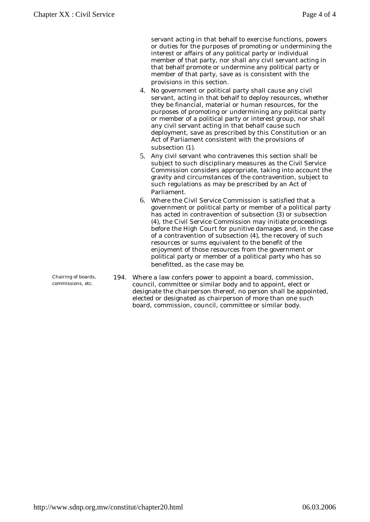servant acting in that behalf to exercise functions, powers or duties for the purposes of promoting or undermining the interest or affairs of any political party or individual member of that party, nor shall any civil servant acting in that behalf promote or undermine any political party or member of that party, save as is consistent with the provisions in this section.

- 4. No government or political party shall cause any civil servant, acting in that behalf to deploy resources, whether they be financial, material or human resources, for the purposes of promoting or undermining any political party or member of a political party or interest group, nor shall any civil servant acting in that behalf cause such deployment, save as prescribed by this Constitution or an Act of Parliament consistent with the provisions of subsection (1).
- 5. Any civil servant who contravenes this section shall be subject to such disciplinary measures as the Civil Service Commission considers appropriate, taking into account the gravity and circumstances of the contravention, subject to such regulations as may be prescribed by an Act of Parliament.
- 6. Where the Civil Service Commission is satisfied that a government or political party or member of a political party has acted in contravention of subsection (3) or subsection (4), the Civil Service Commission may initiate proceedings before the High Court for punitive damages and, in the case of a contravention of subsection (4), the recovery of such resources or sums equivalent to the benefit of the enjoyment of those resources from the government or political party or member of a political party who has so benefitted, as the case may be.
- 194. Where a law confers power to appoint a board, commission, council, committee or similar body and to appoint, elect or designate the chairperson thereof, no person shall be appointed, elected or designated as chairperson of more than one such board, commission, council, committee or similar body.

Chairing of boards, commissions, etc.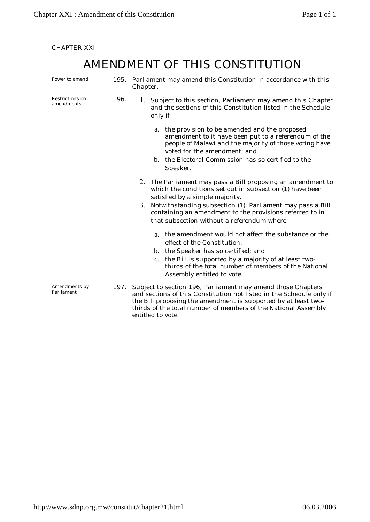CHAPTER XXI

### AMENDMENT OF THIS CONSTITUTION

| Power to amend                |      | 195. Parliament may amend this Constitution in accordance with this<br>Chapter. |                                                                                                                                                                                                                                                                                                                                  |  |
|-------------------------------|------|---------------------------------------------------------------------------------|----------------------------------------------------------------------------------------------------------------------------------------------------------------------------------------------------------------------------------------------------------------------------------------------------------------------------------|--|
| Restrictions on<br>amendments | 196. |                                                                                 | 1. Subject to this section, Parliament may amend this Chapter<br>and the sections of this Constitution listed in the Schedule<br>only if-                                                                                                                                                                                        |  |
|                               |      |                                                                                 | a. the provision to be amended and the proposed<br>amendment to it have been put to a referendum of the<br>people of Malawi and the majority of those voting have<br>voted for the amendment; and<br>the Electoral Commission has so certified to the<br>$h_{\cdot}$<br>Speaker.                                                 |  |
|                               |      | 2.<br>3.                                                                        | The Parliament may pass a Bill proposing an amendment to<br>which the conditions set out in subsection (1) have been<br>satisfied by a simple majority.<br>Notwithstanding subsection (1), Parliament may pass a Bill<br>containing an amendment to the provisions referred to in<br>that subsection without a referendum where- |  |
|                               |      |                                                                                 | the amendment would not affect the substance or the<br>a.<br>effect of the Constitution;<br>b. the Speaker has so certified; and<br>the Bill is supported by a majority of at least two-<br>$\mathbf{c}$ .<br>thirds of the total number of members of the National<br>Assembly entitled to vote.                                |  |
| Amendments by<br>Parliament   | 197. |                                                                                 | Subject to section 196, Parliament may amend those Chapters<br>and sections of this Constitution not listed in the Schedule only if<br>the Bill proposing the amendment is supported by at least two-<br>thirds of the total number of members of the National Assembly<br>entitled to vote.                                     |  |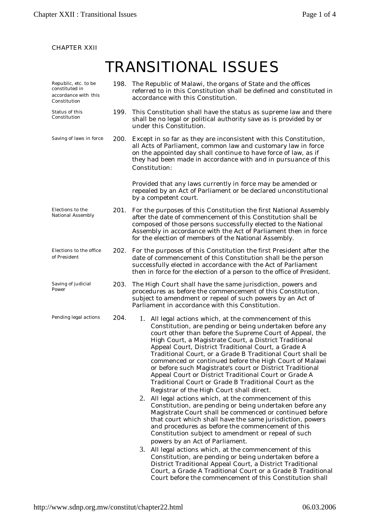#### CHAPTER XXII

## TRANSITIONAL ISSUES

| Republic, etc. to be<br>constituted in<br>accordance with this<br>Constitution | 198. | The Republic of Malawi, the organs of State and the offices<br>referred to in this Constitution shall be defined and constituted in<br>accordance with this Constitution.                                                                                                                                                                                                                                                                                                                                                                                                                                                                                                                                                                                                                                                                                                                                                                                                                                                                                                                                                                                                                                                                                                                                                                                             |  |  |
|--------------------------------------------------------------------------------|------|-----------------------------------------------------------------------------------------------------------------------------------------------------------------------------------------------------------------------------------------------------------------------------------------------------------------------------------------------------------------------------------------------------------------------------------------------------------------------------------------------------------------------------------------------------------------------------------------------------------------------------------------------------------------------------------------------------------------------------------------------------------------------------------------------------------------------------------------------------------------------------------------------------------------------------------------------------------------------------------------------------------------------------------------------------------------------------------------------------------------------------------------------------------------------------------------------------------------------------------------------------------------------------------------------------------------------------------------------------------------------|--|--|
| Status of this<br>Constitution                                                 | 199. | This Constitution shall have the status as supreme law and there<br>shall be no legal or political authority save as is provided by or<br>under this Constitution.                                                                                                                                                                                                                                                                                                                                                                                                                                                                                                                                                                                                                                                                                                                                                                                                                                                                                                                                                                                                                                                                                                                                                                                                    |  |  |
| Saving of laws in force                                                        | 200. | Except in so far as they are inconsistent with this Constitution,<br>all Acts of Parliament, common law and customary law in force<br>on the appointed day shall continue to have force of law, as if<br>they had been made in accordance with and in pursuance of this<br>Constitution:                                                                                                                                                                                                                                                                                                                                                                                                                                                                                                                                                                                                                                                                                                                                                                                                                                                                                                                                                                                                                                                                              |  |  |
|                                                                                |      | Provided that any laws currently in force may be amended or<br>repealed by an Act of Parliament or be declared unconstitutional<br>by a competent court.                                                                                                                                                                                                                                                                                                                                                                                                                                                                                                                                                                                                                                                                                                                                                                                                                                                                                                                                                                                                                                                                                                                                                                                                              |  |  |
| Elections to the<br>National Assembly                                          | 201. | For the purposes of this Constitution the first National Assembly<br>after the date of commencement of this Constitution shall be<br>composed of those persons successfully elected to the National<br>Assembly in accordance with the Act of Parliament then in force<br>for the election of members of the National Assembly.                                                                                                                                                                                                                                                                                                                                                                                                                                                                                                                                                                                                                                                                                                                                                                                                                                                                                                                                                                                                                                       |  |  |
| Elections to the office<br>of President                                        |      | 202. For the purposes of this Constitution the first President after the<br>date of commencement of this Constitution shall be the person<br>successfully elected in accordance with the Act of Parliament<br>then in force for the election of a person to the office of President.                                                                                                                                                                                                                                                                                                                                                                                                                                                                                                                                                                                                                                                                                                                                                                                                                                                                                                                                                                                                                                                                                  |  |  |
| Saving of judicial<br>Power                                                    | 203. | The High Court shall have the same jurisdiction, powers and<br>procedures as before the commencement of this Constitution,<br>subject to amendment or repeal of such powers by an Act of<br>Parliament in accordance with this Constitution.                                                                                                                                                                                                                                                                                                                                                                                                                                                                                                                                                                                                                                                                                                                                                                                                                                                                                                                                                                                                                                                                                                                          |  |  |
| Pending legal actions                                                          | 204. | 1. All legal actions which, at the commencement of this<br>Constitution, are pending or being undertaken before any<br>court other than before the Supreme Court of Appeal, the<br>High Court, a Magistrate Court, a District Traditional<br>Appeal Court, District Traditional Court, a Grade A<br>Traditional Court, or a Grade B Traditional Court shall be<br>commenced or continued before the High Court of Malawi<br>or before such Magistrate's court or District Traditional<br>Appeal Court or District Traditional Court or Grade A<br>Traditional Court or Grade B Traditional Court as the<br>Registrar of the High Court shall direct.<br>All legal actions which, at the commencement of this<br>2.<br>Constitution, are pending or being undertaken before any<br>Magistrate Court shall be commenced or continued before<br>that court which shall have the same jurisdiction, powers<br>and procedures as before the commencement of this<br>Constitution subject to amendment or repeal of such<br>powers by an Act of Parliament.<br>3.<br>All legal actions which, at the commencement of this<br>Constitution, are pending or being undertaken before a<br>District Traditional Appeal Court, a District Traditional<br>Court, a Grade A Traditional Court or a Grade B Traditional<br>Court before the commencement of this Constitution shall |  |  |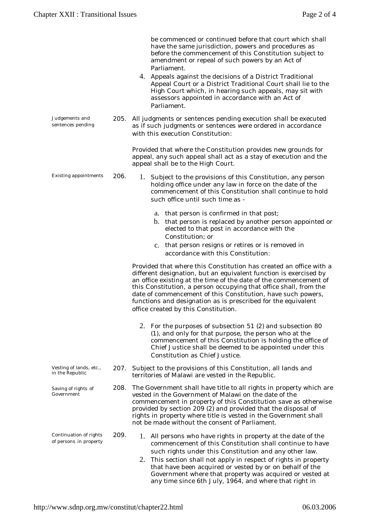|                                                  |      | be commenced or continued before that court which shall<br>have the same jurisdiction, powers and procedures as<br>before the commencement of this Constitution subject to<br>amendment or repeal of such powers by an Act of<br>Parliament.<br>4. Appeals against the decisions of a District Traditional<br>Appeal Court or a District Traditional Court shall lie to the<br>High Court which, in hearing such appeals, may sit with<br>assessors appointed in accordance with an Act of<br>Parliament. |
|--------------------------------------------------|------|-----------------------------------------------------------------------------------------------------------------------------------------------------------------------------------------------------------------------------------------------------------------------------------------------------------------------------------------------------------------------------------------------------------------------------------------------------------------------------------------------------------|
| Judgements and<br>sentences pending              |      | 205. All judgments or sentences pending execution shall be executed<br>as if such judgments or sentences were ordered in accordance<br>with this execution Constitution:                                                                                                                                                                                                                                                                                                                                  |
|                                                  |      | Provided that where the Constitution provides new grounds for<br>appeal, any such appeal shall act as a stay of execution and the<br>appeal shall be to the High Court.                                                                                                                                                                                                                                                                                                                                   |
| Existing appointments                            | 206. | 1. Subject to the provisions of this Constitution, any person<br>holding office under any law in force on the date of the<br>commencement of this Constitution shall continue to hold<br>such office until such time as -                                                                                                                                                                                                                                                                                 |
|                                                  |      |                                                                                                                                                                                                                                                                                                                                                                                                                                                                                                           |
|                                                  |      | that person is confirmed in that post;<br>a.                                                                                                                                                                                                                                                                                                                                                                                                                                                              |
|                                                  |      | b. that person is replaced by another person appointed or<br>elected to that post in accordance with the                                                                                                                                                                                                                                                                                                                                                                                                  |
|                                                  |      | Constitution; or                                                                                                                                                                                                                                                                                                                                                                                                                                                                                          |
|                                                  |      | c. that person resigns or retires or is removed in<br>accordance with this Constitution:                                                                                                                                                                                                                                                                                                                                                                                                                  |
|                                                  |      | Provided that where this Constitution has created an office with a<br>different designation, but an equivalent function is exercised by<br>an office existing at the time of the date of the commencement of<br>this Constitution, a person occupying that office shall, from the<br>date of commencement of this Constitution, have such powers,<br>functions and designation as is prescribed for the equivalent<br>office created by this Constitution.                                                |
|                                                  |      | 2. For the purposes of subsection 51 (2) and subsection 80<br>(1), and only for that purpose, the person who at the<br>commencement of this Constitution is holding the office of<br>Chief Justice shall be deemed to be appointed under this<br>Constitution as Chief Justice.                                                                                                                                                                                                                           |
| Vesting of lands, etc.,<br>in the Republic       | 207. | Subject to the provisions of this Constitution, all lands and<br>territories of Malawi are vested in the Republic.                                                                                                                                                                                                                                                                                                                                                                                        |
| Saving of rights of<br>Government                | 208. | The Government shall have title to all rights in property which are<br>vested in the Government of Malawi on the date of the<br>commencement in property of this Constitution save as otherwise<br>provided by section 209 (2) and provided that the disposal of<br>rights in property where title is vested in the Government shall<br>not be made without the consent of Parliament.                                                                                                                    |
| Continuation of rights<br>of persons in property | 209. | 1. All persons who have rights in property at the date of the<br>commencement of this Constitution shall continue to have<br>such rights under this Constitution and any other law.<br>This section shall not apply in respect of rights in property<br>2.<br>that have been acquired or vested by or on behalf of the<br>Government where that property was acquired or vested at<br>any time since 6th July, 1964, and where that right in                                                              |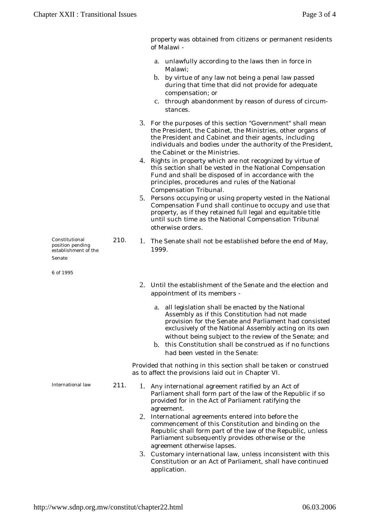property was obtained from citizens or permanent residents of Malawi -

- a. unlawfully according to the laws then in force in Malawi;
- b. by virtue of any law not being a penal law passed during that time that did not provide for adequate compensation; or
- c. through abandonment by reason of duress of circumstances.
- 3. For the purposes of this section "Government" shall mean the President, the Cabinet, the Ministries, other organs of the President and Cabinet and their agents, including individuals and bodies under the authority of the President, the Cabinet or the Ministries.
- 4. Rights in property which are not recognized by virtue of this section shall be vested in the National Compensation Fund and shall be disposed of in accordance with the principles, procedures and rules of the National Compensation Tribunal.
- 5. Persons occupying or using property vested in the National Compensation Fund shall continue to occupy and use that property, as if they retained full legal and equitable title until such time as the National Compensation Tribunal otherwise orders.
- 210. 1. The Senate shall not be established before the end of May, 1999.
	- 2. Until the establishment of the Senate and the election and appointment of its members
		- a. all legislation shall be enacted by the National Assembly as if this Constitution had not made provision for the Senate and Parliament had consisted exclusively of the National Assembly acting on its own without being subject to the review of the Senate; and
		- b. this Constitution shall be construed as if no functions had been vested in the Senate:

Provided that nothing in this section shall be taken or construed as to affect the provisions laid out in Chapter VI.

- International law  $211.$  1. Any international agreement ratified by an Act of Parliament shall form part of the law of the Republic if so provided for in the Act of Parliament ratifying the agreement.
	- 2. International agreements entered into before the commencement of this Constitution and binding on the Republic shall form part of the law of the Republic, unless Parliament subsequently provides otherwise or the agreement otherwise lapses.
	- 3. Customary international law, unless inconsistent with this Constitution or an Act of Parliament, shall have continued application.

Constitutional position pending establishment of the Senate

6 of 1995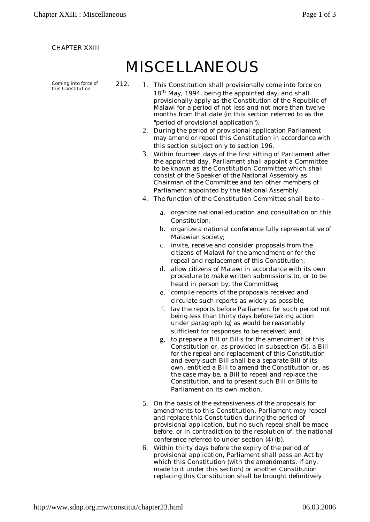#### CHAPTER XXIII

Coming into force of this Constitution

# MISCELLANEOUS

- 212. 1. This Constitution shall provisionally come into force on 18<sup>th</sup> May, 1994, being the appointed day, and shall provisionally apply as the Constitution of the Republic of Malawi for a period of not less and not more than twelve months from that date (in this section referred to as the "period of provisional application").
	- 2. During the period of provisional application Parliament may amend or repeal this Constitution in accordance with this section subject only to section 196.
	- 3. Within fourteen days of the first sitting of Parliament after the appointed day, Parliament shall appoint a Committee to be known as the Constitution Committee which shall consist of the Speaker of the National Assembly as Chairman of the Committee and ten other members of Parliament appointed by the National Assembly.
	- 4. The function of the Constitution Committee shall be to
		- a. organize national education and consultation on this Constitution;
		- b. organize a national conference fully representative of Malawian society;
		- c. invite, receive and consider proposals from the citizens of Malawi for the amendment or for the repeal and replacement of this Constitution;
		- d. allow citizens of Malawi in accordance with its own procedure to make written submissions to, or to be heard in person by, the Committee;
		- e. compile reports of the proposals received and circulate such reports as widely as possible;
		- f. lay the reports before Parliament for such period not being less than thirty days before taking action under paragraph (g) as would be reasonably sufficient for responses to be received; and
		- g. to prepare a Bill or Bills for the amendment of this Constitution or, as provided in subsection (5), a Bill for the repeal and replacement of this Constitution and every such Bill shall be a separate Bill of its own, entitled a Bill to amend the Constitution or, as the case may be, a Bill to repeal and replace the Constitution, and to present such Bill or Bills to Parliament on its own motion.
	- 5. On the basis of the extensiveness of the proposals for amendments to this Constitution, Parliament may repeal and replace this Constitution during the period of provisional application, but no such repeal shall be made before, or in contradiction to the resolution of, the national conference referred to under section (4) (b).
	- 6. Within thirty days before the expiry of the period of provisional application, Parliament shall pass an Act by which this Constitution (with the amendments, if any, made to it under this section) or another Constitution replacing this Constitution shall be brought definitively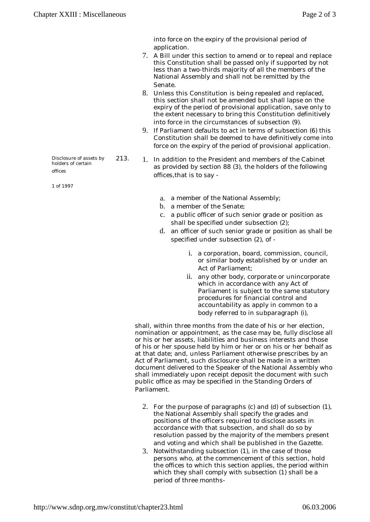into force on the expiry of the provisional period of application.

- 7. A Bill under this section to amend or to repeal and replace this Constitution shall be passed only if supported by not less than a two-thirds majority of all the members of the National Assembly and shall not be remitted by the Senate.
- 8. Unless this Constitution is being repealed and replaced, this section shall not be amended but shall lapse on the expiry of the period of provisional application, save only to the extent necessary to bring this Constitution definitively into force in the circumstances of subsection (9).
- 9. If Parliament defaults to act in terms of subsection (6) this Constitution shall be deemed to have definitively come into force on the expiry of the period of provisional application.
- 213. 1. In addition to the President and members of the Cabinet as provided by section 88 (3), the holders of the following offices,that is to say
	- a. a member of the National Assembly;
	- b. a member of the Senate;
	- c. a public officer of such senior grade or position as shall be specified under subsection (2);
	- d. an officer of such senior grade or position as shall be specified under subsection (2), of
		- i. a corporation, board, commission, council, or similar body established by or under an Act of Parliament;
		- ii. any other body, corporate or unincorporate which in accordance with any Act of Parliament is subject to the same statutory procedures for financial control and accountability as apply in common to a body referred to in subparagraph (i),

shall, within three months from the date of his or her election, nomination or appointment, as the case may be, fully disclose all or his or her assets, liabilities and business interests and those of his or her spouse held by him or her or on his or her behalf as at that date; and, unless Parliament otherwise prescribes by an Act of Parliament, such disclosure shall be made in a written document delivered to the Speaker of the National Assembly who shall immediately upon receipt deposit the document with such public office as may be specified in the Standing Orders of Parliament.

- 2. For the purpose of paragraphs (c) and (d) of subsection (1), the National Assembly shall specify the grades and positions of the officers required to disclose assets in accordance with that subsection, and shall do so by resolution passed by the majority of the members present and voting and which shall be published in the *Gazette*.
- 3. Notwithstanding subsection (1), in the case of those persons who, at the commencement of this section, hold the offices to which this section applies, the period within which they shall comply with subsection (1) shall be a period of three months-

Disclosure of assets by holders of certain offices

1 of 1997